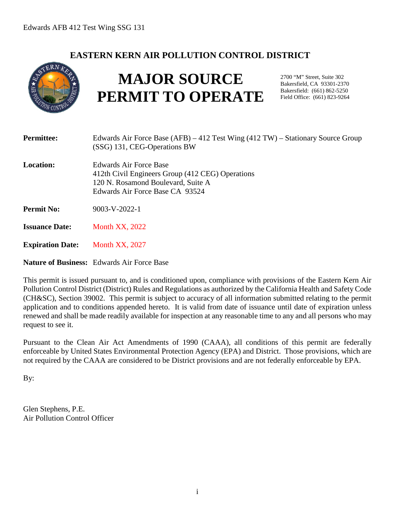## **EASTERN KERN AIR POLLUTION CONTROL DISTRICT**



# **MAJOR SOURCE PERMIT TO OPERATE**

2700 "M" Street, Suite 302 Bakersfield, CA 93301-2370 Bakersfield: (661) 862-5250 Field Office: (661) 823-9264

| <b>Permittee:</b>       | Edwards Air Force Base $(AFB) - 412$ Test Wing $(412 TW)$ – Stationary Source Group<br>(SSG) 131, CEG-Operations BW                                 |
|-------------------------|-----------------------------------------------------------------------------------------------------------------------------------------------------|
| <b>Location:</b>        | Edwards Air Force Base<br>412th Civil Engineers Group (412 CEG) Operations<br>120 N. Rosamond Boulevard, Suite A<br>Edwards Air Force Base CA 93524 |
| <b>Permit No:</b>       | $9003-V-2022-1$                                                                                                                                     |
| <b>Issuance Date:</b>   | <b>Month XX, 2022</b>                                                                                                                               |
| <b>Expiration Date:</b> | <b>Month XX, 2027</b>                                                                                                                               |

**Nature of Business:** Edwards Air Force Base

This permit is issued pursuant to, and is conditioned upon, compliance with provisions of the Eastern Kern Air Pollution Control District (District) Rules and Regulations as authorized by the California Health and Safety Code (CH&SC), Section 39002. This permit is subject to accuracy of all information submitted relating to the permit application and to conditions appended hereto. It is valid from date of issuance until date of expiration unless renewed and shall be made readily available for inspection at any reasonable time to any and all persons who may request to see it.

Pursuant to the Clean Air Act Amendments of 1990 (CAAA), all conditions of this permit are federally enforceable by United States Environmental Protection Agency (EPA) and District. Those provisions, which are not required by the CAAA are considered to be District provisions and are not federally enforceable by EPA.

By:

Glen Stephens, P.E. Air Pollution Control Officer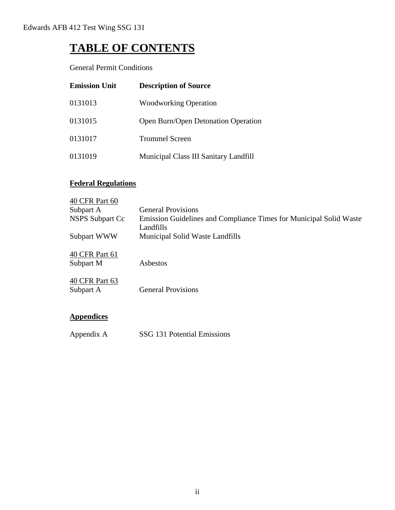## **TABLE OF CONTENTS**

General Permit Conditions

| <b>Emission Unit</b> | <b>Description of Source</b>          |
|----------------------|---------------------------------------|
| 0131013              | <b>Woodworking Operation</b>          |
| 0131015              | Open Burn/Open Detonation Operation   |
| 0131017              | <b>Trommel Screen</b>                 |
| 0131019              | Municipal Class III Sanitary Landfill |

## **Federal Regulations**

| 40 CFR Part 60         |                                                                    |
|------------------------|--------------------------------------------------------------------|
| Subpart A              | <b>General Provisions</b>                                          |
| <b>NSPS Subpart Cc</b> | Emission Guidelines and Compliance Times for Municipal Solid Waste |
|                        | Landfills                                                          |
| Subpart WWW            | Municipal Solid Waste Landfills                                    |
| 40 CFR Part 61         |                                                                    |
| Subpart M              | Asbestos                                                           |
| 40 CFR Part 63         |                                                                    |
| Subpart A              | <b>General Provisions</b>                                          |
|                        |                                                                    |
| <b>Appendices</b>      |                                                                    |

Appendix A SSG 131 Potential Emissions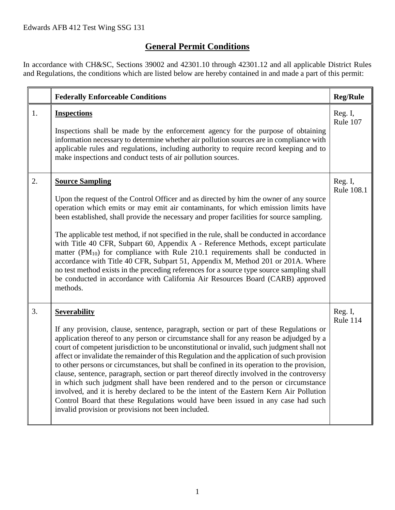## **General Permit Conditions**

In accordance with CH&SC, Sections 39002 and 42301.10 through 42301.12 and all applicable District Rules and Regulations, the conditions which are listed below are hereby contained in and made a part of this permit:

|    | <b>Federally Enforceable Conditions</b>                                                                                                                                                                                                                                                                                                                                                                                                                                                                                                                                                                                                                                                                                                                                                                                                                                                                                    | <b>Reg/Rule</b>       |
|----|----------------------------------------------------------------------------------------------------------------------------------------------------------------------------------------------------------------------------------------------------------------------------------------------------------------------------------------------------------------------------------------------------------------------------------------------------------------------------------------------------------------------------------------------------------------------------------------------------------------------------------------------------------------------------------------------------------------------------------------------------------------------------------------------------------------------------------------------------------------------------------------------------------------------------|-----------------------|
| 1. | <b>Inspections</b><br>Inspections shall be made by the enforcement agency for the purpose of obtaining<br>information necessary to determine whether air pollution sources are in compliance with<br>applicable rules and regulations, including authority to require record keeping and to<br>make inspections and conduct tests of air pollution sources.                                                                                                                                                                                                                                                                                                                                                                                                                                                                                                                                                                | Reg. I,<br>Rule 107   |
| 2. | <b>Source Sampling</b><br>Upon the request of the Control Officer and as directed by him the owner of any source<br>operation which emits or may emit air contaminants, for which emission limits have<br>been established, shall provide the necessary and proper facilities for source sampling.<br>The applicable test method, if not specified in the rule, shall be conducted in accordance<br>with Title 40 CFR, Subpart 60, Appendix A - Reference Methods, except particulate<br>matter $(PM_{10})$ for compliance with Rule 210.1 requirements shall be conducted in<br>accordance with Title 40 CFR, Subpart 51, Appendix M, Method 201 or 201A. Where<br>no test method exists in the preceding references for a source type source sampling shall<br>be conducted in accordance with California Air Resources Board (CARB) approved<br>methods.                                                                | Reg. I,<br>Rule 108.1 |
| 3. | <b>Severability</b><br>If any provision, clause, sentence, paragraph, section or part of these Regulations or<br>application thereof to any person or circumstance shall for any reason be adjudged by a<br>court of competent jurisdiction to be unconstitutional or invalid, such judgment shall not<br>affect or invalidate the remainder of this Regulation and the application of such provision<br>to other persons or circumstances, but shall be confined in its operation to the provision,<br>clause, sentence, paragraph, section or part thereof directly involved in the controversy<br>in which such judgment shall have been rendered and to the person or circumstance<br>involved, and it is hereby declared to be the intent of the Eastern Kern Air Pollution<br>Control Board that these Regulations would have been issued in any case had such<br>invalid provision or provisions not been included. | Reg. I,<br>Rule 114   |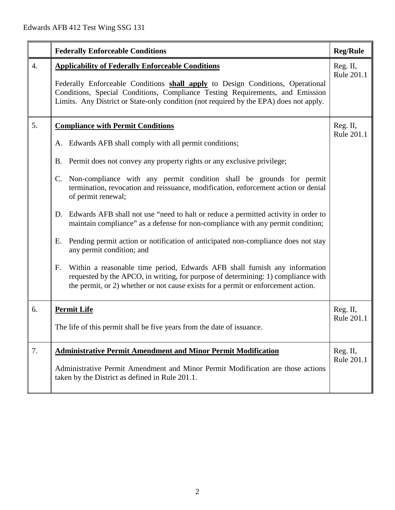|    | <b>Federally Enforceable Conditions</b>                                                                                                                                                                                                                                                                                                                                                                                                                                                                                                                                                                                                                                                                                                                                                                                                                                                                                                               | <b>Reg/Rule</b>        |
|----|-------------------------------------------------------------------------------------------------------------------------------------------------------------------------------------------------------------------------------------------------------------------------------------------------------------------------------------------------------------------------------------------------------------------------------------------------------------------------------------------------------------------------------------------------------------------------------------------------------------------------------------------------------------------------------------------------------------------------------------------------------------------------------------------------------------------------------------------------------------------------------------------------------------------------------------------------------|------------------------|
| 4. | <b>Applicability of Federally Enforceable Conditions</b><br>Federally Enforceable Conditions shall apply to Design Conditions, Operational<br>Conditions, Special Conditions, Compliance Testing Requirements, and Emission<br>Limits. Any District or State-only condition (not required by the EPA) does not apply.                                                                                                                                                                                                                                                                                                                                                                                                                                                                                                                                                                                                                                 |                        |
| 5. | <b>Compliance with Permit Conditions</b><br>Edwards AFB shall comply with all permit conditions;<br>A.<br>Permit does not convey any property rights or any exclusive privilege;<br>Β.<br>Non-compliance with any permit condition shall be grounds for permit<br>C.<br>termination, revocation and reissuance, modification, enforcement action or denial<br>of permit renewal;<br>Edwards AFB shall not use "need to halt or reduce a permitted activity in order to<br>D.<br>maintain compliance" as a defense for non-compliance with any permit condition;<br>Pending permit action or notification of anticipated non-compliance does not stay<br>Е.<br>any permit condition; and<br>Within a reasonable time period, Edwards AFB shall furnish any information<br>F.<br>requested by the APCO, in writing, for purpose of determining: 1) compliance with<br>the permit, or 2) whether or not cause exists for a permit or enforcement action. | Reg. II,<br>Rule 201.1 |
| 6. | <b>Permit Life</b><br>The life of this permit shall be five years from the date of issuance.                                                                                                                                                                                                                                                                                                                                                                                                                                                                                                                                                                                                                                                                                                                                                                                                                                                          | Reg. II,<br>Rule 201.1 |
| 7. | <b>Administrative Permit Amendment and Minor Permit Modification</b><br>Administrative Permit Amendment and Minor Permit Modification are those actions<br>taken by the District as defined in Rule 201.1.                                                                                                                                                                                                                                                                                                                                                                                                                                                                                                                                                                                                                                                                                                                                            | Reg. II,<br>Rule 201.1 |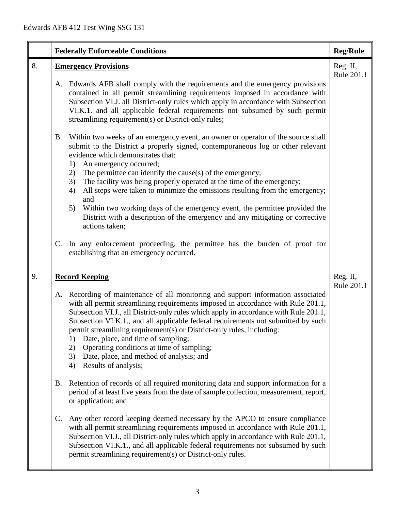|    | <b>Federally Enforceable Conditions</b>                                                                                                                                                                                                                                                                                                                                                                                                                                                                                                                                                                   | <b>Reg/Rule</b>        |
|----|-----------------------------------------------------------------------------------------------------------------------------------------------------------------------------------------------------------------------------------------------------------------------------------------------------------------------------------------------------------------------------------------------------------------------------------------------------------------------------------------------------------------------------------------------------------------------------------------------------------|------------------------|
| 8. | <b>Emergency Provisions</b><br>Edwards AFB shall comply with the requirements and the emergency provisions<br>A.                                                                                                                                                                                                                                                                                                                                                                                                                                                                                          | Reg. II,<br>Rule 201.1 |
|    | contained in all permit streamlining requirements imposed in accordance with<br>Subsection VI.J. all District-only rules which apply in accordance with Subsection<br>VI.K.1. and all applicable federal requirements not subsumed by such permit<br>streamlining requirement(s) or District-only rules;                                                                                                                                                                                                                                                                                                  |                        |
|    | Within two weeks of an emergency event, an owner or operator of the source shall<br><b>B.</b><br>submit to the District a properly signed, contemporaneous log or other relevant<br>evidence which demonstrates that:<br>An emergency occurred;<br>1)                                                                                                                                                                                                                                                                                                                                                     |                        |
|    | The permittee can identify the cause(s) of the emergency;<br>2)<br>The facility was being properly operated at the time of the emergency;<br>3)<br>All steps were taken to minimize the emissions resulting from the emergency;<br>4)<br>and                                                                                                                                                                                                                                                                                                                                                              |                        |
|    | Within two working days of the emergency event, the permittee provided the<br>5)<br>District with a description of the emergency and any mitigating or corrective<br>actions taken;                                                                                                                                                                                                                                                                                                                                                                                                                       |                        |
|    | In any enforcement proceeding, the permittee has the burden of proof for<br>C.<br>establishing that an emergency occurred.                                                                                                                                                                                                                                                                                                                                                                                                                                                                                |                        |
| 9. | <b>Record Keeping</b>                                                                                                                                                                                                                                                                                                                                                                                                                                                                                                                                                                                     | Reg. II,<br>Rule 201.1 |
|    | A. Recording of maintenance of all monitoring and support information associated<br>with all permit streamlining requirements imposed in accordance with Rule 201.1,<br>Subsection VI.J., all District-only rules which apply in accordance with Rule 201.1,<br>Subsection VI.K.1., and all applicable federal requirements not submitted by such<br>permit streamlining requirement(s) or District-only rules, including:<br>Date, place, and time of sampling;<br>1)<br>Operating conditions at time of sampling;<br>2)<br>Date, place, and method of analysis; and<br>3)<br>Results of analysis;<br>4) |                        |
|    | Retention of records of all required monitoring data and support information for a<br><b>B.</b><br>period of at least five years from the date of sample collection, measurement, report,<br>or application; and                                                                                                                                                                                                                                                                                                                                                                                          |                        |
|    | Any other record keeping deemed necessary by the APCO to ensure compliance<br>C.<br>with all permit streamlining requirements imposed in accordance with Rule 201.1,<br>Subsection VI.J., all District-only rules which apply in accordance with Rule 201.1,<br>Subsection VI.K.1., and all applicable federal requirements not subsumed by such<br>permit streamlining requirement(s) or District-only rules.                                                                                                                                                                                            |                        |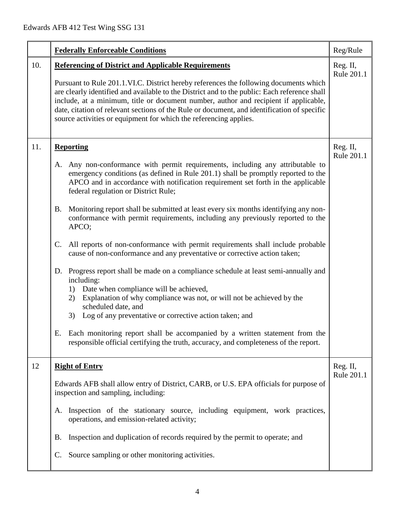|     | <b>Federally Enforceable Conditions</b>                                                                                                                                                                                                                                                                                                                                                                                                                                                                                                                                                                                                                                                                                                                                                                                                                                                                                                                                                                                                                                                                                                                                                                          | Reg/Rule               |
|-----|------------------------------------------------------------------------------------------------------------------------------------------------------------------------------------------------------------------------------------------------------------------------------------------------------------------------------------------------------------------------------------------------------------------------------------------------------------------------------------------------------------------------------------------------------------------------------------------------------------------------------------------------------------------------------------------------------------------------------------------------------------------------------------------------------------------------------------------------------------------------------------------------------------------------------------------------------------------------------------------------------------------------------------------------------------------------------------------------------------------------------------------------------------------------------------------------------------------|------------------------|
| 10. | <b>Referencing of District and Applicable Requirements</b><br>Pursuant to Rule 201.1.VI.C. District hereby references the following documents which<br>are clearly identified and available to the District and to the public: Each reference shall<br>include, at a minimum, title or document number, author and recipient if applicable,<br>date, citation of relevant sections of the Rule or document, and identification of specific<br>source activities or equipment for which the referencing applies.                                                                                                                                                                                                                                                                                                                                                                                                                                                                                                                                                                                                                                                                                                  | Reg. II,<br>Rule 201.1 |
| 11. | <b>Reporting</b><br>Any non-conformance with permit requirements, including any attributable to<br>A.<br>emergency conditions (as defined in Rule 201.1) shall be promptly reported to the<br>APCO and in accordance with notification requirement set forth in the applicable<br>federal regulation or District Rule;<br>Monitoring report shall be submitted at least every six months identifying any non-<br><b>B.</b><br>conformance with permit requirements, including any previously reported to the<br>APCO;<br>All reports of non-conformance with permit requirements shall include probable<br>$\mathbf{C}$ .<br>cause of non-conformance and any preventative or corrective action taken;<br>D. Progress report shall be made on a compliance schedule at least semi-annually and<br>including:<br>Date when compliance will be achieved,<br>1)<br>Explanation of why compliance was not, or will not be achieved by the<br>2)<br>scheduled date, and<br>Log of any preventative or corrective action taken; and<br>3)<br>Each monitoring report shall be accompanied by a written statement from the<br>Е.<br>responsible official certifying the truth, accuracy, and completeness of the report. | Reg. II,<br>Rule 201.1 |
| 12  | <b>Right of Entry</b><br>Edwards AFB shall allow entry of District, CARB, or U.S. EPA officials for purpose of<br>inspection and sampling, including:<br>Inspection of the stationary source, including equipment, work practices,<br>A.<br>operations, and emission-related activity;<br>Inspection and duplication of records required by the permit to operate; and<br><b>B.</b><br>Source sampling or other monitoring activities.<br>$\mathbb{C}$ .                                                                                                                                                                                                                                                                                                                                                                                                                                                                                                                                                                                                                                                                                                                                                         | Reg. II,<br>Rule 201.1 |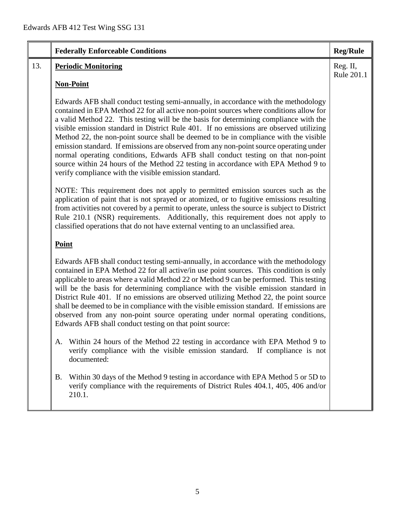|     | <b>Federally Enforceable Conditions</b>                                                                                                                                                                                                                                                                                                                                                                                                                                                                                                                                                                                                                                                                                                                                               | <b>Reg/Rule</b> |
|-----|---------------------------------------------------------------------------------------------------------------------------------------------------------------------------------------------------------------------------------------------------------------------------------------------------------------------------------------------------------------------------------------------------------------------------------------------------------------------------------------------------------------------------------------------------------------------------------------------------------------------------------------------------------------------------------------------------------------------------------------------------------------------------------------|-----------------|
| 13. | <b>Periodic Monitoring</b>                                                                                                                                                                                                                                                                                                                                                                                                                                                                                                                                                                                                                                                                                                                                                            | Reg. II,        |
|     | <b>Non-Point</b>                                                                                                                                                                                                                                                                                                                                                                                                                                                                                                                                                                                                                                                                                                                                                                      | Rule 201.1      |
|     | Edwards AFB shall conduct testing semi-annually, in accordance with the methodology<br>contained in EPA Method 22 for all active non-point sources where conditions allow for<br>a valid Method 22. This testing will be the basis for determining compliance with the<br>visible emission standard in District Rule 401. If no emissions are observed utilizing<br>Method 22, the non-point source shall be deemed to be in compliance with the visible<br>emission standard. If emissions are observed from any non-point source operating under<br>normal operating conditions, Edwards AFB shall conduct testing on that non-point<br>source within 24 hours of the Method 22 testing in accordance with EPA Method 9 to<br>verify compliance with the visible emission standard. |                 |
|     | NOTE: This requirement does not apply to permitted emission sources such as the<br>application of paint that is not sprayed or atomized, or to fugitive emissions resulting<br>from activities not covered by a permit to operate, unless the source is subject to District<br>Rule 210.1 (NSR) requirements. Additionally, this requirement does not apply to<br>classified operations that do not have external venting to an unclassified area.                                                                                                                                                                                                                                                                                                                                    |                 |
|     | <b>Point</b>                                                                                                                                                                                                                                                                                                                                                                                                                                                                                                                                                                                                                                                                                                                                                                          |                 |
|     | Edwards AFB shall conduct testing semi-annually, in accordance with the methodology<br>contained in EPA Method 22 for all active/in use point sources. This condition is only<br>applicable to areas where a valid Method 22 or Method 9 can be performed. This testing<br>will be the basis for determining compliance with the visible emission standard in<br>District Rule 401. If no emissions are observed utilizing Method 22, the point source<br>shall be deemed to be in compliance with the visible emission standard. If emissions are<br>observed from any non-point source operating under normal operating conditions,<br>Edwards AFB shall conduct testing on that point source:                                                                                      |                 |
|     | Within 24 hours of the Method 22 testing in accordance with EPA Method 9 to<br>A.<br>verify compliance with the visible emission standard. If compliance is not<br>documented:                                                                                                                                                                                                                                                                                                                                                                                                                                                                                                                                                                                                        |                 |
|     | Within 30 days of the Method 9 testing in accordance with EPA Method 5 or 5D to<br>B.<br>verify compliance with the requirements of District Rules 404.1, 405, 406 and/or<br>210.1.                                                                                                                                                                                                                                                                                                                                                                                                                                                                                                                                                                                                   |                 |
|     |                                                                                                                                                                                                                                                                                                                                                                                                                                                                                                                                                                                                                                                                                                                                                                                       |                 |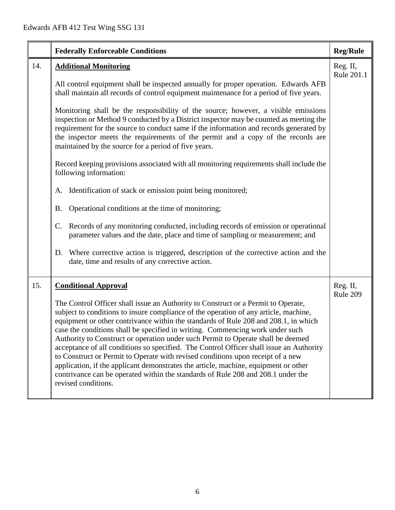|     | <b>Federally Enforceable Conditions</b>                                                                                                                                                                                                                                                                                                                                                                                                                                                                                                                                                                                                                                                                                                                                                                               | <b>Reg/Rule</b>        |
|-----|-----------------------------------------------------------------------------------------------------------------------------------------------------------------------------------------------------------------------------------------------------------------------------------------------------------------------------------------------------------------------------------------------------------------------------------------------------------------------------------------------------------------------------------------------------------------------------------------------------------------------------------------------------------------------------------------------------------------------------------------------------------------------------------------------------------------------|------------------------|
| 14. | <b>Additional Monitoring</b>                                                                                                                                                                                                                                                                                                                                                                                                                                                                                                                                                                                                                                                                                                                                                                                          | Reg. II,<br>Rule 201.1 |
|     | All control equipment shall be inspected annually for proper operation. Edwards AFB<br>shall maintain all records of control equipment maintenance for a period of five years.                                                                                                                                                                                                                                                                                                                                                                                                                                                                                                                                                                                                                                        |                        |
|     | Monitoring shall be the responsibility of the source; however, a visible emissions<br>inspection or Method 9 conducted by a District inspector may be counted as meeting the<br>requirement for the source to conduct same if the information and records generated by<br>the inspector meets the requirements of the permit and a copy of the records are<br>maintained by the source for a period of five years.                                                                                                                                                                                                                                                                                                                                                                                                    |                        |
|     | Record keeping provisions associated with all monitoring requirements shall include the<br>following information:                                                                                                                                                                                                                                                                                                                                                                                                                                                                                                                                                                                                                                                                                                     |                        |
|     | A. Identification of stack or emission point being monitored;                                                                                                                                                                                                                                                                                                                                                                                                                                                                                                                                                                                                                                                                                                                                                         |                        |
|     | Operational conditions at the time of monitoring;<br><b>B.</b>                                                                                                                                                                                                                                                                                                                                                                                                                                                                                                                                                                                                                                                                                                                                                        |                        |
|     | C. Records of any monitoring conducted, including records of emission or operational<br>parameter values and the date, place and time of sampling or measurement; and                                                                                                                                                                                                                                                                                                                                                                                                                                                                                                                                                                                                                                                 |                        |
|     | Where corrective action is triggered, description of the corrective action and the<br>D.<br>date, time and results of any corrective action.                                                                                                                                                                                                                                                                                                                                                                                                                                                                                                                                                                                                                                                                          |                        |
| 15. | <b>Conditional Approval</b>                                                                                                                                                                                                                                                                                                                                                                                                                                                                                                                                                                                                                                                                                                                                                                                           | Reg. II,<br>Rule 209   |
|     | The Control Officer shall issue an Authority to Construct or a Permit to Operate,<br>subject to conditions to insure compliance of the operation of any article, machine,<br>equipment or other contrivance within the standards of Rule 208 and 208.1, in which<br>case the conditions shall be specified in writing. Commencing work under such<br>Authority to Construct or operation under such Permit to Operate shall be deemed<br>acceptance of all conditions so specified. The Control Officer shall issue an Authority<br>to Construct or Permit to Operate with revised conditions upon receipt of a new<br>application, if the applicant demonstrates the article, machine, equipment or other<br>contrivance can be operated within the standards of Rule 208 and 208.1 under the<br>revised conditions. |                        |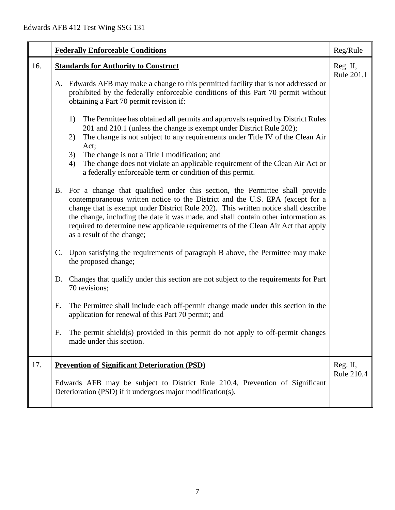|                                                    |           | <b>Federally Enforceable Conditions</b>                                                                                                                                                                                                                                                                                                                                                                                                                                 | Reg/Rule                      |
|----------------------------------------------------|-----------|-------------------------------------------------------------------------------------------------------------------------------------------------------------------------------------------------------------------------------------------------------------------------------------------------------------------------------------------------------------------------------------------------------------------------------------------------------------------------|-------------------------------|
| 16.<br><b>Standards for Authority to Construct</b> |           |                                                                                                                                                                                                                                                                                                                                                                                                                                                                         | Reg. II,<br>Rule 201.1        |
|                                                    |           | A. Edwards AFB may make a change to this permitted facility that is not addressed or<br>prohibited by the federally enforceable conditions of this Part 70 permit without<br>obtaining a Part 70 permit revision if:                                                                                                                                                                                                                                                    |                               |
|                                                    |           | The Permittee has obtained all permits and approvals required by District Rules<br>1)<br>201 and 210.1 (unless the change is exempt under District Rule 202);<br>The change is not subject to any requirements under Title IV of the Clean Air<br>2)<br>Act;<br>3)<br>The change is not a Title I modification; and<br>The change does not violate an applicable requirement of the Clean Air Act or<br>4)<br>a federally enforceable term or condition of this permit. |                               |
|                                                    | <b>B.</b> | For a change that qualified under this section, the Permittee shall provide<br>contemporaneous written notice to the District and the U.S. EPA (except for a<br>change that is exempt under District Rule 202). This written notice shall describe<br>the change, including the date it was made, and shall contain other information as<br>required to determine new applicable requirements of the Clean Air Act that apply<br>as a result of the change;             |                               |
|                                                    | C.        | Upon satisfying the requirements of paragraph B above, the Permittee may make<br>the proposed change;                                                                                                                                                                                                                                                                                                                                                                   |                               |
|                                                    | D.        | Changes that qualify under this section are not subject to the requirements for Part<br>70 revisions;                                                                                                                                                                                                                                                                                                                                                                   |                               |
|                                                    | Ε.        | The Permittee shall include each off-permit change made under this section in the<br>application for renewal of this Part 70 permit; and                                                                                                                                                                                                                                                                                                                                |                               |
|                                                    | F.        | The permit shield(s) provided in this permit do not apply to off-permit changes<br>made under this section.                                                                                                                                                                                                                                                                                                                                                             |                               |
| 17.                                                |           | <b>Prevention of Significant Deterioration (PSD)</b><br>Edwards AFB may be subject to District Rule 210.4, Prevention of Significant<br>Deterioration (PSD) if it undergoes major modification(s).                                                                                                                                                                                                                                                                      | Reg. II,<br><b>Rule 210.4</b> |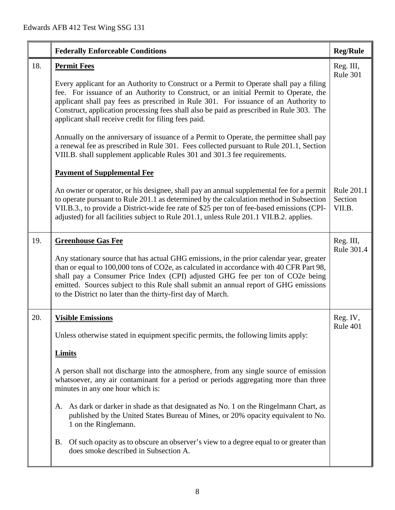|     | <b>Federally Enforceable Conditions</b>                                                                                                                                                                                                                                                                                                                                                                                                                                                                                                                                                                                                                                                                                                                   | <b>Reg/Rule</b>                 |
|-----|-----------------------------------------------------------------------------------------------------------------------------------------------------------------------------------------------------------------------------------------------------------------------------------------------------------------------------------------------------------------------------------------------------------------------------------------------------------------------------------------------------------------------------------------------------------------------------------------------------------------------------------------------------------------------------------------------------------------------------------------------------------|---------------------------------|
| 18. | <b>Permit Fees</b><br>Every applicant for an Authority to Construct or a Permit to Operate shall pay a filing<br>fee. For issuance of an Authority to Construct, or an initial Permit to Operate, the<br>applicant shall pay fees as prescribed in Rule 301. For issuance of an Authority to<br>Construct, application processing fees shall also be paid as prescribed in Rule 303. The<br>applicant shall receive credit for filing fees paid.<br>Annually on the anniversary of issuance of a Permit to Operate, the permittee shall pay<br>a renewal fee as prescribed in Rule 301. Fees collected pursuant to Rule 201.1, Section<br>VIII.B. shall supplement applicable Rules 301 and 301.3 fee requirements.<br><b>Payment of Supplemental Fee</b> | Reg. III,<br>Rule 301           |
|     | An owner or operator, or his designee, shall pay an annual supplemental fee for a permit<br>to operate pursuant to Rule 201.1 as determined by the calculation method in Subsection<br>VII.B.3., to provide a District-wide fee rate of \$25 per ton of fee-based emissions (CPI-<br>adjusted) for all facilities subject to Rule 201.1, unless Rule 201.1 VII.B.2. applies.                                                                                                                                                                                                                                                                                                                                                                              | Rule 201.1<br>Section<br>VII.B. |
| 19. | <b>Greenhouse Gas Fee</b><br>Any stationary source that has actual GHG emissions, in the prior calendar year, greater<br>than or equal to 100,000 tons of CO2e, as calculated in accordance with 40 CFR Part 98,<br>shall pay a Consumer Price Index (CPI) adjusted GHG fee per ton of CO2e being<br>emitted. Sources subject to this Rule shall submit an annual report of GHG emissions<br>to the District no later than the thirty-first day of March.                                                                                                                                                                                                                                                                                                 | Reg. III,<br>Rule 301.4         |
| 20. | <b>Visible Emissions</b><br>Unless otherwise stated in equipment specific permits, the following limits apply:<br><b>Limits</b><br>A person shall not discharge into the atmosphere, from any single source of emission<br>whatsoever, any air contaminant for a period or periods aggregating more than three<br>minutes in any one hour which is:<br>A. As dark or darker in shade as that designated as No. 1 on the Ringelmann Chart, as<br>published by the United States Bureau of Mines, or 20% opacity equivalent to No.<br>1 on the Ringlemann.<br><b>B.</b><br>Of such opacity as to obscure an observer's view to a degree equal to or greater than<br>does smoke described in Subsection A.                                                   | Reg. IV,<br>Rule 401            |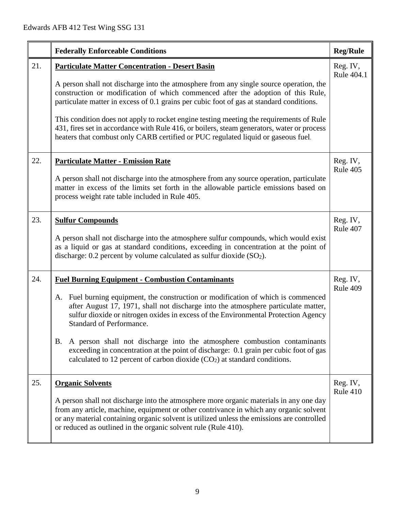|     | <b>Federally Enforceable Conditions</b>                                                                                                                                                                                                                                                                                                                                                                                                                                                                                                                                                                                     | <b>Reg/Rule</b>        |
|-----|-----------------------------------------------------------------------------------------------------------------------------------------------------------------------------------------------------------------------------------------------------------------------------------------------------------------------------------------------------------------------------------------------------------------------------------------------------------------------------------------------------------------------------------------------------------------------------------------------------------------------------|------------------------|
| 21. | <b>Particulate Matter Concentration - Desert Basin</b><br>A person shall not discharge into the atmosphere from any single source operation, the<br>construction or modification of which commenced after the adoption of this Rule,<br>particulate matter in excess of 0.1 grains per cubic foot of gas at standard conditions.<br>This condition does not apply to rocket engine testing meeting the requirements of Rule<br>431, fires set in accordance with Rule 416, or boilers, steam generators, water or process<br>heaters that combust only CARB certified or PUC regulated liquid or gaseous fuel.              | Reg. IV,<br>Rule 404.1 |
| 22. | <b>Particulate Matter - Emission Rate</b><br>A person shall not discharge into the atmosphere from any source operation, particulate<br>matter in excess of the limits set forth in the allowable particle emissions based on<br>process weight rate table included in Rule 405.                                                                                                                                                                                                                                                                                                                                            | Reg. IV,<br>Rule 405   |
| 23. | <b>Sulfur Compounds</b><br>A person shall not discharge into the atmosphere sulfur compounds, which would exist<br>as a liquid or gas at standard conditions, exceeding in concentration at the point of<br>discharge: $0.2$ percent by volume calculated as sulfur dioxide $(SO2)$ .                                                                                                                                                                                                                                                                                                                                       | Reg. IV,<br>Rule 407   |
| 24. | <b>Fuel Burning Equipment - Combustion Contaminants</b><br>A. Fuel burning equipment, the construction or modification of which is commenced<br>after August 17, 1971, shall not discharge into the atmosphere particulate matter,<br>sulfur dioxide or nitrogen oxides in excess of the Environmental Protection Agency<br><b>Standard of Performance.</b><br>A person shall not discharge into the atmosphere combustion contaminants<br><b>B.</b><br>exceeding in concentration at the point of discharge: 0.1 grain per cubic foot of gas<br>calculated to 12 percent of carbon dioxide $(CO2)$ at standard conditions. | Reg. IV,<br>Rule 409   |
| 25. | <b>Organic Solvents</b><br>A person shall not discharge into the atmosphere more organic materials in any one day<br>from any article, machine, equipment or other contrivance in which any organic solvent<br>or any material containing organic solvent is utilized unless the emissions are controlled<br>or reduced as outlined in the organic solvent rule (Rule 410).                                                                                                                                                                                                                                                 | Reg. IV,<br>Rule 410   |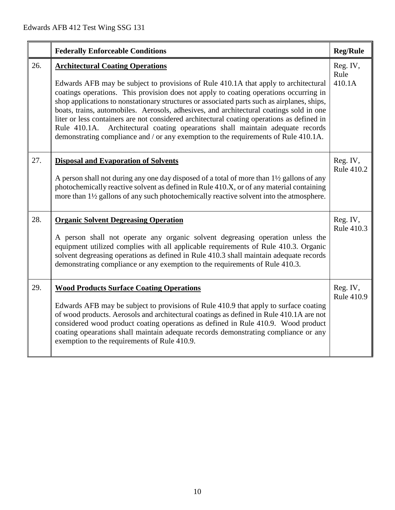|     | <b>Federally Enforceable Conditions</b>                                                                                                                                                                                                                                                                                                                                                                                                                                                                                                                                                                                                                                                     | <b>Reg/Rule</b>            |
|-----|---------------------------------------------------------------------------------------------------------------------------------------------------------------------------------------------------------------------------------------------------------------------------------------------------------------------------------------------------------------------------------------------------------------------------------------------------------------------------------------------------------------------------------------------------------------------------------------------------------------------------------------------------------------------------------------------|----------------------------|
| 26. | <b>Architectural Coating Operations</b><br>Edwards AFB may be subject to provisions of Rule 410.1A that apply to architectural<br>coatings operations. This provision does not apply to coating operations occurring in<br>shop applications to nonstationary structures or associated parts such as airplanes, ships,<br>boats, trains, automobiles. Aerosols, adhesives, and architectural coatings sold in one<br>liter or less containers are not considered architectural coating operations as defined in<br>Architectural coating opearations shall maintain adequate records<br>Rule 410.1A.<br>demonstrating compliance and / or any exemption to the requirements of Rule 410.1A. | Reg. IV,<br>Rule<br>410.1A |
| 27. | <b>Disposal and Evaporation of Solvents</b><br>A person shall not during any one day disposed of a total of more than 1 <sup>1/2</sup> gallons of any<br>photochemically reactive solvent as defined in Rule 410.X, or of any material containing<br>more than 1½ gallons of any such photochemically reactive solvent into the atmosphere.                                                                                                                                                                                                                                                                                                                                                 | Reg. IV,<br>Rule 410.2     |
| 28. | <b>Organic Solvent Degreasing Operation</b><br>A person shall not operate any organic solvent degreasing operation unless the<br>equipment utilized complies with all applicable requirements of Rule 410.3. Organic<br>solvent degreasing operations as defined in Rule 410.3 shall maintain adequate records<br>demonstrating compliance or any exemption to the requirements of Rule 410.3.                                                                                                                                                                                                                                                                                              | Reg. IV,<br>Rule 410.3     |
| 29. | <b>Wood Products Surface Coating Operations</b><br>Edwards AFB may be subject to provisions of Rule 410.9 that apply to surface coating<br>of wood products. Aerosols and architectural coatings as defined in Rule 410.1A are not<br>considered wood product coating operations as defined in Rule 410.9. Wood product<br>coating opearations shall maintain adequate records demonstrating compliance or any<br>exemption to the requirements of Rule 410.9.                                                                                                                                                                                                                              | Reg. IV,<br>Rule 410.9     |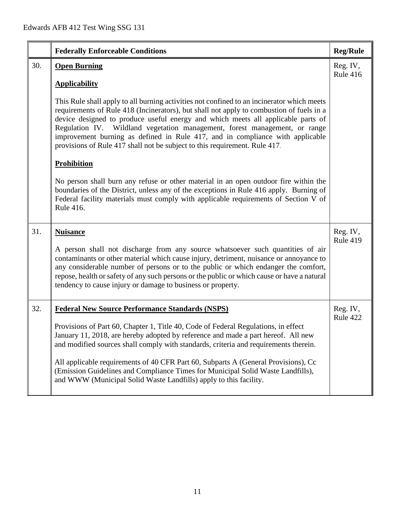|     | <b>Federally Enforceable Conditions</b>                                                                                                                                                                                                                                                                                                                                                                                                                                                                                 | <b>Reg/Rule</b>             |
|-----|-------------------------------------------------------------------------------------------------------------------------------------------------------------------------------------------------------------------------------------------------------------------------------------------------------------------------------------------------------------------------------------------------------------------------------------------------------------------------------------------------------------------------|-----------------------------|
| 30. | <b>Open Burning</b>                                                                                                                                                                                                                                                                                                                                                                                                                                                                                                     | Reg. IV,<br><b>Rule 416</b> |
|     | <b>Applicability</b>                                                                                                                                                                                                                                                                                                                                                                                                                                                                                                    |                             |
|     | This Rule shall apply to all burning activities not confined to an incinerator which meets<br>requirements of Rule 418 (Incinerators), but shall not apply to combustion of fuels in a<br>device designed to produce useful energy and which meets all applicable parts of<br>Regulation IV. Wildland vegetation management, forest management, or range<br>improvement burning as defined in Rule 417, and in compliance with applicable<br>provisions of Rule 417 shall not be subject to this requirement. Rule 417. |                             |
|     | <b>Prohibition</b>                                                                                                                                                                                                                                                                                                                                                                                                                                                                                                      |                             |
|     | No person shall burn any refuse or other material in an open outdoor fire within the<br>boundaries of the District, unless any of the exceptions in Rule 416 apply. Burning of<br>Federal facility materials must comply with applicable requirements of Section V of<br>Rule 416.                                                                                                                                                                                                                                      |                             |
| 31. | <b>Nuisance</b>                                                                                                                                                                                                                                                                                                                                                                                                                                                                                                         | Reg. IV,                    |
|     | A person shall not discharge from any source whatsoever such quantities of air<br>contaminants or other material which cause injury, detriment, nuisance or annoyance to<br>any considerable number of persons or to the public or which endanger the comfort,<br>repose, health or safety of any such persons or the public or which cause or have a natural<br>tendency to cause injury or damage to business or property.                                                                                            | Rule 419                    |
| 32. | <b>Federal New Source Performance Standards (NSPS)</b>                                                                                                                                                                                                                                                                                                                                                                                                                                                                  | Reg. IV,                    |
|     | Provisions of Part 60, Chapter 1, Title 40, Code of Federal Regulations, in effect<br>January 11, 2018, are hereby adopted by reference and made a part hereof. All new<br>and modified sources shall comply with standards, criteria and requirements therein.                                                                                                                                                                                                                                                         | Rule 422                    |
|     | All applicable requirements of 40 CFR Part 60, Subparts A (General Provisions), Cc<br>(Emission Guidelines and Compliance Times for Municipal Solid Waste Landfills),<br>and WWW (Municipal Solid Waste Landfills) apply to this facility.                                                                                                                                                                                                                                                                              |                             |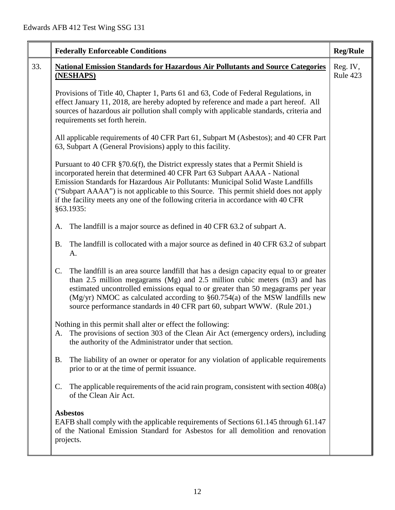|     | <b>Federally Enforceable Conditions</b>                                                                                                                                                                                                                                                                                                                                                                                                        | <b>Reg/Rule</b>      |
|-----|------------------------------------------------------------------------------------------------------------------------------------------------------------------------------------------------------------------------------------------------------------------------------------------------------------------------------------------------------------------------------------------------------------------------------------------------|----------------------|
| 33. | <b>National Emission Standards for Hazardous Air Pollutants and Source Categories</b><br>(NESHAPS)                                                                                                                                                                                                                                                                                                                                             | Reg. IV,<br>Rule 423 |
|     | Provisions of Title 40, Chapter 1, Parts 61 and 63, Code of Federal Regulations, in<br>effect January 11, 2018, are hereby adopted by reference and made a part hereof. All<br>sources of hazardous air pollution shall comply with applicable standards, criteria and<br>requirements set forth herein.                                                                                                                                       |                      |
|     | All applicable requirements of 40 CFR Part 61, Subpart M (Asbestos); and 40 CFR Part<br>63, Subpart A (General Provisions) apply to this facility.                                                                                                                                                                                                                                                                                             |                      |
|     | Pursuant to 40 CFR §70.6(f), the District expressly states that a Permit Shield is<br>incorporated herein that determined 40 CFR Part 63 Subpart AAAA - National<br>Emission Standards for Hazardous Air Pollutants: Municipal Solid Waste Landfills<br>("Subpart AAAA") is not applicable to this Source. This permit shield does not apply<br>if the facility meets any one of the following criteria in accordance with 40 CFR<br>§63.1935: |                      |
|     | The landfill is a major source as defined in 40 CFR 63.2 of subpart A.<br>A.                                                                                                                                                                                                                                                                                                                                                                   |                      |
|     | The landfill is collocated with a major source as defined in 40 CFR 63.2 of subpart<br><b>B.</b><br>A.                                                                                                                                                                                                                                                                                                                                         |                      |
|     | The landfill is an area source landfill that has a design capacity equal to or greater<br>$\mathsf{C}$ .<br>than 2.5 million megagrams (Mg) and 2.5 million cubic meters (m3) and has<br>estimated uncontrolled emissions equal to or greater than 50 megagrams per year<br>(Mg/yr) NMOC as calculated according to $\S60.754(a)$ of the MSW landfills new<br>source performance standards in 40 CFR part 60, subpart WWW. (Rule 201.)         |                      |
|     | Nothing in this permit shall alter or effect the following:<br>The provisions of section 303 of the Clean Air Act (emergency orders), including<br>A.<br>the authority of the Administrator under that section.                                                                                                                                                                                                                                |                      |
|     | The liability of an owner or operator for any violation of applicable requirements<br><b>B.</b><br>prior to or at the time of permit issuance.                                                                                                                                                                                                                                                                                                 |                      |
|     | The applicable requirements of the acid rain program, consistent with section 408(a)<br>$\mathbf{C}$ .<br>of the Clean Air Act.                                                                                                                                                                                                                                                                                                                |                      |
|     | <b>Asbestos</b><br>EAFB shall comply with the applicable requirements of Sections 61.145 through 61.147<br>of the National Emission Standard for Asbestos for all demolition and renovation<br>projects.                                                                                                                                                                                                                                       |                      |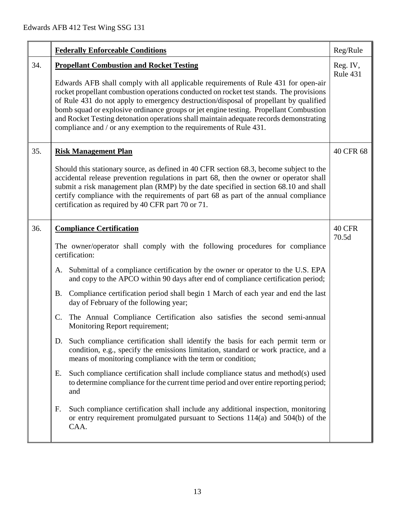|     | <b>Federally Enforceable Conditions</b>                                                                                                                                                                                                                                                                                                                                                                                                                                                                                                                                                                                                                                                                                                                                                                                                                                                                                                                                                                                                                                                                                                                                                          | Reg/Rule               |
|-----|--------------------------------------------------------------------------------------------------------------------------------------------------------------------------------------------------------------------------------------------------------------------------------------------------------------------------------------------------------------------------------------------------------------------------------------------------------------------------------------------------------------------------------------------------------------------------------------------------------------------------------------------------------------------------------------------------------------------------------------------------------------------------------------------------------------------------------------------------------------------------------------------------------------------------------------------------------------------------------------------------------------------------------------------------------------------------------------------------------------------------------------------------------------------------------------------------|------------------------|
| 34. | <b>Propellant Combustion and Rocket Testing</b><br>Edwards AFB shall comply with all applicable requirements of Rule 431 for open-air<br>rocket propellant combustion operations conducted on rocket test stands. The provisions<br>of Rule 431 do not apply to emergency destruction/disposal of propellant by qualified<br>bomb squad or explosive ordinance groups or jet engine testing. Propellant Combustion<br>and Rocket Testing detonation operations shall maintain adequate records demonstrating<br>compliance and / or any exemption to the requirements of Rule 431.                                                                                                                                                                                                                                                                                                                                                                                                                                                                                                                                                                                                               | Reg. IV,<br>Rule 431   |
| 35. | <b>Risk Management Plan</b><br>Should this stationary source, as defined in 40 CFR section 68.3, become subject to the<br>accidental release prevention regulations in part 68, then the owner or operator shall<br>submit a risk management plan (RMP) by the date specified in section 68.10 and shall<br>certify compliance with the requirements of part 68 as part of the annual compliance<br>certification as required by 40 CFR part 70 or 71.                                                                                                                                                                                                                                                                                                                                                                                                                                                                                                                                                                                                                                                                                                                                           | 40 CFR 68              |
| 36. | <b>Compliance Certification</b><br>The owner/operator shall comply with the following procedures for compliance<br>certification:<br>A. Submittal of a compliance certification by the owner or operator to the U.S. EPA<br>and copy to the APCO within 90 days after end of compliance certification period;<br>Compliance certification period shall begin 1 March of each year and end the last<br>B.<br>day of February of the following year;<br>The Annual Compliance Certification also satisfies the second semi-annual<br>C.<br>Monitoring Report requirement;<br>D. Such compliance certification shall identify the basis for each permit term or<br>condition, e.g., specify the emissions limitation, standard or work practice, and a<br>means of monitoring compliance with the term or condition;<br>Such compliance certification shall include compliance status and method(s) used<br>Е.<br>to determine compliance for the current time period and over entire reporting period;<br>and<br>Such compliance certification shall include any additional inspection, monitoring<br>F.<br>or entry requirement promulgated pursuant to Sections 114(a) and 504(b) of the<br>CAA. | <b>40 CFR</b><br>70.5d |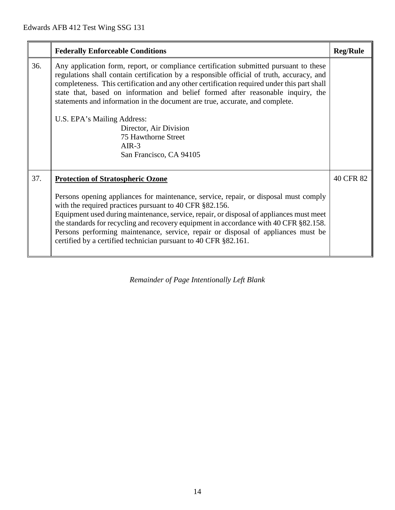|     | <b>Federally Enforceable Conditions</b>                                                                                                                                                                                                                                                                                                                                                                                                                                                                                                                                     | <b>Reg/Rule</b> |
|-----|-----------------------------------------------------------------------------------------------------------------------------------------------------------------------------------------------------------------------------------------------------------------------------------------------------------------------------------------------------------------------------------------------------------------------------------------------------------------------------------------------------------------------------------------------------------------------------|-----------------|
| 36. | Any application form, report, or compliance certification submitted pursuant to these<br>regulations shall contain certification by a responsible official of truth, accuracy, and<br>completeness. This certification and any other certification required under this part shall<br>state that, based on information and belief formed after reasonable inquiry, the<br>statements and information in the document are true, accurate, and complete.<br>U.S. EPA's Mailing Address:<br>Director, Air Division<br>75 Hawthorne Street<br>$AIR-3$<br>San Francisco, CA 94105 |                 |
| 37. | <b>Protection of Stratospheric Ozone</b><br>Persons opening appliances for maintenance, service, repair, or disposal must comply<br>with the required practices pursuant to 40 CFR §82.156.<br>Equipment used during maintenance, service, repair, or disposal of appliances must meet<br>the standards for recycling and recovery equipment in accordance with 40 CFR §82.158.<br>Persons performing maintenance, service, repair or disposal of appliances must be<br>certified by a certified technician pursuant to 40 CFR §82.161.                                     | 40 CFR 82       |

*Remainder of Page Intentionally Left Blank*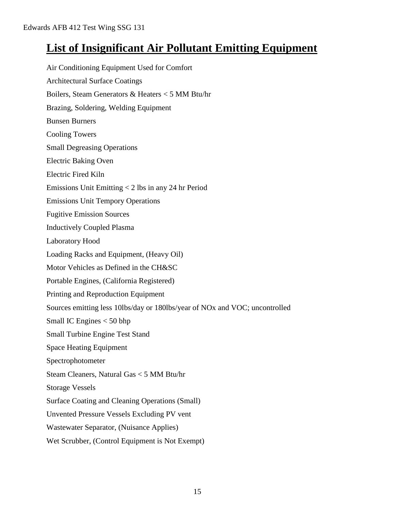## **List of Insignificant Air Pollutant Emitting Equipment**

Air Conditioning Equipment Used for Comfort Architectural Surface Coatings Boilers, Steam Generators & Heaters < 5 MM Btu/hr Brazing, Soldering, Welding Equipment Bunsen Burners Cooling Towers Small Degreasing Operations Electric Baking Oven Electric Fired Kiln Emissions Unit Emitting < 2 lbs in any 24 hr Period Emissions Unit Tempory Operations Fugitive Emission Sources Inductively Coupled Plasma Laboratory Hood Loading Racks and Equipment, (Heavy Oil) Motor Vehicles as Defined in the CH&SC Portable Engines, (California Registered) Printing and Reproduction Equipment Sources emitting less 10lbs/day or 180lbs/year of NOx and VOC; uncontrolled Small IC Engines < 50 bhp Small Turbine Engine Test Stand Space Heating Equipment Spectrophotometer Steam Cleaners, Natural Gas < 5 MM Btu/hr Storage Vessels Surface Coating and Cleaning Operations (Small) Unvented Pressure Vessels Excluding PV vent Wastewater Separator, (Nuisance Applies) Wet Scrubber, (Control Equipment is Not Exempt)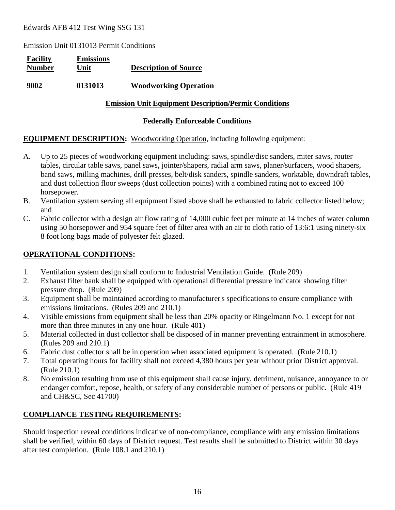Emission Unit 0131013 Permit Conditions

| <b>Facility</b><br><b>Number</b> | <b>Emissions</b><br>Unit | <b>Description of Source</b> |
|----------------------------------|--------------------------|------------------------------|
| 9002                             | 0131013                  | <b>Woodworking Operation</b> |

### **Emission Unit Equipment Description/Permit Conditions**

#### **Federally Enforceable Conditions**

#### **EQUIPMENT DESCRIPTION:** Woodworking Operation, including following equipment:

- A. Up to 25 pieces of woodworking equipment including: saws, spindle/disc sanders, miter saws, router tables, circular table saws, panel saws, jointer/shapers, radial arm saws, planer/surfacers, wood shapers, band saws, milling machines, drill presses, belt/disk sanders, spindle sanders, worktable, downdraft tables, and dust collection floor sweeps (dust collection points) with a combined rating not to exceed 100 horsepower.
- B. Ventilation system serving all equipment listed above shall be exhausted to fabric collector listed below; and
- C. Fabric collector with a design air flow rating of 14,000 cubic feet per minute at 14 inches of water column using 50 horsepower and 954 square feet of filter area with an air to cloth ratio of 13:6:1 using ninety-six 8 foot long bags made of polyester felt glazed.

## **OPERATIONAL CONDITIONS:**

- 1. Ventilation system design shall conform to Industrial Ventilation Guide. (Rule 209)
- 2. Exhaust filter bank shall be equipped with operational differential pressure indicator showing filter pressure drop. (Rule 209)
- 3. Equipment shall be maintained according to manufacturer's specifications to ensure compliance with emissions limitations. (Rules 209 and 210.1)
- 4. Visible emissions from equipment shall be less than 20% opacity or Ringelmann No. 1 except for not more than three minutes in any one hour. (Rule 401)
- 5. Material collected in dust collector shall be disposed of in manner preventing entrainment in atmosphere. (Rules 209 and 210.1)
- 6. Fabric dust collector shall be in operation when associated equipment is operated. (Rule 210.1)
- 7. Total operating hours for facility shall not exceed 4,380 hours per year without prior District approval. (Rule 210.1)
- 8. No emission resulting from use of this equipment shall cause injury, detriment, nuisance, annoyance to or endanger comfort, repose, health, or safety of any considerable number of persons or public. (Rule 419 and CH&SC, Sec 41700)

## **COMPLIANCE TESTING REQUIREMENTS:**

Should inspection reveal conditions indicative of non-compliance, compliance with any emission limitations shall be verified, within 60 days of District request. Test results shall be submitted to District within 30 days after test completion. (Rule 108.1 and 210.1)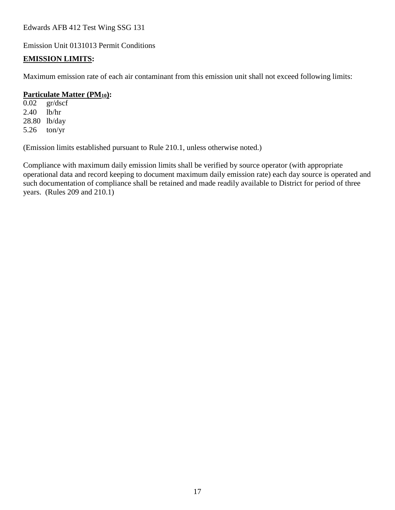Emission Unit 0131013 Permit Conditions

## **EMISSION LIMITS:**

Maximum emission rate of each air contaminant from this emission unit shall not exceed following limits:

#### **Particulate Matter (PM10):**

 $\overline{0.02}$  gr/dscf  $2.40$  lb/hr 28.80 lb/day 5.26 ton/yr

(Emission limits established pursuant to Rule 210.1, unless otherwise noted.)

Compliance with maximum daily emission limits shall be verified by source operator (with appropriate operational data and record keeping to document maximum daily emission rate) each day source is operated and such documentation of compliance shall be retained and made readily available to District for period of three years. (Rules 209 and 210.1)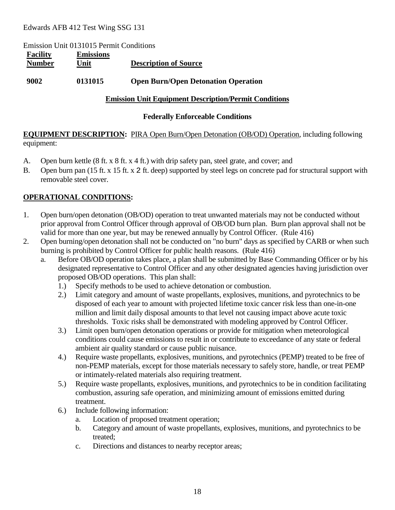Emission Unit 0131015 Permit Conditions

| <b>Facility</b><br><b>Number</b> | <b>Emissions</b><br>Unit | <b>Description of Source</b>               |
|----------------------------------|--------------------------|--------------------------------------------|
| 9002                             | 0131015                  | <b>Open Burn/Open Detonation Operation</b> |

#### **Emission Unit Equipment Description/Permit Conditions**

#### **Federally Enforceable Conditions**

**EQUIPMENT DESCRIPTION:** PIRA Open Burn/Open Detonation (OB/OD) Operation, including following equipment:

- A. Open burn kettle (8 ft. x 8 ft. x 4 ft.) with drip safety pan, steel grate, and cover; and
- B. Open burn pan (15 ft. x 15 ft. x 2 ft. deep) supported by steel legs on concrete pad for structural support with removable steel cover.

## **OPERATIONAL CONDITIONS:**

- 1. Open burn/open detonation (OB/OD) operation to treat unwanted materials may not be conducted without prior approval from Control Officer through approval of OB/OD burn plan. Burn plan approval shall not be valid for more than one year, but may be renewed annually by Control Officer. (Rule 416)
- 2. Open burning/open detonation shall not be conducted on "no burn" days as specified by CARB or when such burning is prohibited by Control Officer for public health reasons. (Rule 416)
	- a. Before OB/OD operation takes place, a plan shall be submitted by Base Commanding Officer or by his designated representative to Control Officer and any other designated agencies having jurisdiction over proposed OB/OD operations. This plan shall:
		- 1.) Specify methods to be used to achieve detonation or combustion.
		- 2.) Limit category and amount of waste propellants, explosives, munitions, and pyrotechnics to be disposed of each year to amount with projected lifetime toxic cancer risk less than one-in-one million and limit daily disposal amounts to that level not causing impact above acute toxic thresholds. Toxic risks shall be demonstrated with modeling approved by Control Officer.
		- 3.) Limit open burn/open detonation operations or provide for mitigation when meteorological conditions could cause emissions to result in or contribute to exceedance of any state or federal ambient air quality standard or cause public nuisance.
		- 4.) Require waste propellants, explosives, munitions, and pyrotechnics (PEMP) treated to be free of non-PEMP materials, except for those materials necessary to safely store, handle, or treat PEMP or intimately-related materials also requiring treatment.
		- 5.) Require waste propellants, explosives, munitions, and pyrotechnics to be in condition facilitating combustion, assuring safe operation, and minimizing amount of emissions emitted during treatment.
		- 6.) Include following information:
			- a. Location of proposed treatment operation;
			- b. Category and amount of waste propellants, explosives, munitions, and pyrotechnics to be treated;
			- c. Directions and distances to nearby receptor areas;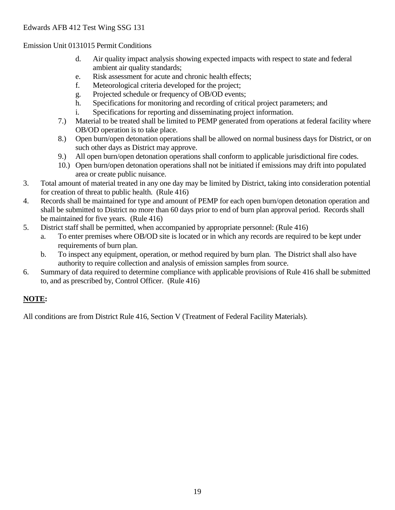Emission Unit 0131015 Permit Conditions

- d. Air quality impact analysis showing expected impacts with respect to state and federal ambient air quality standards;
- e. Risk assessment for acute and chronic health effects;
- f. Meteorological criteria developed for the project;
- g. Projected schedule or frequency of OB/OD events;
- h. Specifications for monitoring and recording of critical project parameters; and
- i. Specifications for reporting and disseminating project information.
- 7.) Material to be treated shall be limited to PEMP generated from operations at federal facility where OB/OD operation is to take place.
- 8.) Open burn/open detonation operations shall be allowed on normal business days for District, or on such other days as District may approve.
- 9.) All open burn/open detonation operations shall conform to applicable jurisdictional fire codes.
- 10.) Open burn/open detonation operations shall not be initiated if emissions may drift into populated area or create public nuisance.
- 3. Total amount of material treated in any one day may be limited by District, taking into consideration potential for creation of threat to public health. (Rule 416)
- 4. Records shall be maintained for type and amount of PEMP for each open burn/open detonation operation and shall be submitted to District no more than 60 days prior to end of burn plan approval period. Records shall be maintained for five years. (Rule 416)
- 5. District staff shall be permitted, when accompanied by appropriate personnel: (Rule 416)
	- a. To enter premises where OB/OD site is located or in which any records are required to be kept under requirements of burn plan.
	- b. To inspect any equipment, operation, or method required by burn plan. The District shall also have authority to require collection and analysis of emission samples from source.
- 6. Summary of data required to determine compliance with applicable provisions of Rule 416 shall be submitted to, and as prescribed by, Control Officer. (Rule 416)

## **NOTE:**

All conditions are from District Rule 416, Section V (Treatment of Federal Facility Materials).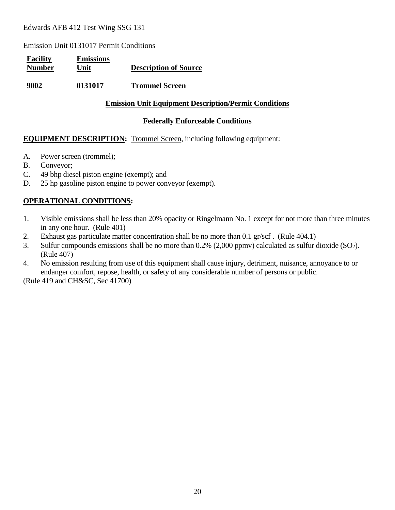Emission Unit 0131017 Permit Conditions

| <b>Facility</b><br><b>Number</b> | <b>Emissions</b><br>Unit | <b>Description of Source</b> |
|----------------------------------|--------------------------|------------------------------|
| 9002                             | 0131017                  | <b>Trommel Screen</b>        |

#### **Emission Unit Equipment Description/Permit Conditions**

#### **Federally Enforceable Conditions**

#### **EQUIPMENT DESCRIPTION:** Trommel Screen, including following equipment:

- A. Power screen (trommel);
- B. Conveyor;
- C. 49 bhp diesel piston engine (exempt); and
- D. 25 hp gasoline piston engine to power conveyor (exempt).

#### **OPERATIONAL CONDITIONS:**

- 1. Visible emissions shall be less than 20% opacity or Ringelmann No. 1 except for not more than three minutes in any one hour. (Rule 401)
- 2. Exhaust gas particulate matter concentration shall be no more than 0.1 gr/scf . (Rule 404.1)
- 3. Sulfur compounds emissions shall be no more than  $0.2\%$  (2,000 ppmv) calculated as sulfur dioxide (SO<sub>2</sub>). (Rule 407)
- 4. No emission resulting from use of this equipment shall cause injury, detriment, nuisance, annoyance to or endanger comfort, repose, health, or safety of any considerable number of persons or public.

(Rule 419 and CH&SC, Sec 41700)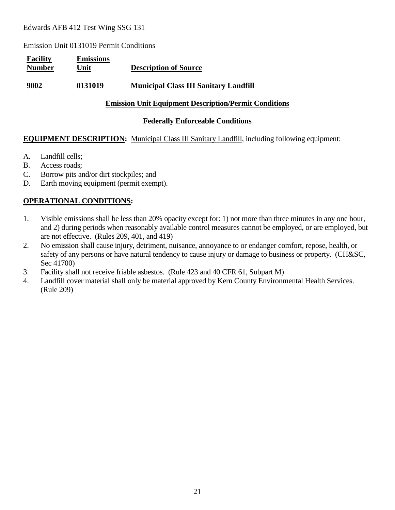Emission Unit 0131019 Permit Conditions

| <b>Facility</b><br><b>Number</b> | <b>Emissions</b><br>Unit | <b>Description of Source</b>                 |
|----------------------------------|--------------------------|----------------------------------------------|
| 9002                             | 0131019                  | <b>Municipal Class III Sanitary Landfill</b> |

### **Emission Unit Equipment Description/Permit Conditions**

#### **Federally Enforceable Conditions**

## **EQUIPMENT DESCRIPTION:** Municipal Class III Sanitary Landfill, including following equipment:

- A. Landfill cells;
- B. Access roads;
- C. Borrow pits and/or dirt stockpiles; and
- D. Earth moving equipment (permit exempt).

## **OPERATIONAL CONDITIONS:**

- 1. Visible emissions shall be less than 20% opacity except for: 1) not more than three minutes in any one hour, and 2) during periods when reasonably available control measures cannot be employed, or are employed, but are not effective. (Rules 209, 401, and 419)
- 2. No emission shall cause injury, detriment, nuisance, annoyance to or endanger comfort, repose, health, or safety of any persons or have natural tendency to cause injury or damage to business or property. (CH&SC, Sec 41700)
- 3. Facility shall not receive friable asbestos. (Rule 423 and 40 CFR 61, Subpart M)
- 4. Landfill cover material shall only be material approved by Kern County Environmental Health Services. (Rule 209)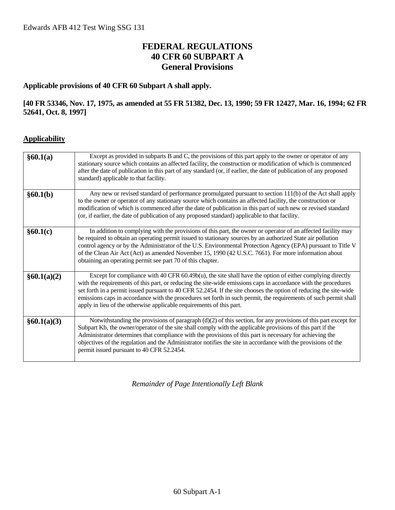## **FEDERAL REGULATIONS 40 CFR 60 SUBPART A General Provisions**

## **Applicable provisions of 40 CFR 60 Subpart A shall apply.**

### **[40 FR 53346, Nov. 17, 1975, as amended at 55 FR 51382, Dec. 13, 1990; 59 FR 12427, Mar. 16, 1994; 62 FR 52641, Oct. 8, 1997]**

#### **Applicability**

| §60.1(a)    | Except as provided in subparts B and C, the provisions of this part apply to the owner or operator of any<br>stationary source which contains an affected facility, the construction or modification of which is commenced<br>after the date of publication in this part of any standard (or, if earlier, the date of publication of any proposed<br>standard) applicable to that facility.                                                                                                                                                    |
|-------------|------------------------------------------------------------------------------------------------------------------------------------------------------------------------------------------------------------------------------------------------------------------------------------------------------------------------------------------------------------------------------------------------------------------------------------------------------------------------------------------------------------------------------------------------|
| §60.1(b)    | Any new or revised standard of performance promulgated pursuant to section 111(b) of the Act shall apply<br>to the owner or operator of any stationary source which contains an affected facility, the construction or<br>modification of which is commenced after the date of publication in this part of such new or revised standard<br>(or, if earlier, the date of publication of any proposed standard) applicable to that facility.                                                                                                     |
| §60.1(c)    | In addition to complying with the provisions of this part, the owner or operator of an affected facility may<br>be required to obtain an operating permit issued to stationary sources by an authorized State air pollution<br>control agency or by the Administrator of the U.S. Environmental Protection Agency (EPA) pursuant to Title V<br>of the Clean Air Act (Act) as amended November 15, 1990 (42 U.S.C. 7661). For more information about<br>obtaining an operating permit see part 70 of this chapter.                              |
| §60.1(a)(2) | Except for compliance with 40 CFR $60.49b(u)$ , the site shall have the option of either complying directly<br>with the requirements of this part, or reducing the site-wide emissions caps in accordance with the procedures<br>set forth in a permit issued pursuant to 40 CFR 52.2454. If the site chooses the option of reducing the site-wide<br>emissions caps in accordance with the procedures set forth in such permit, the requirements of such permit shall<br>apply in lieu of the otherwise applicable requirements of this part. |
| §60.1(a)(3) | Notwithstanding the provisions of paragraph (d)(2) of this section, for any provisions of this part except for<br>Subpart Kb, the owner/operator of the site shall comply with the applicable provisions of this part if the<br>Administrator determines that compliance with the provisions of this part is necessary for achieving the<br>objectives of the regulation and the Administrator notifies the site in accordance with the provisions of the<br>permit issued pursuant to 40 CFR 52.2454.                                         |

*Remainder of Page Intentionally Left Blank*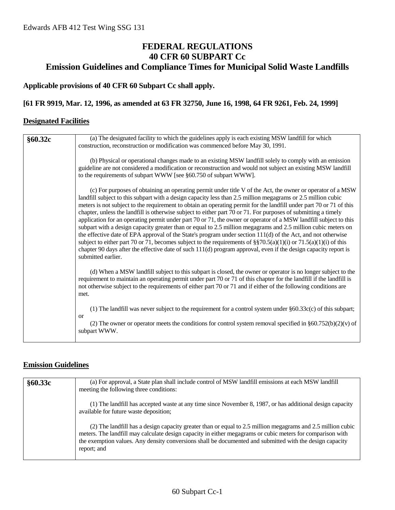## **FEDERAL REGULATIONS 40 CFR 60 SUBPART Cc Emission Guidelines and Compliance Times for Municipal Solid Waste Landfills**

#### **Applicable provisions of 40 CFR 60 Subpart Cc shall apply.**

#### **[61 FR 9919, Mar. 12, 1996, as amended at 63 FR 32750, June 16, 1998, 64 FR 9261, Feb. 24, 1999]**

#### **Designated Facilities**

| §60.32c | (a) The designated facility to which the guidelines apply is each existing MSW landfill for which<br>construction, reconstruction or modification was commenced before May 30, 1991.                                                                                                                                                                                                                                                                                                                                                                                                                                                                                                                                                                                                                                                                                                                                                                                                                                                                                                        |
|---------|---------------------------------------------------------------------------------------------------------------------------------------------------------------------------------------------------------------------------------------------------------------------------------------------------------------------------------------------------------------------------------------------------------------------------------------------------------------------------------------------------------------------------------------------------------------------------------------------------------------------------------------------------------------------------------------------------------------------------------------------------------------------------------------------------------------------------------------------------------------------------------------------------------------------------------------------------------------------------------------------------------------------------------------------------------------------------------------------|
|         | (b) Physical or operational changes made to an existing MSW landfill solely to comply with an emission<br>guideline are not considered a modification or reconstruction and would not subject an existing MSW landfill<br>to the requirements of subpart WWW [see §60.750 of subpart WWW].                                                                                                                                                                                                                                                                                                                                                                                                                                                                                                                                                                                                                                                                                                                                                                                                  |
|         | (c) For purposes of obtaining an operating permit under title V of the Act, the owner or operator of a MSW<br>landfill subject to this subpart with a design capacity less than 2.5 million megagrams or 2.5 million cubic<br>meters is not subject to the requirement to obtain an operating permit for the landfill under part 70 or 71 of this<br>chapter, unless the landfill is otherwise subject to either part 70 or 71. For purposes of submitting a timely<br>application for an operating permit under part 70 or 71, the owner or operator of a MSW landfill subject to this<br>subpart with a design capacity greater than or equal to 2.5 million megagrams and 2.5 million cubic meters on<br>the effective date of EPA approval of the State's program under section 111(d) of the Act, and not otherwise<br>subject to either part 70 or 71, becomes subject to the requirements of $\S$ $0.5(a)(1)(i)$ or $71.5(a)(1)(i)$ of this<br>chapter 90 days after the effective date of such 111(d) program approval, even if the design capacity report is<br>submitted earlier. |
|         | (d) When a MSW landfill subject to this subpart is closed, the owner or operator is no longer subject to the<br>requirement to maintain an operating permit under part 70 or 71 of this chapter for the landfill if the landfill is<br>not otherwise subject to the requirements of either part 70 or 71 and if either of the following conditions are<br>met.                                                                                                                                                                                                                                                                                                                                                                                                                                                                                                                                                                                                                                                                                                                              |
|         | (1) The landfill was never subject to the requirement for a control system under $§60.33c(c)$ of this subpart;<br><b>or</b><br>(2) The owner or operator meets the conditions for control system removal specified in $\S 60.752(b)(2)(v)$ of<br>subpart WWW.                                                                                                                                                                                                                                                                                                                                                                                                                                                                                                                                                                                                                                                                                                                                                                                                                               |

#### **Emission Guidelines**

| §60.33c | (a) For approval, a State plan shall include control of MSW landfill emissions at each MSW landfill<br>meeting the following three conditions:                                                                                                                                                                                                       |
|---------|------------------------------------------------------------------------------------------------------------------------------------------------------------------------------------------------------------------------------------------------------------------------------------------------------------------------------------------------------|
|         | (1) The landfill has accepted waste at any time since November 8, 1987, or has additional design capacity<br>available for future waste deposition;                                                                                                                                                                                                  |
|         | (2) The landfill has a design capacity greater than or equal to 2.5 million megagrams and 2.5 million cubic<br>meters. The landfill may calculate design capacity in either megagrams or cubic meters for comparison with<br>the exemption values. Any density conversions shall be documented and submitted with the design capacity<br>report; and |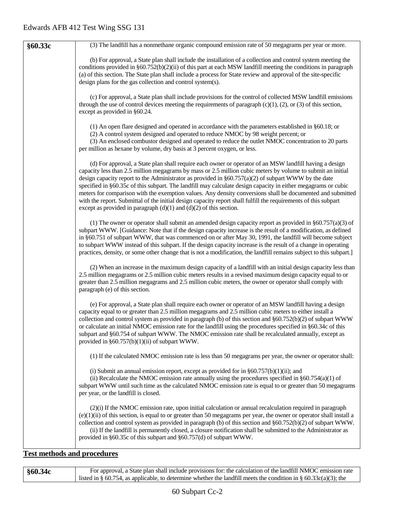| §60.33c                            | (3) The landfill has a nonmethane organic compound emission rate of 50 megagrams per year or more.                                                                                                                                                                                                                                                                                                                                                                                                                                                                                                                                                                                                                                                          |
|------------------------------------|-------------------------------------------------------------------------------------------------------------------------------------------------------------------------------------------------------------------------------------------------------------------------------------------------------------------------------------------------------------------------------------------------------------------------------------------------------------------------------------------------------------------------------------------------------------------------------------------------------------------------------------------------------------------------------------------------------------------------------------------------------------|
|                                    | (b) For approval, a State plan shall include the installation of a collection and control system meeting the<br>conditions provided in $\S 60.752(b)(2)(ii)$ of this part at each MSW landfill meeting the conditions in paragraph<br>(a) of this section. The State plan shall include a process for State review and approval of the site-specific<br>design plans for the gas collection and control system(s).                                                                                                                                                                                                                                                                                                                                          |
|                                    | (c) For approval, a State plan shall include provisions for the control of collected MSW landfill emissions<br>through the use of control devices meeting the requirements of paragraph $(c)(1)$ , $(2)$ , or $(3)$ of this section,<br>except as provided in §60.24.                                                                                                                                                                                                                                                                                                                                                                                                                                                                                       |
|                                    | $(1)$ An open flare designed and operated in accordance with the parameters established in §60.18; or<br>(2) A control system designed and operated to reduce NMOC by 98 weight percent; or<br>(3) An enclosed combustor designed and operated to reduce the outlet NMOC concentration to 20 parts<br>per million as hexane by volume, dry basis at 3 percent oxygen, or less.                                                                                                                                                                                                                                                                                                                                                                              |
|                                    | (d) For approval, a State plan shall require each owner or operator of an MSW landfill having a design<br>capacity less than 2.5 million megagrams by mass or 2.5 million cubic meters by volume to submit an initial<br>design capacity report to the Administrator as provided in $\S60.757(a)(2)$ of subpart WWW by the date<br>specified in §60.35c of this subpart. The landfill may calculate design capacity in either megagrams or cubic<br>meters for comparison with the exemption values. Any density conversions shall be documented and submitted<br>with the report. Submittal of the initial design capacity report shall fulfill the requirements of this subpart<br>except as provided in paragraph $(d)(1)$ and $(d)(2)$ of this section. |
|                                    | (1) The owner or operator shall submit an amended design capacity report as provided in $\S 60.757(a)(3)$ of<br>subpart WWW. [Guidance: Note that if the design capacity increase is the result of a modification, as defined<br>in §60.751 of subpart WWW, that was commenced on or after May 30, 1991, the landfill will become subject<br>to subpart WWW instead of this subpart. If the design capacity increase is the result of a change in operating<br>practices, density, or some other change that is not a modification, the landfill remains subject to this subpart.]                                                                                                                                                                          |
|                                    | (2) When an increase in the maximum design capacity of a landfill with an initial design capacity less than<br>2.5 million megagrams or 2.5 million cubic meters results in a revised maximum design capacity equal to or<br>greater than 2.5 million megagrams and 2.5 million cubic meters, the owner or operator shall comply with<br>paragraph (e) of this section.                                                                                                                                                                                                                                                                                                                                                                                     |
|                                    | (e) For approval, a State plan shall require each owner or operator of an MSW landfill having a design<br>capacity equal to or greater than 2.5 million megagrams and 2.5 million cubic meters to either install a<br>collection and control system as provided in paragraph (b) of this section and $\S60.752(b)(2)$ of subpart WWW<br>or calculate an initial NMOC emission rate for the landfill using the procedures specified in §60.34c of this<br>subpart and §60.754 of subpart WWW. The NMOC emission rate shall be recalculated annually, except as<br>provided in $§60.757(b)(1)(ii)$ of subpart WWW.                                                                                                                                            |
|                                    | (1) If the calculated NMOC emission rate is less than 50 megagrams per year, the owner or operator shall:                                                                                                                                                                                                                                                                                                                                                                                                                                                                                                                                                                                                                                                   |
|                                    | (i) Submit an annual emission report, except as provided for in $\S60.757(b)(1)(ii)$ ; and<br>(ii) Recalculate the NMOC emission rate annually using the procedures specified in $\S 60.754(a)(1)$ of<br>subpart WWW until such time as the calculated NMOC emission rate is equal to or greater than 50 megagrams<br>per year, or the landfill is closed.                                                                                                                                                                                                                                                                                                                                                                                                  |
|                                    | $(2)(i)$ If the NMOC emission rate, upon initial calculation or annual recalculation required in paragraph<br>$(e)(1)(ii)$ of this section, is equal to or greater than 50 megagrams per year, the owner or operator shall install a<br>collection and control system as provided in paragraph (b) of this section and §60.752(b)(2) of subpart WWW.<br>(ii) If the landfill is permanently closed, a closure notification shall be submitted to the Administrator as<br>provided in §60.35c of this subpart and §60.757(d) of subpart WWW.                                                                                                                                                                                                                 |
| <b>Test methods and procedures</b> |                                                                                                                                                                                                                                                                                                                                                                                                                                                                                                                                                                                                                                                                                                                                                             |

**§60.34c** For approval, a State plan shall include provisions for: the calculation of the landfill NMOC emission rate listed in § 60.754, as applicable, to determine whether the landfill meets the condition in § 60.33c(a)(3); the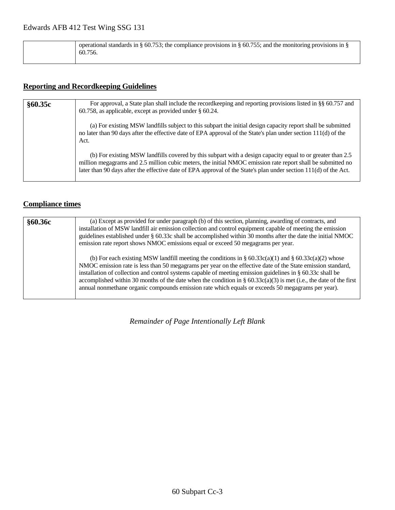| operational standards in § 60.753; the compliance provisions in § 60.755; and the monitoring provisions in § |
|--------------------------------------------------------------------------------------------------------------|
| 60.756.                                                                                                      |
|                                                                                                              |

## **Reporting and Recordkeeping Guidelines**

| §60.35c | For approval, a State plan shall include the record keeping and reporting provisions listed in §§ 60.757 and<br>60.758, as applicable, except as provided under $\S$ 60.24.                                                                                                                                                                     |
|---------|-------------------------------------------------------------------------------------------------------------------------------------------------------------------------------------------------------------------------------------------------------------------------------------------------------------------------------------------------|
|         | (a) For existing MSW landfills subject to this subpart the initial design capacity report shall be submitted<br>no later than 90 days after the effective date of EPA approval of the State's plan under section 111(d) of the<br>Act.                                                                                                          |
|         | (b) For existing MSW landfills covered by this subpart with a design capacity equal to or greater than 2.5<br>million megagrams and 2.5 million cubic meters, the initial NMOC emission rate report shall be submitted no<br>later than 90 days after the effective date of EPA approval of the State's plan under section $111(d)$ of the Act. |

## **Compliance times**

| §60.36c | (a) Except as provided for under paragraph (b) of this section, planning, awarding of contracts, and<br>installation of MSW landfill air emission collection and control equipment capable of meeting the emission<br>guidelines established under § 60.33c shall be accomplished within 30 months after the date the initial NMOC<br>emission rate report shows NMOC emissions equal or exceed 50 megagrams per year.                                                                                                                                              |
|---------|---------------------------------------------------------------------------------------------------------------------------------------------------------------------------------------------------------------------------------------------------------------------------------------------------------------------------------------------------------------------------------------------------------------------------------------------------------------------------------------------------------------------------------------------------------------------|
|         | (b) For each existing MSW landfill meeting the conditions in § $60.33c(a)(1)$ and § $60.33c(a)(2)$ whose<br>NMOC emission rate is less than 50 megagrams per year on the effective date of the State emission standard,<br>installation of collection and control systems capable of meeting emission guidelines in § 60.33c shall be<br>accomplished within 30 months of the date when the condition in $\S 60.33c(a)(3)$ is met (i.e., the date of the first<br>annual nonmethane organic compounds emission rate which equals or exceeds 50 megagrams per year). |

*Remainder of Page Intentionally Left Blank*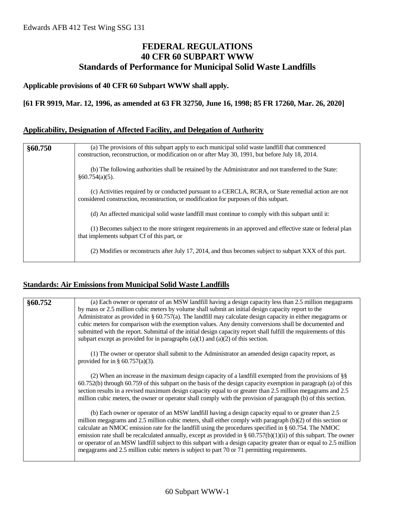## **FEDERAL REGULATIONS 40 CFR 60 SUBPART WWW Standards of Performance for Municipal Solid Waste Landfills**

#### **Applicable provisions of 40 CFR 60 Subpart WWW shall apply.**

#### **[61 FR 9919, Mar. 12, 1996, as amended at 63 FR 32750, June 16, 1998; 85 FR 17260, Mar. 26, 2020]**

## **Applicability, Designation of Affected Facility, and Delegation of Authority**

| §60.750 | (a) The provisions of this subpart apply to each municipal solid waste landfill that commenced<br>construction, reconstruction, or modification on or after May 30, 1991, but before July 18, 2014. |
|---------|-----------------------------------------------------------------------------------------------------------------------------------------------------------------------------------------------------|
|         | (b) The following authorities shall be retained by the Administrator and not transferred to the State:<br>§60.754(a)(5).                                                                            |
|         | (c) Activities required by or conducted pursuant to a CERCLA, RCRA, or State remedial action are not<br>considered construction, reconstruction, or modification for purposes of this subpart.      |
|         | (d) An affected municipal solid waste landfill must continue to comply with this subpart until it:                                                                                                  |
|         | (1) Becomes subject to the more stringent requirements in an approved and effective state or federal plan<br>that implements subpart Cf of this part, or                                            |
|         | (2) Modifies or reconstructs after July 17, 2014, and thus becomes subject to subpart XXX of this part.                                                                                             |

#### **Standards: Air Emissions from Municipal Solid Waste Landfills**

| §60.752 | (a) Each owner or operator of an MSW landfill having a design capacity less than 2.5 million megagrams               |
|---------|----------------------------------------------------------------------------------------------------------------------|
|         | by mass or 2.5 million cubic meters by volume shall submit an initial design capacity report to the                  |
|         | Administrator as provided in § 60.757(a). The landfill may calculate design capacity in either megagrams or          |
|         | cubic meters for comparison with the exemption values. Any density conversions shall be documented and               |
|         | submitted with the report. Submittal of the initial design capacity report shall fulfill the requirements of this    |
|         |                                                                                                                      |
|         | subpart except as provided for in paragraphs $(a)(1)$ and $(a)(2)$ of this section.                                  |
|         |                                                                                                                      |
|         | (1) The owner or operator shall submit to the Administrator an amended design capacity report, as                    |
|         |                                                                                                                      |
|         | provided for in § $60.757(a)(3)$ .                                                                                   |
|         |                                                                                                                      |
|         | (2) When an increase in the maximum design capacity of a landfill exempted from the provisions of $\S$               |
|         | 60.752(b) through 60.759 of this subpart on the basis of the design capacity exemption in paragraph (a) of this      |
|         |                                                                                                                      |
|         | section results in a revised maximum design capacity equal to or greater than 2.5 million megagrams and 2.5          |
|         | million cubic meters, the owner or operator shall comply with the provision of paragraph (b) of this section.        |
|         |                                                                                                                      |
|         | (b) Each owner or operator of an MSW landfill having a design capacity equal to or greater than 2.5                  |
|         |                                                                                                                      |
|         | million megagrams and 2.5 million cubic meters, shall either comply with paragraph $(b)(2)$ of this section or       |
|         | calculate an NMOC emission rate for the landfill using the procedures specified in $\S$ 60.754. The NMOC             |
|         | emission rate shall be recalculated annually, except as provided in $\S 60.757(b)(1)(ii)$ of this subpart. The owner |
|         | or operator of an MSW landfill subject to this subpart with a design capacity greater than or equal to 2.5 million   |
|         |                                                                                                                      |
|         | megagrams and 2.5 million cubic meters is subject to part 70 or 71 permitting requirements.                          |
|         |                                                                                                                      |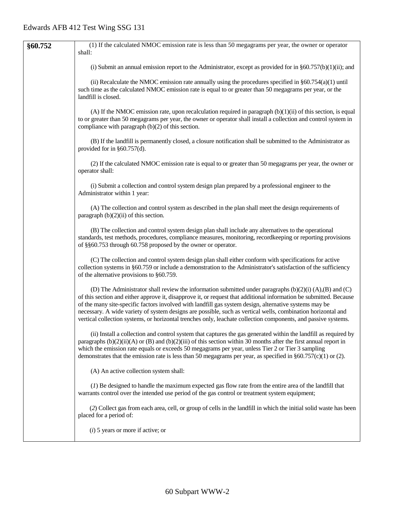| §60.752 | (1) If the calculated NMOC emission rate is less than 50 megagrams per year, the owner or operator<br>shall:                                                                                                                                                                                                                                                                                                                                                                                                                                                                |
|---------|-----------------------------------------------------------------------------------------------------------------------------------------------------------------------------------------------------------------------------------------------------------------------------------------------------------------------------------------------------------------------------------------------------------------------------------------------------------------------------------------------------------------------------------------------------------------------------|
|         |                                                                                                                                                                                                                                                                                                                                                                                                                                                                                                                                                                             |
|         | (i) Submit an annual emission report to the Administrator, except as provided for in $\S 60.757(b)(1)(ii)$ ; and                                                                                                                                                                                                                                                                                                                                                                                                                                                            |
|         | (ii) Recalculate the NMOC emission rate annually using the procedures specified in $\S 60.754(a)(1)$ until<br>such time as the calculated NMOC emission rate is equal to or greater than 50 megagrams per year, or the<br>landfill is closed.                                                                                                                                                                                                                                                                                                                               |
|         | (A) If the NMOC emission rate, upon recalculation required in paragraph $(b)(1)(ii)$ of this section, is equal<br>to or greater than 50 megagrams per year, the owner or operator shall install a collection and control system in<br>compliance with paragraph $(b)(2)$ of this section.                                                                                                                                                                                                                                                                                   |
|         | (B) If the landfill is permanently closed, a closure notification shall be submitted to the Administrator as<br>provided for in §60.757(d).                                                                                                                                                                                                                                                                                                                                                                                                                                 |
|         | (2) If the calculated NMOC emission rate is equal to or greater than 50 megagrams per year, the owner or<br>operator shall:                                                                                                                                                                                                                                                                                                                                                                                                                                                 |
|         | (i) Submit a collection and control system design plan prepared by a professional engineer to the<br>Administrator within 1 year:                                                                                                                                                                                                                                                                                                                                                                                                                                           |
|         | (A) The collection and control system as described in the plan shall meet the design requirements of<br>paragraph $(b)(2)(ii)$ of this section.                                                                                                                                                                                                                                                                                                                                                                                                                             |
|         | (B) The collection and control system design plan shall include any alternatives to the operational<br>standards, test methods, procedures, compliance measures, monitoring, recordkeeping or reporting provisions<br>of §§60.753 through 60.758 proposed by the owner or operator.                                                                                                                                                                                                                                                                                         |
|         | (C) The collection and control system design plan shall either conform with specifications for active<br>collection systems in §60.759 or include a demonstration to the Administrator's satisfaction of the sufficiency<br>of the alternative provisions to §60.759.                                                                                                                                                                                                                                                                                                       |
|         | (D) The Administrator shall review the information submitted under paragraphs $(b)(2)(i)$ (A),(B) and (C)<br>of this section and either approve it, disapprove it, or request that additional information be submitted. Because<br>of the many site-specific factors involved with landfill gas system design, alternative systems may be<br>necessary. A wide variety of system designs are possible, such as vertical wells, combination horizontal and<br>vertical collection systems, or horizontal trenches only, leachate collection components, and passive systems. |
|         | (ii) Install a collection and control system that captures the gas generated within the landfill as required by<br>paragraphs $(b)(2)(ii)(A)$ or $(B)$ and $(b)(2)(iii)$ of this section within 30 months after the first annual report in<br>which the emission rate equals or exceeds 50 megagrams per year, unless Tier 2 or Tier 3 sampling<br>demonstrates that the emission rate is less than 50 megagrams per year, as specified in $\S 60.757(c)(1)$ or (2).                                                                                                        |
|         | (A) An active collection system shall:                                                                                                                                                                                                                                                                                                                                                                                                                                                                                                                                      |
|         | (1) Be designed to handle the maximum expected gas flow rate from the entire area of the landfill that<br>warrants control over the intended use period of the gas control or treatment system equipment;                                                                                                                                                                                                                                                                                                                                                                   |
|         | (2) Collect gas from each area, cell, or group of cells in the landfill in which the initial solid waste has been<br>placed for a period of:                                                                                                                                                                                                                                                                                                                                                                                                                                |
|         | $(i)$ 5 years or more if active; or                                                                                                                                                                                                                                                                                                                                                                                                                                                                                                                                         |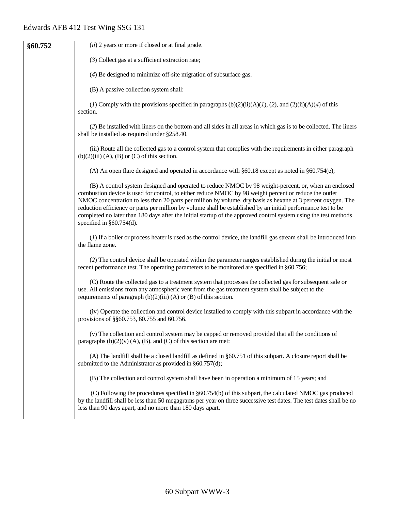| §60.752 | $(ii)$ 2 years or more if closed or at final grade.                                                                                                                                                                                                                                                                                                                                                                                                                                                                                                                                                |
|---------|----------------------------------------------------------------------------------------------------------------------------------------------------------------------------------------------------------------------------------------------------------------------------------------------------------------------------------------------------------------------------------------------------------------------------------------------------------------------------------------------------------------------------------------------------------------------------------------------------|
|         | (3) Collect gas at a sufficient extraction rate;                                                                                                                                                                                                                                                                                                                                                                                                                                                                                                                                                   |
|         | (4) Be designed to minimize off-site migration of subsurface gas.                                                                                                                                                                                                                                                                                                                                                                                                                                                                                                                                  |
|         | (B) A passive collection system shall:                                                                                                                                                                                                                                                                                                                                                                                                                                                                                                                                                             |
|         | (1) Comply with the provisions specified in paragraphs $(b)(2)(ii)(A)(1)$ , (2), and $(2)(ii)(A)(4)$ of this<br>section.                                                                                                                                                                                                                                                                                                                                                                                                                                                                           |
|         | (2) Be installed with liners on the bottom and all sides in all areas in which gas is to be collected. The liners<br>shall be installed as required under §258.40.                                                                                                                                                                                                                                                                                                                                                                                                                                 |
|         | (iii) Route all the collected gas to a control system that complies with the requirements in either paragraph<br>$(b)(2)(iii)$ (A), (B) or (C) of this section.                                                                                                                                                                                                                                                                                                                                                                                                                                    |
|         | (A) An open flare designed and operated in accordance with §60.18 except as noted in §60.754(e);                                                                                                                                                                                                                                                                                                                                                                                                                                                                                                   |
|         | (B) A control system designed and operated to reduce NMOC by 98 weight-percent, or, when an enclosed<br>combustion device is used for control, to either reduce NMOC by 98 weight percent or reduce the outlet<br>NMOC concentration to less than 20 parts per million by volume, dry basis as hexane at 3 percent oxygen. The<br>reduction efficiency or parts per million by volume shall be established by an initial performance test to be<br>completed no later than 180 days after the initial startup of the approved control system using the test methods<br>specified in $§60.754(d)$ . |
|         | (1) If a boiler or process heater is used as the control device, the landfill gas stream shall be introduced into<br>the flame zone.                                                                                                                                                                                                                                                                                                                                                                                                                                                               |
|         | (2) The control device shall be operated within the parameter ranges established during the initial or most<br>recent performance test. The operating parameters to be monitored are specified in §60.756;                                                                                                                                                                                                                                                                                                                                                                                         |
|         | (C) Route the collected gas to a treatment system that processes the collected gas for subsequent sale or<br>use. All emissions from any atmospheric vent from the gas treatment system shall be subject to the<br>requirements of paragraph $(b)(2)(iii)$ (A) or (B) of this section.                                                                                                                                                                                                                                                                                                             |
|         | (iv) Operate the collection and control device installed to comply with this subpart in accordance with the<br>provisions of §§60.753, 60.755 and 60.756.                                                                                                                                                                                                                                                                                                                                                                                                                                          |
|         | (v) The collection and control system may be capped or removed provided that all the conditions of<br>paragraphs $(b)(2)(v)$ (A), (B), and (C) of this section are met:                                                                                                                                                                                                                                                                                                                                                                                                                            |
|         | (A) The landfill shall be a closed landfill as defined in §60.751 of this subpart. A closure report shall be<br>submitted to the Administrator as provided in §60.757(d);                                                                                                                                                                                                                                                                                                                                                                                                                          |
|         | (B) The collection and control system shall have been in operation a minimum of 15 years; and                                                                                                                                                                                                                                                                                                                                                                                                                                                                                                      |
|         | (C) Following the procedures specified in §60.754(b) of this subpart, the calculated NMOC gas produced<br>by the landfill shall be less than 50 megagrams per year on three successive test dates. The test dates shall be no<br>less than 90 days apart, and no more than 180 days apart.                                                                                                                                                                                                                                                                                                         |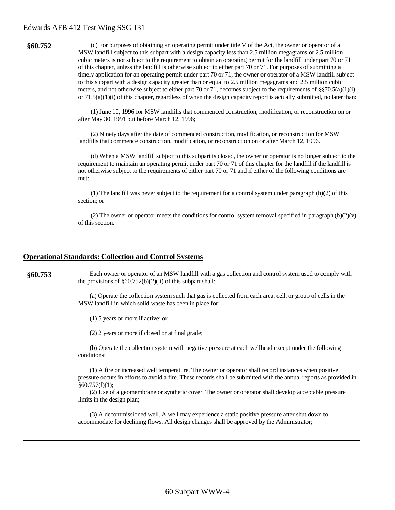| §60.752 | (c) For purposes of obtaining an operating permit under title V of the Act, the owner or operator of a<br>MSW landfill subject to this subpart with a design capacity less than 2.5 million megagrams or 2.5 million<br>cubic meters is not subject to the requirement to obtain an operating permit for the landfill under part 70 or 71<br>of this chapter, unless the landfill is otherwise subject to either part 70 or 71. For purposes of submitting a<br>timely application for an operating permit under part 70 or 71, the owner or operator of a MSW landfill subject<br>to this subpart with a design capacity greater than or equal to 2.5 million megagrams and 2.5 million cubic<br>meters, and not otherwise subject to either part 70 or 71, becomes subject to the requirements of §§70.5(a)(1)(i)<br>or $71.5(a)(1)(i)$ of this chapter, regardless of when the design capacity report is actually submitted, no later than:<br>(1) June 10, 1996 for MSW landfills that commenced construction, modification, or reconstruction on or<br>after May 30, 1991 but before March 12, 1996;<br>(2) Ninety days after the date of commenced construction, modification, or reconstruction for MSW<br>landfills that commence construction, modification, or reconstruction on or after March 12, 1996. |
|---------|---------------------------------------------------------------------------------------------------------------------------------------------------------------------------------------------------------------------------------------------------------------------------------------------------------------------------------------------------------------------------------------------------------------------------------------------------------------------------------------------------------------------------------------------------------------------------------------------------------------------------------------------------------------------------------------------------------------------------------------------------------------------------------------------------------------------------------------------------------------------------------------------------------------------------------------------------------------------------------------------------------------------------------------------------------------------------------------------------------------------------------------------------------------------------------------------------------------------------------------------------------------------------------------------------------------------|
|         | (d) When a MSW landfill subject to this subpart is closed, the owner or operator is no longer subject to the<br>requirement to maintain an operating permit under part 70 or 71 of this chapter for the landfill if the landfill is<br>not otherwise subject to the requirements of either part 70 or 71 and if either of the following conditions are<br>met:                                                                                                                                                                                                                                                                                                                                                                                                                                                                                                                                                                                                                                                                                                                                                                                                                                                                                                                                                      |
|         | (1) The landfill was never subject to the requirement for a control system under paragraph $(b)(2)$ of this<br>section; or                                                                                                                                                                                                                                                                                                                                                                                                                                                                                                                                                                                                                                                                                                                                                                                                                                                                                                                                                                                                                                                                                                                                                                                          |
|         | (2) The owner or operator meets the conditions for control system removal specified in paragraph $(b)(2)(v)$<br>of this section.                                                                                                                                                                                                                                                                                                                                                                                                                                                                                                                                                                                                                                                                                                                                                                                                                                                                                                                                                                                                                                                                                                                                                                                    |

## **Operational Standards: Collection and Control Systems**

| §60.753 | Each owner or operator of an MSW landfill with a gas collection and control system used to comply with<br>the provisions of $\S60.752(b)(2)(ii)$ of this subpart shall:                                                                                                                                                                                                             |
|---------|-------------------------------------------------------------------------------------------------------------------------------------------------------------------------------------------------------------------------------------------------------------------------------------------------------------------------------------------------------------------------------------|
|         | (a) Operate the collection system such that gas is collected from each area, cell, or group of cells in the<br>MSW landfill in which solid waste has been in place for:                                                                                                                                                                                                             |
|         | $(1)$ 5 years or more if active; or                                                                                                                                                                                                                                                                                                                                                 |
|         | (2) 2 years or more if closed or at final grade;                                                                                                                                                                                                                                                                                                                                    |
|         | (b) Operate the collection system with negative pressure at each wellhead except under the following<br>conditions:                                                                                                                                                                                                                                                                 |
|         | (1) A fire or increased well temperature. The owner or operator shall record instances when positive<br>pressure occurs in efforts to avoid a fire. These records shall be submitted with the annual reports as provided in<br>§60.757(f)(1);<br>(2) Use of a geomembrane or synthetic cover. The owner or operator shall develop acceptable pressure<br>limits in the design plan; |
|         | (3) A decommissioned well. A well may experience a static positive pressure after shut down to<br>accommodate for declining flows. All design changes shall be approved by the Administrator;                                                                                                                                                                                       |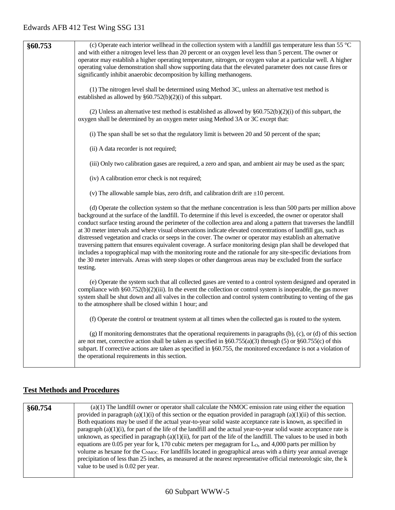| §60.753 | (c) Operate each interior wellhead in the collection system with a landfill gas temperature less than 55 °C<br>and with either a nitrogen level less than 20 percent or an oxygen level less than 5 percent. The owner or<br>operator may establish a higher operating temperature, nitrogen, or oxygen value at a particular well. A higher<br>operating value demonstration shall show supporting data that the elevated parameter does not cause fires or<br>significantly inhibit anaerobic decomposition by killing methanogens.                                                                                                                                                                                                                                                                                                                                                                                                            |
|---------|--------------------------------------------------------------------------------------------------------------------------------------------------------------------------------------------------------------------------------------------------------------------------------------------------------------------------------------------------------------------------------------------------------------------------------------------------------------------------------------------------------------------------------------------------------------------------------------------------------------------------------------------------------------------------------------------------------------------------------------------------------------------------------------------------------------------------------------------------------------------------------------------------------------------------------------------------|
|         | (1) The nitrogen level shall be determined using Method 3C, unless an alternative test method is<br>established as allowed by $§60.752(b)(2)(i)$ of this subpart.                                                                                                                                                                                                                                                                                                                                                                                                                                                                                                                                                                                                                                                                                                                                                                                |
|         | (2) Unless an alternative test method is established as allowed by $\S 60.752(b)(2)(i)$ of this subpart, the<br>oxygen shall be determined by an oxygen meter using Method 3A or 3C except that:                                                                                                                                                                                                                                                                                                                                                                                                                                                                                                                                                                                                                                                                                                                                                 |
|         | (i) The span shall be set so that the regulatory limit is between 20 and 50 percent of the span;                                                                                                                                                                                                                                                                                                                                                                                                                                                                                                                                                                                                                                                                                                                                                                                                                                                 |
|         | (ii) A data recorder is not required;                                                                                                                                                                                                                                                                                                                                                                                                                                                                                                                                                                                                                                                                                                                                                                                                                                                                                                            |
|         | (iii) Only two calibration gases are required, a zero and span, and ambient air may be used as the span;                                                                                                                                                                                                                                                                                                                                                                                                                                                                                                                                                                                                                                                                                                                                                                                                                                         |
|         | (iv) A calibration error check is not required;                                                                                                                                                                                                                                                                                                                                                                                                                                                                                                                                                                                                                                                                                                                                                                                                                                                                                                  |
|         | (v) The allowable sample bias, zero drift, and calibration drift are $\pm 10$ percent.                                                                                                                                                                                                                                                                                                                                                                                                                                                                                                                                                                                                                                                                                                                                                                                                                                                           |
|         | (d) Operate the collection system so that the methane concentration is less than 500 parts per million above<br>background at the surface of the landfill. To determine if this level is exceeded, the owner or operator shall<br>conduct surface testing around the perimeter of the collection area and along a pattern that traverses the landfill<br>at 30 meter intervals and where visual observations indicate elevated concentrations of landfill gas, such as<br>distressed vegetation and cracks or seeps in the cover. The owner or operator may establish an alternative<br>traversing pattern that ensures equivalent coverage. A surface monitoring design plan shall be developed that<br>includes a topographical map with the monitoring route and the rationale for any site-specific deviations from<br>the 30 meter intervals. Areas with steep slopes or other dangerous areas may be excluded from the surface<br>testing. |
|         | (e) Operate the system such that all collected gases are vented to a control system designed and operated in<br>compliance with $\S 60.752(b)(2)(iii)$ . In the event the collection or control system is inoperable, the gas mover<br>system shall be shut down and all valves in the collection and control system contributing to venting of the gas<br>to the atmosphere shall be closed within 1 hour; and                                                                                                                                                                                                                                                                                                                                                                                                                                                                                                                                  |
|         | (f) Operate the control or treatment system at all times when the collected gas is routed to the system.                                                                                                                                                                                                                                                                                                                                                                                                                                                                                                                                                                                                                                                                                                                                                                                                                                         |
|         | (g) If monitoring demonstrates that the operational requirements in paragraphs (b), (c), or (d) of this section<br>are not met, corrective action shall be taken as specified in $\S 60.755(a)(3)$ through (5) or $\S 60.755(c)$ of this<br>subpart. If corrective actions are taken as specified in §60.755, the monitored exceedance is not a violation of<br>the operational requirements in this section.                                                                                                                                                                                                                                                                                                                                                                                                                                                                                                                                    |

## **Test Methods and Procedures**

| §60.754 | $(a)(1)$ The landfill owner or operator shall calculate the NMOC emission rate using either the equation                   |
|---------|----------------------------------------------------------------------------------------------------------------------------|
|         | provided in paragraph $(a)(1)(i)$ of this section or the equation provided in paragraph $(a)(1)(ii)$ of this section.      |
|         | Both equations may be used if the actual year-to-year solid waste acceptance rate is known, as specified in                |
|         | paragraph $(a)(1)(i)$ , for part of the life of the landfill and the actual year-to-year solid waste acceptance rate is    |
|         | unknown, as specified in paragraph $(a)(1)(ii)$ , for part of the life of the landfill. The values to be used in both      |
|         | equations are 0.05 per year for k, 170 cubic meters per megagram for $L_0$ , and 4,000 parts per million by                |
|         | volume as hexane for the C <sub>NMOC</sub> . For landfills located in geographical areas with a thirty year annual average |
|         | precipitation of less than 25 inches, as measured at the nearest representative official meteorologic site, the k          |
|         | value to be used is 0.02 per year.                                                                                         |
|         |                                                                                                                            |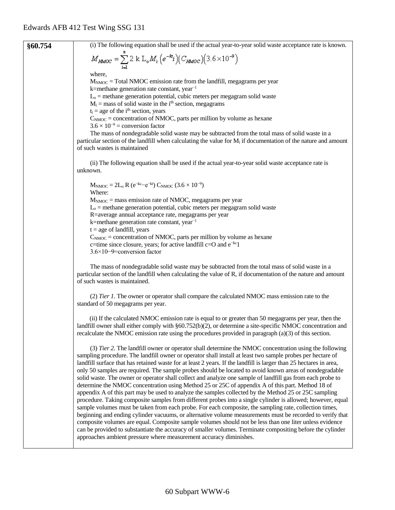| §60.754 | (i) The following equation shall be used if the actual year-to-year solid waste acceptance rate is known.                                                                                                                                                                                                                                                                                                                                                                                                                                                                                                                                                              |
|---------|------------------------------------------------------------------------------------------------------------------------------------------------------------------------------------------------------------------------------------------------------------------------------------------------------------------------------------------------------------------------------------------------------------------------------------------------------------------------------------------------------------------------------------------------------------------------------------------------------------------------------------------------------------------------|
|         | $M_{\text{NMOC}} = \sum_{i=1}^{n} 2 k L_{o} M_{i} (e^{-kt}) (C_{\text{NMOC}}) (3.6 \times 10^{-9})$                                                                                                                                                                                                                                                                                                                                                                                                                                                                                                                                                                    |
|         | where,<br>$M_{\text{NMOC}}$ = Total NMOC emission rate from the landfill, megagrams per year                                                                                                                                                                                                                                                                                                                                                                                                                                                                                                                                                                           |
|         | $k$ =methane generation rate constant, year <sup>-1</sup><br>$L_0$ = methane generation potential, cubic meters per megagram solid waste<br>$M_i$ = mass of solid waste in the i <sup>th</sup> section, megagrams                                                                                                                                                                                                                                                                                                                                                                                                                                                      |
|         | $t_i$ = age of the i <sup>th</sup> section, years<br>$C_{\text{NMOC}}$ = concentration of NMOC, parts per million by volume as hexane<br>$3.6 \times 10^{-9}$ = conversion factor                                                                                                                                                                                                                                                                                                                                                                                                                                                                                      |
|         | The mass of nondegradable solid waste may be subtracted from the total mass of solid waste in a<br>particular section of the landfill when calculating the value for M <sub>i</sub> if documentation of the nature and amount                                                                                                                                                                                                                                                                                                                                                                                                                                          |
|         | of such wastes is maintained                                                                                                                                                                                                                                                                                                                                                                                                                                                                                                                                                                                                                                           |
|         | (ii) The following equation shall be used if the actual year-to-year solid waste acceptance rate is<br>unknown.                                                                                                                                                                                                                                                                                                                                                                                                                                                                                                                                                        |
|         | $M_{\text{NMOC}} = 2L_0 R (e^{-kc} - e^{-kt}) C_{\text{NMOC}} (3.6 \times 10^{-9})$<br>Where:                                                                                                                                                                                                                                                                                                                                                                                                                                                                                                                                                                          |
|         | $M_{\text{NMOC}}$ = mass emission rate of NMOC, megagrams per year<br>$L_0$ = methane generation potential, cubic meters per megagram solid waste                                                                                                                                                                                                                                                                                                                                                                                                                                                                                                                      |
|         | R=average annual acceptance rate, megagrams per year                                                                                                                                                                                                                                                                                                                                                                                                                                                                                                                                                                                                                   |
|         | $k$ =methane generation rate constant, year <sup>-1</sup><br>$t = age of landfill, years$                                                                                                                                                                                                                                                                                                                                                                                                                                                                                                                                                                              |
|         | $C_{\text{NMOC}}$ = concentration of NMOC, parts per million by volume as hexane<br>c=time since closure, years; for active landfill c=O and $e^{-kc}1$                                                                                                                                                                                                                                                                                                                                                                                                                                                                                                                |
|         | 3.6×10-9=conversion factor                                                                                                                                                                                                                                                                                                                                                                                                                                                                                                                                                                                                                                             |
|         | The mass of nondegradable solid waste may be subtracted from the total mass of solid waste in a<br>particular section of the landfill when calculating the value of R, if documentation of the nature and amount<br>of such wastes is maintained.                                                                                                                                                                                                                                                                                                                                                                                                                      |
|         | (2) Tier 1. The owner or operator shall compare the calculated NMOC mass emission rate to the<br>standard of 50 megagrams per year.                                                                                                                                                                                                                                                                                                                                                                                                                                                                                                                                    |
|         | (ii) If the calculated NMOC emission rate is equal to or greater than 50 megagrams per year, then the<br>landfill owner shall either comply with §60.752(b)(2), or determine a site-specific NMOC concentration and<br>recalculate the NMOC emission rate using the procedures provided in paragraph $(a)(3)$ of this section.                                                                                                                                                                                                                                                                                                                                         |
|         | (3) Tier 2. The landfill owner or operator shall determine the NMOC concentration using the following<br>sampling procedure. The landfill owner or operator shall install at least two sample probes per hectare of<br>landfill surface that has retained waste for at least 2 years. If the landfill is larger than 25 hectares in area,<br>only 50 samples are required. The sample probes should be located to avoid known areas of nondegradable<br>solid waste. The owner or operator shall collect and analyze one sample of landfill gas from each probe to<br>determine the NMOC concentration using Method 25 or 25C of appendix A of this part. Method 18 of |
|         | appendix A of this part may be used to analyze the samples collected by the Method 25 or 25C sampling<br>procedure. Taking composite samples from different probes into a single cylinder is allowed; however, equal<br>sample volumes must be taken from each probe. For each composite, the sampling rate, collection times,<br>beginning and ending cylinder vacuums, or alternative volume measurements must be recorded to verify that<br>composite volumes are equal. Composite sample volumes should not be less than one liter unless evidence<br>can be provided to substantiate the accuracy of smaller volumes. Terminate compositing before the cylinder   |
|         | approaches ambient pressure where measurement accuracy diminishes.                                                                                                                                                                                                                                                                                                                                                                                                                                                                                                                                                                                                     |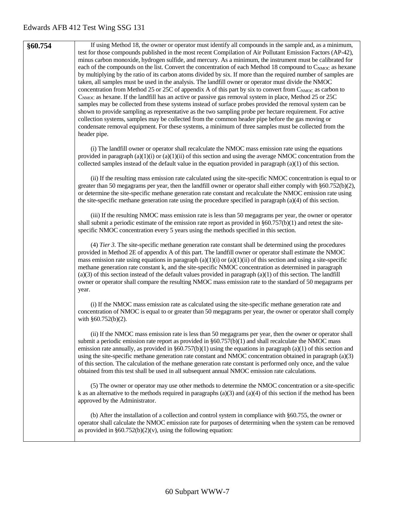| §60.754 | If using Method 18, the owner or operator must identify all compounds in the sample and, as a minimum,<br>test for those compounds published in the most recent Compilation of Air Pollutant Emission Factors (AP-42),<br>minus carbon monoxide, hydrogen sulfide, and mercury. As a minimum, the instrument must be calibrated for<br>each of the compounds on the list. Convert the concentration of each Method 18 compound to CNMOC as hexane<br>by multiplying by the ratio of its carbon atoms divided by six. If more than the required number of samples are<br>taken, all samples must be used in the analysis. The landfill owner or operator must divide the NMOC<br>concentration from Method 25 or 25C of appendix A of this part by six to convert from C <sub>NMOC</sub> as carbon to<br>C <sub>NMOC</sub> as hexane. If the landfill has an active or passive gas removal system in place, Method 25 or 25C<br>samples may be collected from these systems instead of surface probes provided the removal system can be<br>shown to provide sampling as representative as the two sampling probe per hectare requirement. For active<br>collection systems, samples may be collected from the common header pipe before the gas moving or<br>condensate removal equipment. For these systems, a minimum of three samples must be collected from the<br>header pipe. |
|---------|-------------------------------------------------------------------------------------------------------------------------------------------------------------------------------------------------------------------------------------------------------------------------------------------------------------------------------------------------------------------------------------------------------------------------------------------------------------------------------------------------------------------------------------------------------------------------------------------------------------------------------------------------------------------------------------------------------------------------------------------------------------------------------------------------------------------------------------------------------------------------------------------------------------------------------------------------------------------------------------------------------------------------------------------------------------------------------------------------------------------------------------------------------------------------------------------------------------------------------------------------------------------------------------------------------------------------------------------------------------------------------------|
|         | (i) The landfill owner or operator shall recalculate the NMOC mass emission rate using the equations<br>provided in paragraph $(a)(1)(i)$ or $(a)(1)(ii)$ of this section and using the average NMOC concentration from the<br>collected samples instead of the default value in the equation provided in paragraph $(a)(1)$ of this section.                                                                                                                                                                                                                                                                                                                                                                                                                                                                                                                                                                                                                                                                                                                                                                                                                                                                                                                                                                                                                                       |
|         | (ii) If the resulting mass emission rate calculated using the site-specific NMOC concentration is equal to or<br>greater than 50 megagrams per year, then the landfill owner or operator shall either comply with $\S 60.752(b)(2)$ ,<br>or determine the site-specific methane generation rate constant and recalculate the NMOC emission rate using<br>the site-specific methane generation rate using the procedure specified in paragraph $(a)(4)$ of this section.                                                                                                                                                                                                                                                                                                                                                                                                                                                                                                                                                                                                                                                                                                                                                                                                                                                                                                             |
|         | (iii) If the resulting NMOC mass emission rate is less than 50 megagrams per year, the owner or operator<br>shall submit a periodic estimate of the emission rate report as provided in §60.757(b)(1) and retest the site-<br>specific NMOC concentration every 5 years using the methods specified in this section.                                                                                                                                                                                                                                                                                                                                                                                                                                                                                                                                                                                                                                                                                                                                                                                                                                                                                                                                                                                                                                                                |
|         | (4) Tier 3. The site-specific methane generation rate constant shall be determined using the procedures<br>provided in Method 2E of appendix A of this part. The landfill owner or operator shall estimate the NMOC<br>mass emission rate using equations in paragraph $(a)(1)(i)$ or $(a)(1)(ii)$ of this section and using a site-specific<br>methane generation rate constant k, and the site-specific NMOC concentration as determined in paragraph<br>$(a)(3)$ of this section instead of the default values provided in paragraph $(a)(1)$ of this section. The landfill<br>owner or operator shall compare the resulting NMOC mass emission rate to the standard of 50 megagrams per<br>year.                                                                                                                                                                                                                                                                                                                                                                                                                                                                                                                                                                                                                                                                                |
|         | (i) If the NMOC mass emission rate as calculated using the site-specific methane generation rate and<br>concentration of NMOC is equal to or greater than 50 megagrams per year, the owner or operator shall comply<br>with §60.752(b)(2).                                                                                                                                                                                                                                                                                                                                                                                                                                                                                                                                                                                                                                                                                                                                                                                                                                                                                                                                                                                                                                                                                                                                          |
|         | (ii) If the NMOC mass emission rate is less than 50 megagrams per year, then the owner or operator shall<br>submit a periodic emission rate report as provided in $\S 60.757(b)(1)$ and shall recalculate the NMOC mass<br>emission rate annually, as provided in $\S 60.757(b)(1)$ using the equations in paragraph (a)(1) of this section and<br>using the site-specific methane generation rate constant and NMOC concentration obtained in paragraph (a)(3)<br>of this section. The calculation of the methane generation rate constant is performed only once, and the value<br>obtained from this test shall be used in all subsequent annual NMOC emission rate calculations.                                                                                                                                                                                                                                                                                                                                                                                                                                                                                                                                                                                                                                                                                                |
|         | (5) The owner or operator may use other methods to determine the NMOC concentration or a site-specific<br>k as an alternative to the methods required in paragraphs $(a)(3)$ and $(a)(4)$ of this section if the method has been<br>approved by the Administrator.                                                                                                                                                                                                                                                                                                                                                                                                                                                                                                                                                                                                                                                                                                                                                                                                                                                                                                                                                                                                                                                                                                                  |

(b) After the installation of a collection and control system in compliance with §60.755, the owner or operator shall calculate the NMOC emission rate for purposes of determining when the system can be removed as provided in  $\S60.752(b)(2)(v)$ , using the following equation: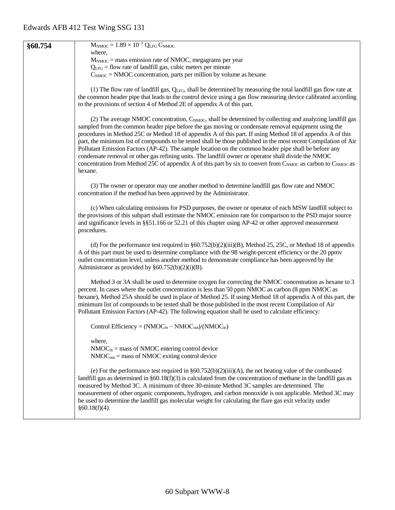| §60.754 | $M_{NMOC} = 1.89 \times 10^{-3}$ QLFG C <sub>NMOC</sub><br>where,                                                                                                                                                                                                                                                                                                                                                                                                                                                                                                                                                                                                                                                                                                                                       |
|---------|---------------------------------------------------------------------------------------------------------------------------------------------------------------------------------------------------------------------------------------------------------------------------------------------------------------------------------------------------------------------------------------------------------------------------------------------------------------------------------------------------------------------------------------------------------------------------------------------------------------------------------------------------------------------------------------------------------------------------------------------------------------------------------------------------------|
|         | $MNMOC$ = mass emission rate of NMOC, megagrams per year                                                                                                                                                                                                                                                                                                                                                                                                                                                                                                                                                                                                                                                                                                                                                |
|         | $Q_{LFG}$ = flow rate of landfill gas, cubic meters per minute                                                                                                                                                                                                                                                                                                                                                                                                                                                                                                                                                                                                                                                                                                                                          |
|         | $C_{\text{NMOC}}$ = NMOC concentration, parts per million by volume as hexane                                                                                                                                                                                                                                                                                                                                                                                                                                                                                                                                                                                                                                                                                                                           |
|         | (1) The flow rate of landfill gas, $Q_{LFG}$ , shall be determined by measuring the total landfill gas flow rate at<br>the common header pipe that leads to the control device using a gas flow measuring device calibrated according<br>to the provisions of section 4 of Method 2E of appendix A of this part.                                                                                                                                                                                                                                                                                                                                                                                                                                                                                        |
|         | (2) The average NMOC concentration, C <sub>NMOC</sub> , shall be determined by collecting and analyzing landfill gas<br>sampled from the common header pipe before the gas moving or condensate removal equipment using the<br>procedures in Method 25C or Method 18 of appendix A of this part. If using Method 18 of appendix A of this<br>part, the minimum list of compounds to be tested shall be those published in the most recent Compilation of Air<br>Pollutant Emission Factors (AP-42). The sample location on the common header pipe shall be before any<br>condensate removal or other gas refining units. The landfill owner or operator shall divide the NMOC<br>concentration from Method 25C of appendix A of this part by six to convert from CNMOC as carbon to CNMOC as<br>hexane. |
|         | (3) The owner or operator may use another method to determine landfill gas flow rate and NMOC<br>concentration if the method has been approved by the Administrator.                                                                                                                                                                                                                                                                                                                                                                                                                                                                                                                                                                                                                                    |
|         | (c) When calculating emissions for PSD purposes, the owner or operator of each MSW landfill subject to<br>the provisions of this subpart shall estimate the NMOC emission rate for comparison to the PSD major source<br>and significance levels in §§51.166 or 52.21 of this chapter using AP-42 or other approved measurement<br>procedures.                                                                                                                                                                                                                                                                                                                                                                                                                                                          |
|         | (d) For the performance test required in $\S 60.752(b)(2)(iii)(B)$ , Method 25, 25C, or Method 18 of appendix<br>A of this part must be used to determine compliance with the 98 weight-percent efficiency or the 20 ppmv<br>outlet concentration level, unless another method to demonstrate compliance has been approved by the<br>Administrator as provided by $§60.752(b)(2)(i)(B)$ .                                                                                                                                                                                                                                                                                                                                                                                                               |
|         | Method 3 or 3A shall be used to determine oxygen for correcting the NMOC concentration as hexane to 3<br>percent. In cases where the outlet concentration is less than 50 ppm NMOC as carbon (8 ppm NMOC as<br>hexane), Method 25A should be used in place of Method 25. If using Method 18 of appendix A of this part, the<br>minimum list of compounds to be tested shall be those published in the most recent Compilation of Air<br>Pollutant Emission Factors (AP-42). The following equation shall be used to calculate efficiency:                                                                                                                                                                                                                                                               |
|         | Control Efficiency = $(NMOCin - NMOCout)/(NMOCin)$                                                                                                                                                                                                                                                                                                                                                                                                                                                                                                                                                                                                                                                                                                                                                      |
|         | where,<br>$NMOCin$ = mass of NMOC entering control device<br>$NMOCout$ = mass of NMOC exiting control device                                                                                                                                                                                                                                                                                                                                                                                                                                                                                                                                                                                                                                                                                            |
|         | (e) For the performance test required in $\S 60.752(b)(2)(iii)(A)$ , the net heating value of the combusted<br>landfill gas as determined in $\S60.18(f)(3)$ is calculated from the concentration of methane in the landfill gas as<br>measured by Method 3C. A minimum of three 30-minute Method 3C samples are determined. The<br>measurement of other organic components, hydrogen, and carbon monoxide is not applicable. Method 3C may<br>be used to determine the landfill gas molecular weight for calculating the flare gas exit velocity under<br>§60.18(f)(4).                                                                                                                                                                                                                                |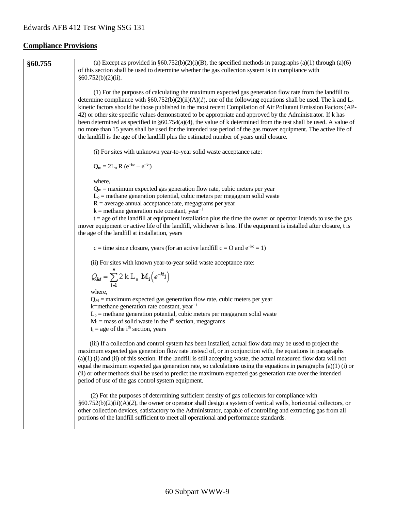#### **Compliance Provisions**

**§60.755** (a) Except as provided in §60.752(b)(2)(i)(B), the specified methods in paragraphs (a)(1) through (a)(6) of this section shall be used to determine whether the gas collection system is in compliance with §60.752(b)(2)(ii). (1) For the purposes of calculating the maximum expected gas generation flow rate from the landfill to determine compliance with  $\S 60.752(b)(2)(ii)(A)(I)$ , one of the following equations shall be used. The k and L<sub>o</sub> kinetic factors should be those published in the most recent Compilation of Air Pollutant Emission Factors (AP-42) or other site specific values demonstrated to be appropriate and approved by the Administrator. If k has been determined as specified in §60.754(a)(4), the value of k determined from the test shall be used. A value of no more than 15 years shall be used for the intended use period of the gas mover equipment. The active life of the landfill is the age of the landfill plus the estimated number of years until closure. (i) For sites with unknown year-to-year solid waste acceptance rate:  $Q_m = 2L_o R (e^{-kc} - e^{-kt})$ where,  $Q_m$  = maximum expected gas generation flow rate, cubic meters per year  $L<sub>o</sub>$  = methane generation potential, cubic meters per megagram solid waste  $R =$  average annual acceptance rate, megagrams per year  $k =$  methane generation rate constant, year<sup>-1</sup>  $t = age$  of the landfill at equipment installation plus the time the owner or operator intends to use the gas mover equipment or active life of the landfill, whichever is less. If the equipment is installed after closure, t is the age of the landfill at installation, years c = time since closure, years (for an active landfill c = O and  $e^{-kc} = 1$ ) (ii) For sites with known year-to-year solid waste acceptance rate:  $Q_M = \sum_{i=1}^{n} 2 k L_o M_i (e^{-kt}i)$ where,  $Q_M$  = maximum expected gas generation flow rate, cubic meters per year k=methane generation rate constant, year−1  $L<sub>o</sub>$  = methane generation potential, cubic meters per megagram solid waste  $M<sub>i</sub>$  = mass of solid waste in the i<sup>th</sup> section, megagrams  $t_i$  = age of the i<sup>th</sup> section, years (iii) If a collection and control system has been installed, actual flow data may be used to project the maximum expected gas generation flow rate instead of, or in conjunction with, the equations in paragraphs  $(a)(1)$  (i) and (ii) of this section. If the landfill is still accepting waste, the actual measured flow data will not equal the maximum expected gas generation rate, so calculations using the equations in paragraphs  $(a)(1)$  (i) or (ii) or other methods shall be used to predict the maximum expected gas generation rate over the intended period of use of the gas control system equipment. (2) For the purposes of determining sufficient density of gas collectors for compliance with §60.752(b)(2)(ii)(A)(*2*), the owner or operator shall design a system of vertical wells, horizontal collectors, or other collection devices, satisfactory to the Administrator, capable of controlling and extracting gas from all portions of the landfill sufficient to meet all operational and performance standards.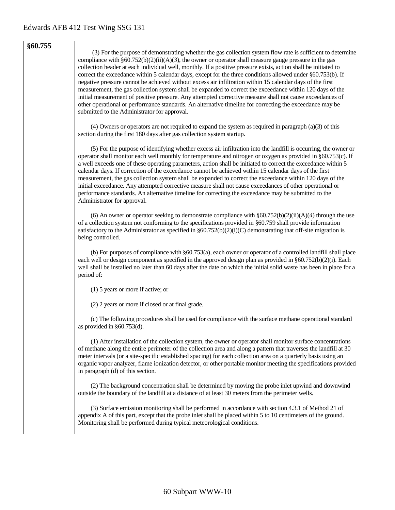#### **§60.755**

(3) For the purpose of demonstrating whether the gas collection system flow rate is sufficient to determine compliance with  $\S 60.752(b)(2)(ii)(A)(3)$ , the owner or operator shall measure gauge pressure in the gas collection header at each individual well, monthly. If a positive pressure exists, action shall be initiated to correct the exceedance within 5 calendar days, except for the three conditions allowed under §60.753(b). If negative pressure cannot be achieved without excess air infiltration within 15 calendar days of the first measurement, the gas collection system shall be expanded to correct the exceedance within 120 days of the initial measurement of positive pressure. Any attempted corrective measure shall not cause exceedances of other operational or performance standards. An alternative timeline for correcting the exceedance may be submitted to the Administrator for approval.

(4) Owners or operators are not required to expand the system as required in paragraph (a)(3) of this section during the first 180 days after gas collection system startup.

(5) For the purpose of identifying whether excess air infiltration into the landfill is occurring, the owner or operator shall monitor each well monthly for temperature and nitrogen or oxygen as provided in §60.753(c). If a well exceeds one of these operating parameters, action shall be initiated to correct the exceedance within 5 calendar days. If correction of the exceedance cannot be achieved within 15 calendar days of the first measurement, the gas collection system shall be expanded to correct the exceedance within 120 days of the initial exceedance. Any attempted corrective measure shall not cause exceedances of other operational or performance standards. An alternative timeline for correcting the exceedance may be submitted to the Administrator for approval.

(6) An owner or operator seeking to demonstrate compliance with  $\S60.752(b)(2)(ii)(A)(4)$  through the use of a collection system not conforming to the specifications provided in §60.759 shall provide information satisfactory to the Administrator as specified in  $\S60.752(b)(2)(i)(C)$  demonstrating that off-site migration is being controlled.

(b) For purposes of compliance with §60.753(a), each owner or operator of a controlled landfill shall place each well or design component as specified in the approved design plan as provided in §60.752(b)(2)(i). Each well shall be installed no later than 60 days after the date on which the initial solid waste has been in place for a period of:

(1) 5 years or more if active; or

(2) 2 years or more if closed or at final grade.

(c) The following procedures shall be used for compliance with the surface methane operational standard as provided in §60.753(d).

(1) After installation of the collection system, the owner or operator shall monitor surface concentrations of methane along the entire perimeter of the collection area and along a pattern that traverses the landfill at 30 meter intervals (or a site-specific established spacing) for each collection area on a quarterly basis using an organic vapor analyzer, flame ionization detector, or other portable monitor meeting the specifications provided in paragraph (d) of this section.

(2) The background concentration shall be determined by moving the probe inlet upwind and downwind outside the boundary of the landfill at a distance of at least 30 meters from the perimeter wells.

(3) Surface emission monitoring shall be performed in accordance with section 4.3.1 of Method 21 of appendix A of this part, except that the probe inlet shall be placed within 5 to 10 centimeters of the ground. Monitoring shall be performed during typical meteorological conditions.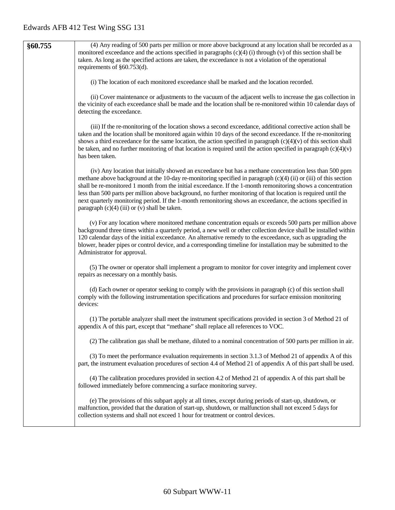| §60.755 | (4) Any reading of 500 parts per million or more above background at any location shall be recorded as a<br>monitored exceedance and the actions specified in paragraphs $(c)(4)$ (i) through (v) of this section shall be<br>taken. As long as the specified actions are taken, the exceedance is not a violation of the operational<br>requirements of $\S 60.753(d)$ .                                                                                                                                                                                                                                                           |
|---------|-------------------------------------------------------------------------------------------------------------------------------------------------------------------------------------------------------------------------------------------------------------------------------------------------------------------------------------------------------------------------------------------------------------------------------------------------------------------------------------------------------------------------------------------------------------------------------------------------------------------------------------|
|         | (i) The location of each monitored exceedance shall be marked and the location recorded.                                                                                                                                                                                                                                                                                                                                                                                                                                                                                                                                            |
|         | (ii) Cover maintenance or adjustments to the vacuum of the adjacent wells to increase the gas collection in<br>the vicinity of each exceedance shall be made and the location shall be re-monitored within 10 calendar days of<br>detecting the exceedance.                                                                                                                                                                                                                                                                                                                                                                         |
|         | (iii) If the re-monitoring of the location shows a second exceedance, additional corrective action shall be<br>taken and the location shall be monitored again within 10 days of the second exceedance. If the re-monitoring<br>shows a third exceedance for the same location, the action specified in paragraph $(c)(4)(v)$ of this section shall<br>be taken, and no further monitoring of that location is required until the action specified in paragraph $(c)(4)(v)$<br>has been taken.                                                                                                                                      |
|         | (iv) Any location that initially showed an exceedance but has a methane concentration less than 500 ppm<br>methane above background at the 10-day re-monitoring specified in paragraph $(c)(4)$ (ii) or (iii) of this section<br>shall be re-monitored 1 month from the initial exceedance. If the 1-month remonitoring shows a concentration<br>less than 500 parts per million above background, no further monitoring of that location is required until the<br>next quarterly monitoring period. If the 1-month remonitoring shows an exceedance, the actions specified in<br>paragraph $(c)(4)$ (iii) or $(v)$ shall be taken. |
|         | (v) For any location where monitored methane concentration equals or exceeds 500 parts per million above<br>background three times within a quarterly period, a new well or other collection device shall be installed within<br>120 calendar days of the initial exceedance. An alternative remedy to the exceedance, such as upgrading the<br>blower, header pipes or control device, and a corresponding timeline for installation may be submitted to the<br>Administrator for approval.                                                                                                                                        |
|         | (5) The owner or operator shall implement a program to monitor for cover integrity and implement cover<br>repairs as necessary on a monthly basis.                                                                                                                                                                                                                                                                                                                                                                                                                                                                                  |
|         | (d) Each owner or operator seeking to comply with the provisions in paragraph (c) of this section shall<br>comply with the following instrumentation specifications and procedures for surface emission monitoring<br>devices:                                                                                                                                                                                                                                                                                                                                                                                                      |
|         | (1) The portable analyzer shall meet the instrument specifications provided in section 3 of Method 21 of<br>appendix A of this part, except that "methane" shall replace all references to VOC.                                                                                                                                                                                                                                                                                                                                                                                                                                     |
|         | (2) The calibration gas shall be methane, diluted to a nominal concentration of 500 parts per million in air.                                                                                                                                                                                                                                                                                                                                                                                                                                                                                                                       |
|         | (3) To meet the performance evaluation requirements in section 3.1.3 of Method 21 of appendix A of this<br>part, the instrument evaluation procedures of section 4.4 of Method 21 of appendix A of this part shall be used.                                                                                                                                                                                                                                                                                                                                                                                                         |
|         | (4) The calibration procedures provided in section 4.2 of Method 21 of appendix A of this part shall be<br>followed immediately before commencing a surface monitoring survey.                                                                                                                                                                                                                                                                                                                                                                                                                                                      |
|         | (e) The provisions of this subpart apply at all times, except during periods of start-up, shutdown, or<br>malfunction, provided that the duration of start-up, shutdown, or malfunction shall not exceed 5 days for<br>collection systems and shall not exceed 1 hour for treatment or control devices.                                                                                                                                                                                                                                                                                                                             |
|         |                                                                                                                                                                                                                                                                                                                                                                                                                                                                                                                                                                                                                                     |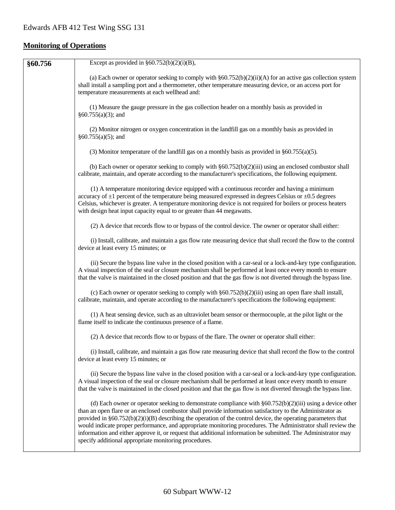## **Monitoring of Operations**

| §60.756 | Except as provided in $§60.752(b)(2)(i)(B)$ ,                                                                                                                                                                                                                                                                                                                                                                                                                                                                                                                                                                                              |
|---------|--------------------------------------------------------------------------------------------------------------------------------------------------------------------------------------------------------------------------------------------------------------------------------------------------------------------------------------------------------------------------------------------------------------------------------------------------------------------------------------------------------------------------------------------------------------------------------------------------------------------------------------------|
|         | (a) Each owner or operator seeking to comply with $\S60.752(b)(2)(ii)(A)$ for an active gas collection system<br>shall install a sampling port and a thermometer, other temperature measuring device, or an access port for<br>temperature measurements at each wellhead and:                                                                                                                                                                                                                                                                                                                                                              |
|         | (1) Measure the gauge pressure in the gas collection header on a monthly basis as provided in<br>$§60.755(a)(3);$ and                                                                                                                                                                                                                                                                                                                                                                                                                                                                                                                      |
|         | (2) Monitor nitrogen or oxygen concentration in the landfill gas on a monthly basis as provided in<br>$§60.755(a)(5);$ and                                                                                                                                                                                                                                                                                                                                                                                                                                                                                                                 |
|         | (3) Monitor temperature of the landfill gas on a monthly basis as provided in $\S60.755(a)(5)$ .                                                                                                                                                                                                                                                                                                                                                                                                                                                                                                                                           |
|         | (b) Each owner or operator seeking to comply with $\S 60.752(b)(2)(iii)$ using an enclosed combustor shall<br>calibrate, maintain, and operate according to the manufacturer's specifications, the following equipment.                                                                                                                                                                                                                                                                                                                                                                                                                    |
|         | (1) A temperature monitoring device equipped with a continuous recorder and having a minimum<br>accuracy of $\pm 1$ percent of the temperature being measured expressed in degrees Celsius or $\pm 0.5$ degrees<br>Celsius, whichever is greater. A temperature monitoring device is not required for boilers or process heaters<br>with design heat input capacity equal to or greater than 44 megawatts.                                                                                                                                                                                                                                 |
|         | (2) A device that records flow to or bypass of the control device. The owner or operator shall either:                                                                                                                                                                                                                                                                                                                                                                                                                                                                                                                                     |
|         | (i) Install, calibrate, and maintain a gas flow rate measuring device that shall record the flow to the control<br>device at least every 15 minutes; or                                                                                                                                                                                                                                                                                                                                                                                                                                                                                    |
|         | (ii) Secure the bypass line valve in the closed position with a car-seal or a lock-and-key type configuration.<br>A visual inspection of the seal or closure mechanism shall be performed at least once every month to ensure<br>that the valve is maintained in the closed position and that the gas flow is not diverted through the bypass line.                                                                                                                                                                                                                                                                                        |
|         | (c) Each owner or operator seeking to comply with $\S60.752(b)(2)(iii)$ using an open flare shall install,<br>calibrate, maintain, and operate according to the manufacturer's specifications the following equipment:                                                                                                                                                                                                                                                                                                                                                                                                                     |
|         | (1) A heat sensing device, such as an ultraviolet beam sensor or thermocouple, at the pilot light or the<br>flame itself to indicate the continuous presence of a flame.                                                                                                                                                                                                                                                                                                                                                                                                                                                                   |
|         | (2) A device that records flow to or bypass of the flare. The owner or operator shall either:                                                                                                                                                                                                                                                                                                                                                                                                                                                                                                                                              |
|         | (i) Install, calibrate, and maintain a gas flow rate measuring device that shall record the flow to the control<br>device at least every 15 minutes; or                                                                                                                                                                                                                                                                                                                                                                                                                                                                                    |
|         | (ii) Secure the bypass line valve in the closed position with a car-seal or a lock-and-key type configuration.<br>A visual inspection of the seal or closure mechanism shall be performed at least once every month to ensure<br>that the valve is maintained in the closed position and that the gas flow is not diverted through the bypass line.                                                                                                                                                                                                                                                                                        |
|         | (d) Each owner or operator seeking to demonstrate compliance with $\S 60.752(b)(2)(iii)$ using a device other<br>than an open flare or an enclosed combustor shall provide information satisfactory to the Administrator as<br>provided in $\S 60.752(b)(2)(i)(B)$ describing the operation of the control device, the operating parameters that<br>would indicate proper performance, and appropriate monitoring procedures. The Administrator shall review the<br>information and either approve it, or request that additional information be submitted. The Administrator may<br>specify additional appropriate monitoring procedures. |
|         |                                                                                                                                                                                                                                                                                                                                                                                                                                                                                                                                                                                                                                            |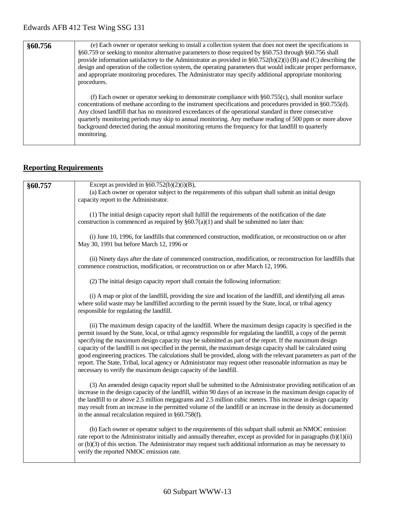| §60.756 | (e) Each owner or operator seeking to install a collection system that does not meet the specifications in<br>§60.759 or seeking to monitor alternative parameters to those required by §60.753 through §60.756 shall<br>provide information satisfactory to the Administrator as provided in $§60.752(b)(2)(i)$ (B) and (C) describing the<br>design and operation of the collection system, the operating parameters that would indicate proper performance,<br>and appropriate monitoring procedures. The Administrator may specify additional appropriate monitoring<br>procedures. |
|---------|-----------------------------------------------------------------------------------------------------------------------------------------------------------------------------------------------------------------------------------------------------------------------------------------------------------------------------------------------------------------------------------------------------------------------------------------------------------------------------------------------------------------------------------------------------------------------------------------|
|         | (f) Each owner or operator seeking to demonstrate compliance with $\S60.755(c)$ , shall monitor surface<br>concentrations of methane according to the instrument specifications and procedures provided in §60.755(d).<br>Any closed landfill that has no monitored exceedances of the operational standard in three consecutive<br>quarterly monitoring periods may skip to annual monitoring. Any methane reading of 500 ppm or more above<br>background detected during the annual monitoring returns the frequency for that landfill to quarterly<br>monitoring.                    |

## **Reporting Requirements**

| §60.757 | Except as provided in $§60.752(b)(2)(i)(B)$ ,<br>(a) Each owner or operator subject to the requirements of this subpart shall submit an initial design<br>capacity report to the Administrator.                                                                                                                                                                                                                                                                                                                                                                                                                                                                                                                                                                |
|---------|----------------------------------------------------------------------------------------------------------------------------------------------------------------------------------------------------------------------------------------------------------------------------------------------------------------------------------------------------------------------------------------------------------------------------------------------------------------------------------------------------------------------------------------------------------------------------------------------------------------------------------------------------------------------------------------------------------------------------------------------------------------|
|         | (1) The initial design capacity report shall fulfill the requirements of the notification of the date<br>construction is commenced as required by $\S 60.7(a)(1)$ and shall be submitted no later than:                                                                                                                                                                                                                                                                                                                                                                                                                                                                                                                                                        |
|         | (i) June 10, 1996, for landfills that commenced construction, modification, or reconstruction on or after<br>May 30, 1991 but before March 12, 1996 or                                                                                                                                                                                                                                                                                                                                                                                                                                                                                                                                                                                                         |
|         | (ii) Ninety days after the date of commenced construction, modification, or reconstruction for landfills that<br>commence construction, modification, or reconstruction on or after March 12, 1996.                                                                                                                                                                                                                                                                                                                                                                                                                                                                                                                                                            |
|         | (2) The initial design capacity report shall contain the following information:                                                                                                                                                                                                                                                                                                                                                                                                                                                                                                                                                                                                                                                                                |
|         | (i) A map or plot of the landfill, providing the size and location of the landfill, and identifying all areas<br>where solid waste may be landfilled according to the permit issued by the State, local, or tribal agency<br>responsible for regulating the landfill.                                                                                                                                                                                                                                                                                                                                                                                                                                                                                          |
|         | (ii) The maximum design capacity of the landfill. Where the maximum design capacity is specified in the<br>permit issued by the State, local, or tribal agency responsible for regulating the landfill, a copy of the permit<br>specifying the maximum design capacity may be submitted as part of the report. If the maximum design<br>capacity of the landfill is not specified in the permit, the maximum design capacity shall be calculated using<br>good engineering practices. The calculations shall be provided, along with the relevant parameters as part of the<br>report. The State, Tribal, local agency or Administrator may request other reasonable information as may be<br>necessary to verify the maximum design capacity of the landfill. |
|         | (3) An amended design capacity report shall be submitted to the Administrator providing notification of an<br>increase in the design capacity of the landfill, within 90 days of an increase in the maximum design capacity of<br>the landfill to or above 2.5 million megagrams and 2.5 million cubic meters. This increase in design capacity<br>may result from an increase in the permitted volume of the landfill or an increase in the density as documented<br>in the annual recalculation required in §60.758(f).                                                                                                                                                                                                                                      |
|         | (b) Each owner or operator subject to the requirements of this subpart shall submit an NMOC emission<br>rate report to the Administrator initially and annually thereafter, except as provided for in paragraphs $(b)(1)(ii)$<br>or $(b)(3)$ of this section. The Administrator may request such additional information as may be necessary to<br>verify the reported NMOC emission rate.                                                                                                                                                                                                                                                                                                                                                                      |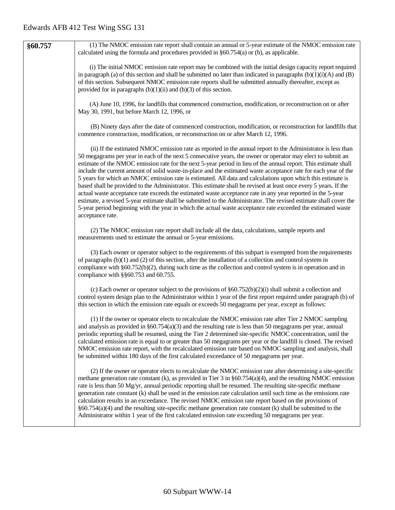| §60.757 | (1) The NMOC emission rate report shall contain an annual or 5-year estimate of the NMOC emission rate<br>calculated using the formula and procedures provided in $§60.754(a)$ or (b), as applicable.                                                                                                                                                                                                                                                                                                                                                                                                                                                                                                                                                                                                                                                                                                                                                                                                                                                                       |
|---------|-----------------------------------------------------------------------------------------------------------------------------------------------------------------------------------------------------------------------------------------------------------------------------------------------------------------------------------------------------------------------------------------------------------------------------------------------------------------------------------------------------------------------------------------------------------------------------------------------------------------------------------------------------------------------------------------------------------------------------------------------------------------------------------------------------------------------------------------------------------------------------------------------------------------------------------------------------------------------------------------------------------------------------------------------------------------------------|
|         | (i) The initial NMOC emission rate report may be combined with the initial design capacity report required<br>in paragraph (a) of this section and shall be submitted no later than indicated in paragraphs $(b)(1)(i)(A)$ and $(B)$<br>of this section. Subsequent NMOC emission rate reports shall be submitted annually thereafter, except as<br>provided for in paragraphs $(b)(1)(ii)$ and $(b)(3)$ of this section.                                                                                                                                                                                                                                                                                                                                                                                                                                                                                                                                                                                                                                                   |
|         | (A) June 10, 1996, for landfills that commenced construction, modification, or reconstruction on or after<br>May 30, 1991, but before March 12, 1996, or                                                                                                                                                                                                                                                                                                                                                                                                                                                                                                                                                                                                                                                                                                                                                                                                                                                                                                                    |
|         | (B) Ninety days after the date of commenced construction, modification, or reconstruction for landfills that<br>commence construction, modification, or reconstruction on or after March 12, 1996.                                                                                                                                                                                                                                                                                                                                                                                                                                                                                                                                                                                                                                                                                                                                                                                                                                                                          |
|         | (ii) If the estimated NMOC emission rate as reported in the annual report to the Administrator is less than<br>50 megagrams per year in each of the next 5 consecutive years, the owner or operator may elect to submit an<br>estimate of the NMOC emission rate for the next 5-year period in lieu of the annual report. This estimate shall<br>include the current amount of solid waste-in-place and the estimated waste acceptance rate for each year of the<br>5 years for which an NMOC emission rate is estimated. All data and calculations upon which this estimate is<br>based shall be provided to the Administrator. This estimate shall be revised at least once every 5 years. If the<br>actual waste acceptance rate exceeds the estimated waste acceptance rate in any year reported in the 5-year<br>estimate, a revised 5-year estimate shall be submitted to the Administrator. The revised estimate shall cover the<br>5-year period beginning with the year in which the actual waste acceptance rate exceeded the estimated waste<br>acceptance rate. |
|         | (2) The NMOC emission rate report shall include all the data, calculations, sample reports and<br>measurements used to estimate the annual or 5-year emissions.                                                                                                                                                                                                                                                                                                                                                                                                                                                                                                                                                                                                                                                                                                                                                                                                                                                                                                             |
|         | (3) Each owner or operator subject to the requirements of this subpart is exempted from the requirements<br>of paragraphs $(b)(1)$ and $(2)$ of this section, after the installation of a collection and control system in<br>compliance with $\S 60.752(b)(2)$ , during such time as the collection and control system is in operation and in<br>compliance with §§60.753 and 60.755.                                                                                                                                                                                                                                                                                                                                                                                                                                                                                                                                                                                                                                                                                      |
|         | (c) Each owner or operator subject to the provisions of $\S 60.752(b)(2)(i)$ shall submit a collection and<br>control system design plan to the Administrator within 1 year of the first report required under paragraph (b) of<br>this section in which the emission rate equals or exceeds 50 megagrams per year, except as follows:                                                                                                                                                                                                                                                                                                                                                                                                                                                                                                                                                                                                                                                                                                                                      |
|         | (1) If the owner or operator elects to recalculate the NMOC emission rate after Tier 2 NMOC sampling<br>and analysis as provided in $\S 60.754(a)(3)$ and the resulting rate is less than 50 megagrams per year, annual<br>periodic reporting shall be resumed, using the Tier 2 determined site-specific NMOC concentration, until the<br>calculated emission rate is equal to or greater than 50 megagrams per year or the landfill is closed. The revised<br>NMOC emission rate report, with the recalculated emission rate based on NMOC sampling and analysis, shall<br>be submitted within 180 days of the first calculated exceedance of 50 megagrams per year.                                                                                                                                                                                                                                                                                                                                                                                                      |
|         | (2) If the owner or operator elects to recalculate the NMOC emission rate after determining a site-specific<br>methane generation rate constant (k), as provided in Tier 3 in $\S 60.754(a)(4)$ , and the resulting NMOC emission<br>rate is less than 50 Mg/yr, annual periodic reporting shall be resumed. The resulting site-specific methane<br>generation rate constant (k) shall be used in the emission rate calculation until such time as the emissions rate<br>calculation results in an exceedance. The revised NMOC emission rate report based on the provisions of<br>$§60.754(a)(4)$ and the resulting site-specific methane generation rate constant (k) shall be submitted to the<br>Administrator within 1 year of the first calculated emission rate exceeding 50 megagrams per year.                                                                                                                                                                                                                                                                     |
|         |                                                                                                                                                                                                                                                                                                                                                                                                                                                                                                                                                                                                                                                                                                                                                                                                                                                                                                                                                                                                                                                                             |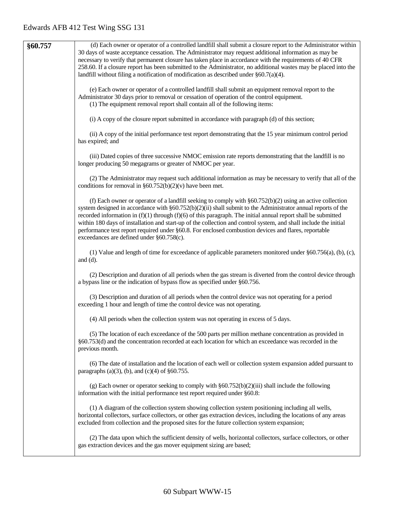| §60.757 | (d) Each owner or operator of a controlled landfill shall submit a closure report to the Administrator within<br>30 days of waste acceptance cessation. The Administrator may request additional information as may be<br>necessary to verify that permanent closure has taken place in accordance with the requirements of 40 CFR<br>258.60. If a closure report has been submitted to the Administrator, no additional wastes may be placed into the<br>landfill without filing a notification of modification as described under $\S60.7(a)(4)$ .                                                                         |
|---------|------------------------------------------------------------------------------------------------------------------------------------------------------------------------------------------------------------------------------------------------------------------------------------------------------------------------------------------------------------------------------------------------------------------------------------------------------------------------------------------------------------------------------------------------------------------------------------------------------------------------------|
|         | (e) Each owner or operator of a controlled landfill shall submit an equipment removal report to the<br>Administrator 30 days prior to removal or cessation of operation of the control equipment.<br>(1) The equipment removal report shall contain all of the following items:                                                                                                                                                                                                                                                                                                                                              |
|         | (i) A copy of the closure report submitted in accordance with paragraph (d) of this section;                                                                                                                                                                                                                                                                                                                                                                                                                                                                                                                                 |
|         | (ii) A copy of the initial performance test report demonstrating that the 15 year minimum control period<br>has expired; and                                                                                                                                                                                                                                                                                                                                                                                                                                                                                                 |
|         | (iii) Dated copies of three successive NMOC emission rate reports demonstrating that the landfill is no<br>longer producing 50 megagrams or greater of NMOC per year.                                                                                                                                                                                                                                                                                                                                                                                                                                                        |
|         | (2) The Administrator may request such additional information as may be necessary to verify that all of the<br>conditions for removal in $\S60.752(b)(2)(v)$ have been met.                                                                                                                                                                                                                                                                                                                                                                                                                                                  |
|         | (f) Each owner or operator of a landfill seeking to comply with $\S60.752(b)(2)$ using an active collection<br>system designed in accordance with $\S60.752(b)(2)(ii)$ shall submit to the Administrator annual reports of the<br>recorded information in $(f)(1)$ through $(f)(6)$ of this paragraph. The initial annual report shall be submitted<br>within 180 days of installation and start-up of the collection and control system, and shall include the initial<br>performance test report required under §60.8. For enclosed combustion devices and flares, reportable<br>exceedances are defined under §60.758(c). |
|         | (1) Value and length of time for exceedance of applicable parameters monitored under $\S 60.756(a)$ , (b), (c),<br>and $(d)$ .                                                                                                                                                                                                                                                                                                                                                                                                                                                                                               |
|         | (2) Description and duration of all periods when the gas stream is diverted from the control device through<br>a bypass line or the indication of bypass flow as specified under §60.756.                                                                                                                                                                                                                                                                                                                                                                                                                                    |
|         | (3) Description and duration of all periods when the control device was not operating for a period<br>exceeding 1 hour and length of time the control device was not operating.                                                                                                                                                                                                                                                                                                                                                                                                                                              |
|         | (4) All periods when the collection system was not operating in excess of 5 days.                                                                                                                                                                                                                                                                                                                                                                                                                                                                                                                                            |
|         | (5) The location of each exceedance of the 500 parts per million methane concentration as provided in<br>§60.753(d) and the concentration recorded at each location for which an exceedance was recorded in the<br>previous month.                                                                                                                                                                                                                                                                                                                                                                                           |
|         | (6) The date of installation and the location of each well or collection system expansion added pursuant to<br>paragraphs (a)(3), (b), and (c)(4) of $§60.755$ .                                                                                                                                                                                                                                                                                                                                                                                                                                                             |
|         | (g) Each owner or operator seeking to comply with $\S 60.752(b)(2)(iii)$ shall include the following<br>information with the initial performance test report required under §60.8:                                                                                                                                                                                                                                                                                                                                                                                                                                           |
|         | (1) A diagram of the collection system showing collection system positioning including all wells,<br>horizontal collectors, surface collectors, or other gas extraction devices, including the locations of any areas<br>excluded from collection and the proposed sites for the future collection system expansion;                                                                                                                                                                                                                                                                                                         |
|         | (2) The data upon which the sufficient density of wells, horizontal collectors, surface collectors, or other<br>gas extraction devices and the gas mover equipment sizing are based;                                                                                                                                                                                                                                                                                                                                                                                                                                         |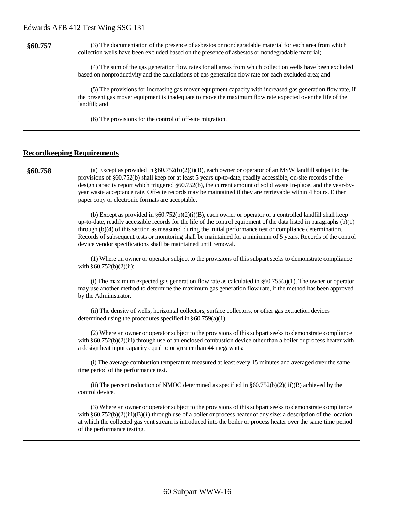| §60.757 | (3) The documentation of the presence of asbestos or nondegradable material for each area from which<br>collection wells have been excluded based on the presence of asbestos or nondegradable material;                                 |
|---------|------------------------------------------------------------------------------------------------------------------------------------------------------------------------------------------------------------------------------------------|
|         | (4) The sum of the gas generation flow rates for all areas from which collection wells have been excluded<br>based on nonproductivity and the calculations of gas generation flow rate for each excluded area; and                       |
|         | (5) The provisions for increasing gas mover equipment capacity with increased gas generation flow rate, if<br>the present gas mover equipment is inadequate to move the maximum flow rate expected over the life of the<br>landfill; and |
|         | (6) The provisions for the control of off-site migration.                                                                                                                                                                                |

## **Recordkeeping Requirements**

| §60.758 | (a) Except as provided in $\S 60.752(b)(2)(i)(B)$ , each owner or operator of an MSW landfill subject to the<br>provisions of §60.752(b) shall keep for at least 5 years up-to-date, readily accessible, on-site records of the<br>design capacity report which triggered §60.752(b), the current amount of solid waste in-place, and the year-by-<br>year waste acceptance rate. Off-site records may be maintained if they are retrievable within 4 hours. Either<br>paper copy or electronic formats are acceptable.                      |
|---------|----------------------------------------------------------------------------------------------------------------------------------------------------------------------------------------------------------------------------------------------------------------------------------------------------------------------------------------------------------------------------------------------------------------------------------------------------------------------------------------------------------------------------------------------|
|         | (b) Except as provided in $\S 60.752(b)(2)(i)(B)$ , each owner or operator of a controlled landfill shall keep<br>up-to-date, readily accessible records for the life of the control equipment of the data listed in paragraphs $(b)(1)$<br>through (b)(4) of this section as measured during the initial performance test or compliance determination.<br>Records of subsequent tests or monitoring shall be maintained for a minimum of 5 years. Records of the control<br>device vendor specifications shall be maintained until removal. |
|         | (1) Where an owner or operator subject to the provisions of this subpart seeks to demonstrate compliance<br>with $§60.752(b)(2)(ii)$ :                                                                                                                                                                                                                                                                                                                                                                                                       |
|         | (i) The maximum expected gas generation flow rate as calculated in $\S60.755(a)(1)$ . The owner or operator<br>may use another method to determine the maximum gas generation flow rate, if the method has been approved<br>by the Administrator.                                                                                                                                                                                                                                                                                            |
|         | (ii) The density of wells, horizontal collectors, surface collectors, or other gas extraction devices<br>determined using the procedures specified in $\S 60.759(a)(1)$ .                                                                                                                                                                                                                                                                                                                                                                    |
|         | (2) Where an owner or operator subject to the provisions of this subpart seeks to demonstrate compliance<br>with $\S60.752(b)(2)(iii)$ through use of an enclosed combustion device other than a boiler or process heater with<br>a design heat input capacity equal to or greater than 44 megawatts:                                                                                                                                                                                                                                        |
|         | (i) The average combustion temperature measured at least every 15 minutes and averaged over the same<br>time period of the performance test.                                                                                                                                                                                                                                                                                                                                                                                                 |
|         | (ii) The percent reduction of NMOC determined as specified in $\S 60.752(b)(2)(iii)(B)$ achieved by the<br>control device.                                                                                                                                                                                                                                                                                                                                                                                                                   |
|         | (3) Where an owner or operator subject to the provisions of this subpart seeks to demonstrate compliance<br>with $\S60.752(b)(2)(iii)(B)(I)$ through use of a boiler or process heater of any size: a description of the location<br>at which the collected gas vent stream is introduced into the boiler or process heater over the same time period<br>of the performance testing.                                                                                                                                                         |
|         |                                                                                                                                                                                                                                                                                                                                                                                                                                                                                                                                              |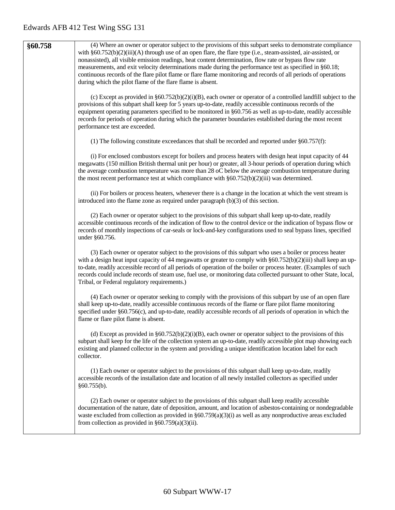| §60.758 | (4) Where an owner or operator subject to the provisions of this subpart seeks to demonstrate compliance<br>with §60.752(b)(2)(iii)(A) through use of an open flare, the flare type (i.e., steam-assisted, air-assisted, or<br>nonassisted), all visible emission readings, heat content determination, flow rate or bypass flow rate<br>measurements, and exit velocity determinations made during the performance test as specified in §60.18;<br>continuous records of the flare pilot flame or flare flame monitoring and records of all periods of operations<br>during which the pilot flame of the flame is absent. |
|---------|----------------------------------------------------------------------------------------------------------------------------------------------------------------------------------------------------------------------------------------------------------------------------------------------------------------------------------------------------------------------------------------------------------------------------------------------------------------------------------------------------------------------------------------------------------------------------------------------------------------------------|
|         | (c) Except as provided in $\S 60.752(b)(2)(i)(B)$ , each owner or operator of a controlled landfill subject to the<br>provisions of this subpart shall keep for 5 years up-to-date, readily accessible continuous records of the<br>equipment operating parameters specified to be monitored in §60.756 as well as up-to-date, readily accessible<br>records for periods of operation during which the parameter boundaries established during the most recent<br>performance test are exceeded.                                                                                                                           |
|         | (1) The following constitute exceedances that shall be recorded and reported under $\S 60.757(f)$ :                                                                                                                                                                                                                                                                                                                                                                                                                                                                                                                        |
|         | (i) For enclosed combustors except for boilers and process heaters with design heat input capacity of 44<br>megawatts (150 million British thermal unit per hour) or greater, all 3-hour periods of operation during which<br>the average combustion temperature was more than 28 oC below the average combustion temperature during<br>the most recent performance test at which compliance with $\S 60.752(b)(2)(iii)$ was determined.                                                                                                                                                                                   |
|         | (ii) For boilers or process heaters, whenever there is a change in the location at which the vent stream is<br>introduced into the flame zone as required under paragraph $(b)(3)$ of this section.                                                                                                                                                                                                                                                                                                                                                                                                                        |
|         | (2) Each owner or operator subject to the provisions of this subpart shall keep up-to-date, readily<br>accessible continuous records of the indication of flow to the control device or the indication of bypass flow or<br>records of monthly inspections of car-seals or lock-and-key configurations used to seal bypass lines, specified<br>under §60.756.                                                                                                                                                                                                                                                              |
|         | (3) Each owner or operator subject to the provisions of this subpart who uses a boiler or process heater<br>with a design heat input capacity of 44 megawatts or greater to comply with $\S60.752(b)(2)(iii)$ shall keep an up-<br>to-date, readily accessible record of all periods of operation of the boiler or process heater. (Examples of such<br>records could include records of steam use, fuel use, or monitoring data collected pursuant to other State, local,<br>Tribal, or Federal regulatory requirements.)                                                                                                 |
|         | (4) Each owner or operator seeking to comply with the provisions of this subpart by use of an open flare<br>shall keep up-to-date, readily accessible continuous records of the flame or flare pilot flame monitoring<br>specified under §60.756(c), and up-to-date, readily accessible records of all periods of operation in which the<br>flame or flare pilot flame is absent.                                                                                                                                                                                                                                          |
|         | (d) Except as provided in $\S 60.752(b)(2)(i)(B)$ , each owner or operator subject to the provisions of this<br>subpart shall keep for the life of the collection system an up-to-date, readily accessible plot map showing each<br>existing and planned collector in the system and providing a unique identification location label for each<br>collector.                                                                                                                                                                                                                                                               |
|         | (1) Each owner or operator subject to the provisions of this subpart shall keep up-to-date, readily<br>accessible records of the installation date and location of all newly installed collectors as specified under<br>§60.755(b).                                                                                                                                                                                                                                                                                                                                                                                        |
|         | (2) Each owner or operator subject to the provisions of this subpart shall keep readily accessible<br>documentation of the nature, date of deposition, amount, and location of asbestos-containing or nondegradable<br>waste excluded from collection as provided in §60.759(a)(3)(i) as well as any nonproductive areas excluded<br>from collection as provided in $§60.759(a)(3)(ii)$ .                                                                                                                                                                                                                                  |
|         |                                                                                                                                                                                                                                                                                                                                                                                                                                                                                                                                                                                                                            |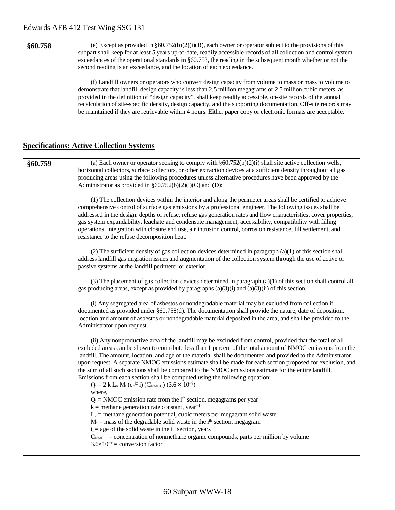| §60.758 | (e) Except as provided in $\S 60.752(b)(2)(i)(B)$ , each owner or operator subject to the provisions of this<br>subpart shall keep for at least 5 years up-to-date, readily accessible records of all collection and control system<br>exceedances of the operational standards in §60.753, the reading in the subsequent month whether or not the<br>second reading is an exceedance, and the location of each exceedance.                                                                                                                                                |
|---------|----------------------------------------------------------------------------------------------------------------------------------------------------------------------------------------------------------------------------------------------------------------------------------------------------------------------------------------------------------------------------------------------------------------------------------------------------------------------------------------------------------------------------------------------------------------------------|
|         | (f) Landfill owners or operators who convert design capacity from volume to mass or mass to volume to<br>demonstrate that landfill design capacity is less than 2.5 million megagrams or 2.5 million cubic meters, as<br>provided in the definition of "design capacity", shall keep readily accessible, on-site records of the annual<br>recalculation of site-specific density, design capacity, and the supporting documentation. Off-site records may<br>be maintained if they are retrievable within 4 hours. Either paper copy or electronic formats are acceptable. |

## **Specifications: Active Collection Systems**

| §60.759 | (a) Each owner or operator seeking to comply with §60.752(b)(2)(i) shall site active collection wells,<br>horizontal collectors, surface collectors, or other extraction devices at a sufficient density throughout all gas<br>producing areas using the following procedures unless alternative procedures have been approved by the<br>Administrator as provided in $§60.752(b)(2)(i)(C)$ and (D):                                                                                                                                                                                                                                                                                                                 |
|---------|----------------------------------------------------------------------------------------------------------------------------------------------------------------------------------------------------------------------------------------------------------------------------------------------------------------------------------------------------------------------------------------------------------------------------------------------------------------------------------------------------------------------------------------------------------------------------------------------------------------------------------------------------------------------------------------------------------------------|
|         | (1) The collection devices within the interior and along the perimeter areas shall be certified to achieve<br>comprehensive control of surface gas emissions by a professional engineer. The following issues shall be<br>addressed in the design: depths of refuse, refuse gas generation rates and flow characteristics, cover properties,<br>gas system expandability, leachate and condensate management, accessibility, compatibility with filling<br>operations, integration with closure end use, air intrusion control, corrosion resistance, fill settlement, and<br>resistance to the refuse decomposition heat.                                                                                           |
|         | (2) The sufficient density of gas collection devices determined in paragraph $(a)(1)$ of this section shall<br>address landfill gas migration issues and augmentation of the collection system through the use of active or<br>passive systems at the landfill perimeter or exterior.                                                                                                                                                                                                                                                                                                                                                                                                                                |
|         | (3) The placement of gas collection devices determined in paragraph $(a)(1)$ of this section shall control all<br>gas producing areas, except as provided by paragraphs $(a)(3)(i)$ and $(a)(3)(ii)$ of this section.                                                                                                                                                                                                                                                                                                                                                                                                                                                                                                |
|         | (i) Any segregated area of asbestos or nondegradable material may be excluded from collection if<br>documented as provided under §60.758(d). The documentation shall provide the nature, date of deposition,<br>location and amount of asbestos or nondegradable material deposited in the area, and shall be provided to the<br>Administrator upon request.                                                                                                                                                                                                                                                                                                                                                         |
|         | (ii) Any nonproductive area of the landfill may be excluded from control, provided that the total of all<br>excluded areas can be shown to contribute less than 1 percent of the total amount of NMOC emissions from the<br>landfill. The amount, location, and age of the material shall be documented and provided to the Administrator<br>upon request. A separate NMOC emissions estimate shall be made for each section proposed for exclusion, and<br>the sum of all such sections shall be compared to the NMOC emissions estimate for the entire landfill.<br>Emissions from each section shall be computed using the following equation:<br>$Q_i = 2 k L_0 M_i (e^{-kt} i) (C_{NMOC}) (3.6 \times 10^{-9})$ |
|         | where,<br>$Q_i$ = NMOC emission rate from the $ith$ section, megagrams per year<br>$k =$ methane generation rate constant, year <sup>-1</sup><br>$L_0$ = methane generation potential, cubic meters per megagram solid waste<br>$M_i$ = mass of the degradable solid waste in the i <sup>th</sup> section, megagram                                                                                                                                                                                                                                                                                                                                                                                                  |
|         | $t_i$ = age of the solid waste in the i <sup>th</sup> section, years<br>$C_{\text{NMOC}}$ = concentration of nonmethane organic compounds, parts per million by volume<br>$3.6\times10^{-9}$ = conversion factor                                                                                                                                                                                                                                                                                                                                                                                                                                                                                                     |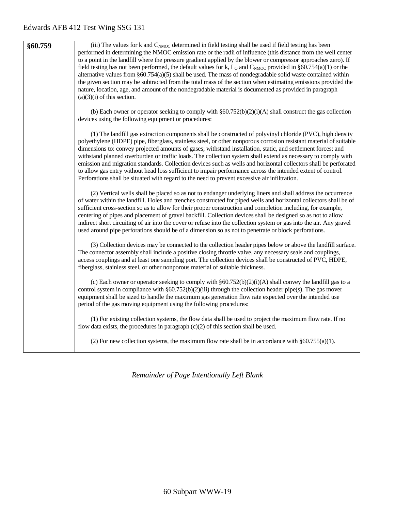**§60.759** (iii) The values for k and C<sub>NMOC</sub> determined in field testing shall be used if field testing has been performed in determining the NMOC emission rate or the radii of influence (this distance from the well center to a point in the landfill where the pressure gradient applied by the blower or compressor approaches zero). If field testing has not been performed, the default values for k,  $L_0$  and  $C_{\text{NMOC}}$  provided in §60.754(a)(1) or the alternative values from  $\S60.754(a)(5)$  shall be used. The mass of nondegradable solid waste contained within the given section may be subtracted from the total mass of the section when estimating emissions provided the nature, location, age, and amount of the nondegradable material is documented as provided in paragraph  $(a)(3)(i)$  of this section.

> (b) Each owner or operator seeking to comply with  $\S 60.752(b)(2)(i)$ (A) shall construct the gas collection devices using the following equipment or procedures:

(1) The landfill gas extraction components shall be constructed of polyvinyl chloride (PVC), high density polyethylene (HDPE) pipe, fiberglass, stainless steel, or other nonporous corrosion resistant material of suitable dimensions to: convey projected amounts of gases; withstand installation, static, and settlement forces; and withstand planned overburden or traffic loads. The collection system shall extend as necessary to comply with emission and migration standards. Collection devices such as wells and horizontal collectors shall be perforated to allow gas entry without head loss sufficient to impair performance across the intended extent of control. Perforations shall be situated with regard to the need to prevent excessive air infiltration.

(2) Vertical wells shall be placed so as not to endanger underlying liners and shall address the occurrence of water within the landfill. Holes and trenches constructed for piped wells and horizontal collectors shall be of sufficient cross-section so as to allow for their proper construction and completion including, for example, centering of pipes and placement of gravel backfill. Collection devices shall be designed so as not to allow indirect short circuiting of air into the cover or refuse into the collection system or gas into the air. Any gravel used around pipe perforations should be of a dimension so as not to penetrate or block perforations.

(3) Collection devices may be connected to the collection header pipes below or above the landfill surface. The connector assembly shall include a positive closing throttle valve, any necessary seals and couplings, access couplings and at least one sampling port. The collection devices shall be constructed of PVC, HDPE, fiberglass, stainless steel, or other nonporous material of suitable thickness.

(c) Each owner or operator seeking to comply with  $\S 60.752(b)(2)(i)$ (A) shall convey the landfill gas to a control system in compliance with §60.752(b)(2)(iii) through the collection header pipe(s). The gas mover equipment shall be sized to handle the maximum gas generation flow rate expected over the intended use period of the gas moving equipment using the following procedures:

(1) For existing collection systems, the flow data shall be used to project the maximum flow rate. If no flow data exists, the procedures in paragraph  $(c)(2)$  of this section shall be used.

(2) For new collection systems, the maximum flow rate shall be in accordance with  $\S60.755(a)(1)$ .

*Remainder of Page Intentionally Left Blank*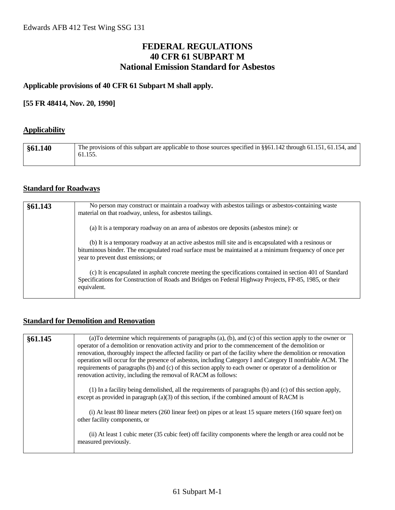## **FEDERAL REGULATIONS 40 CFR 61 SUBPART M National Emission Standard for Asbestos**

#### **Applicable provisions of 40 CFR 61 Subpart M shall apply.**

#### **[55 FR 48414, Nov. 20, 1990]**

## **Applicability**

| §61.140 | The provisions of this subpart are applicable to those sources specified in §§61.142 through 61.151, 61.154, and<br>61.155. |
|---------|-----------------------------------------------------------------------------------------------------------------------------|
|         |                                                                                                                             |

#### **Standard for Roadways**

| §61.143 | No person may construct or maintain a roadway with asbestos tailings or asbestos-containing waste<br>material on that roadway, unless, for asbestos tailings.                                                                                        |
|---------|------------------------------------------------------------------------------------------------------------------------------------------------------------------------------------------------------------------------------------------------------|
|         | (a) It is a temporary roadway on an area of asbestos ore deposits (asbestos mine): or                                                                                                                                                                |
|         | (b) It is a temporary roadway at an active asbestos mill site and is encapsulated with a resinous or<br>bituminous binder. The encapsulated road surface must be maintained at a minimum frequency of once per<br>year to prevent dust emissions; or |
|         | (c) It is encapsulated in asphalt concrete meeting the specifications contained in section 401 of Standard<br>Specifications for Construction of Roads and Bridges on Federal Highway Projects, FP-85, 1985, or their<br>equivalent.                 |

## **Standard for Demolition and Renovation**

| §61.145 | (a) To determine which requirements of paragraphs (a), (b), and (c) of this section apply to the owner or<br>operator of a demolition or renovation activity and prior to the commencement of the demolition or<br>renovation, thoroughly inspect the affected facility or part of the facility where the demolition or renovation<br>operation will occur for the presence of asbestos, including Category I and Category II nonfriable ACM. The<br>requirements of paragraphs (b) and (c) of this section apply to each owner or operator of a demolition or<br>renovation activity, including the removal of RACM as follows: |
|---------|----------------------------------------------------------------------------------------------------------------------------------------------------------------------------------------------------------------------------------------------------------------------------------------------------------------------------------------------------------------------------------------------------------------------------------------------------------------------------------------------------------------------------------------------------------------------------------------------------------------------------------|
|         | (1) In a facility being demolished, all the requirements of paragraphs (b) and (c) of this section apply,<br>except as provided in paragraph $(a)(3)$ of this section, if the combined amount of RACM is                                                                                                                                                                                                                                                                                                                                                                                                                         |
|         | (i) At least 80 linear meters (260 linear feet) on pipes or at least 15 square meters (160 square feet) on<br>other facility components, or                                                                                                                                                                                                                                                                                                                                                                                                                                                                                      |
|         | (ii) At least 1 cubic meter (35 cubic feet) off facility components where the length or area could not be<br>measured previously.                                                                                                                                                                                                                                                                                                                                                                                                                                                                                                |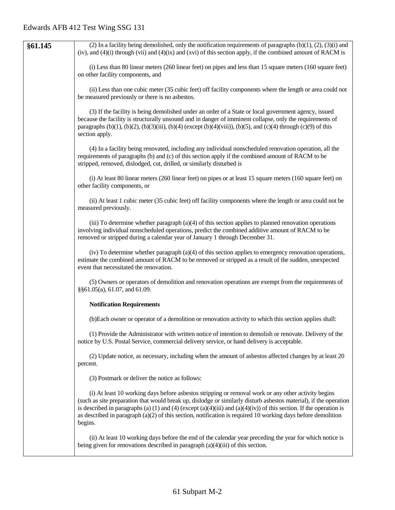| §61.145 | (2) In a facility being demolished, only the notification requirements of paragraphs $(b)(1)$ , $(2)$ , $(3)(i)$ and<br>(iv), and $(4)(i)$ through (vii) and $(4)(ix)$ and (xvi) of this section apply, if the combined amount of RACM is                                                                                                                                                                                                                                    |
|---------|------------------------------------------------------------------------------------------------------------------------------------------------------------------------------------------------------------------------------------------------------------------------------------------------------------------------------------------------------------------------------------------------------------------------------------------------------------------------------|
|         | (i) Less than 80 linear meters (260 linear feet) on pipes and less than 15 square meters (160 square feet)<br>on other facility components, and                                                                                                                                                                                                                                                                                                                              |
|         | (ii) Less than one cubic meter (35 cubic feet) off facility components where the length or area could not<br>be measured previously or there is no asbestos.                                                                                                                                                                                                                                                                                                                 |
|         | (3) If the facility is being demolished under an order of a State or local government agency, issued<br>because the facility is structurally unsound and in danger of imminent collapse, only the requirements of<br>paragraphs (b)(1), (b)(2), (b)(3)(iii), (b)(4) (except (b)(4)(viii)), (b)(5), and (c)(4) through (c)(9) of this<br>section apply.                                                                                                                       |
|         | (4) In a facility being renovated, including any individual nonscheduled renovation operation, all the<br>requirements of paragraphs (b) and (c) of this section apply if the combined amount of RACM to be<br>stripped, removed, dislodged, cut, drilled, or similarly disturbed is                                                                                                                                                                                         |
|         | (i) At least 80 linear meters (260 linear feet) on pipes or at least 15 square meters (160 square feet) on<br>other facility components, or                                                                                                                                                                                                                                                                                                                                  |
|         | (ii) At least 1 cubic meter (35 cubic feet) off facility components where the length or area could not be<br>measured previously.                                                                                                                                                                                                                                                                                                                                            |
|         | (iii) To determine whether paragraph $(a)(4)$ of this section applies to planned renovation operations<br>involving individual nonscheduled operations, predict the combined additive amount of RACM to be<br>removed or stripped during a calendar year of January 1 through December 31.                                                                                                                                                                                   |
|         | (iv) To determine whether paragraph $(a)(4)$ of this section applies to emergency renovation operations,<br>estimate the combined amount of RACM to be removed or stripped as a result of the sudden, unexpected<br>event that necessitated the renovation.                                                                                                                                                                                                                  |
|         | (5) Owners or operators of demolition and renovation operations are exempt from the requirements of<br>§§61.05(a), 61.07, and 61.09.                                                                                                                                                                                                                                                                                                                                         |
|         | <b>Notification Requirements</b>                                                                                                                                                                                                                                                                                                                                                                                                                                             |
|         | (b) Each owner or operator of a demolition or renovation activity to which this section applies shall:                                                                                                                                                                                                                                                                                                                                                                       |
|         | (1) Provide the Administrator with written notice of intention to demolish or renovate. Delivery of the<br>notice by U.S. Postal Service, commercial delivery service, or hand delivery is acceptable.                                                                                                                                                                                                                                                                       |
|         | (2) Update notice, as necessary, including when the amount of asbestos affected changes by at least 20<br>percent.                                                                                                                                                                                                                                                                                                                                                           |
|         | (3) Postmark or deliver the notice as follows:                                                                                                                                                                                                                                                                                                                                                                                                                               |
|         | (i) At least 10 working days before asbestos stripping or removal work or any other activity begins<br>(such as site preparation that would break up, dislodge or similarly disturb asbestos material), if the operation<br>is described in paragraphs (a) (1) and (4) (except (a)(4)(iii) and (a)(4)(iv)) of this section. If the operation is<br>as described in paragraph $(a)(2)$ of this section, notification is required 10 working days before demolition<br>begins. |
|         | (ii) At least 10 working days before the end of the calendar year preceding the year for which notice is<br>being given for renovations described in paragraph $(a)(4)(iii)$ of this section.                                                                                                                                                                                                                                                                                |
|         |                                                                                                                                                                                                                                                                                                                                                                                                                                                                              |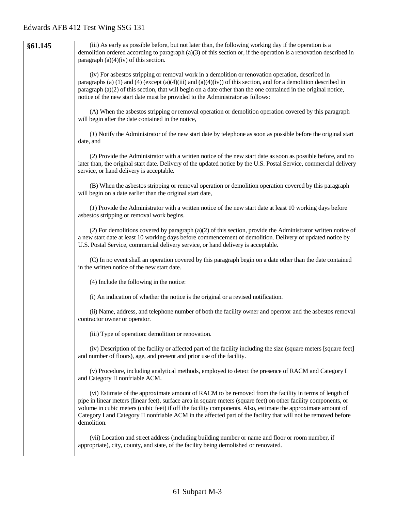| §61.145 | (iii) As early as possible before, but not later than, the following working day if the operation is a<br>demolition ordered according to paragraph $(a)(3)$ of this section or, if the operation is a renovation described in<br>paragraph $(a)(4)(iv)$ of this section.                                                                                                                                                                                                   |
|---------|-----------------------------------------------------------------------------------------------------------------------------------------------------------------------------------------------------------------------------------------------------------------------------------------------------------------------------------------------------------------------------------------------------------------------------------------------------------------------------|
|         | (iv) For asbestos stripping or removal work in a demolition or renovation operation, described in<br>paragraphs (a) (1) and (4) (except (a)(4)(iii) and (a)(4)(iv)) of this section, and for a demolition described in<br>paragraph (a)(2) of this section, that will begin on a date other than the one contained in the original notice,<br>notice of the new start date must be provided to the Administrator as follows:                                                |
|         | (A) When the asbestos stripping or removal operation or demolition operation covered by this paragraph<br>will begin after the date contained in the notice,                                                                                                                                                                                                                                                                                                                |
|         | (1) Notify the Administrator of the new start date by telephone as soon as possible before the original start<br>date, and                                                                                                                                                                                                                                                                                                                                                  |
|         | (2) Provide the Administrator with a written notice of the new start date as soon as possible before, and no<br>later than, the original start date. Delivery of the updated notice by the U.S. Postal Service, commercial delivery<br>service, or hand delivery is acceptable.                                                                                                                                                                                             |
|         | (B) When the asbestos stripping or removal operation or demolition operation covered by this paragraph<br>will begin on a date earlier than the original start date,                                                                                                                                                                                                                                                                                                        |
|         | (1) Provide the Administrator with a written notice of the new start date at least 10 working days before<br>asbestos stripping or removal work begins.                                                                                                                                                                                                                                                                                                                     |
|         | (2) For demolitions covered by paragraph (a)(2) of this section, provide the Administrator written notice of<br>a new start date at least 10 working days before commencement of demolition. Delivery of updated notice by<br>U.S. Postal Service, commercial delivery service, or hand delivery is acceptable.                                                                                                                                                             |
|         | (C) In no event shall an operation covered by this paragraph begin on a date other than the date contained<br>in the written notice of the new start date.                                                                                                                                                                                                                                                                                                                  |
|         | (4) Include the following in the notice:                                                                                                                                                                                                                                                                                                                                                                                                                                    |
|         | (i) An indication of whether the notice is the original or a revised notification.                                                                                                                                                                                                                                                                                                                                                                                          |
|         | (ii) Name, address, and telephone number of both the facility owner and operator and the asbestos removal<br>contractor owner or operator.                                                                                                                                                                                                                                                                                                                                  |
|         | (iii) Type of operation: demolition or renovation.                                                                                                                                                                                                                                                                                                                                                                                                                          |
|         | (iv) Description of the facility or affected part of the facility including the size (square meters [square feet]<br>and number of floors), age, and present and prior use of the facility.                                                                                                                                                                                                                                                                                 |
|         | (v) Procedure, including analytical methods, employed to detect the presence of RACM and Category I<br>and Category II nonfriable ACM.                                                                                                                                                                                                                                                                                                                                      |
|         | (vi) Estimate of the approximate amount of RACM to be removed from the facility in terms of length of<br>pipe in linear meters (linear feet), surface area in square meters (square feet) on other facility components, or<br>volume in cubic meters (cubic feet) if off the facility components. Also, estimate the approximate amount of<br>Category I and Category II nonfriable ACM in the affected part of the facility that will not be removed before<br>demolition. |
|         | (vii) Location and street address (including building number or name and floor or room number, if<br>appropriate), city, county, and state, of the facility being demolished or renovated.                                                                                                                                                                                                                                                                                  |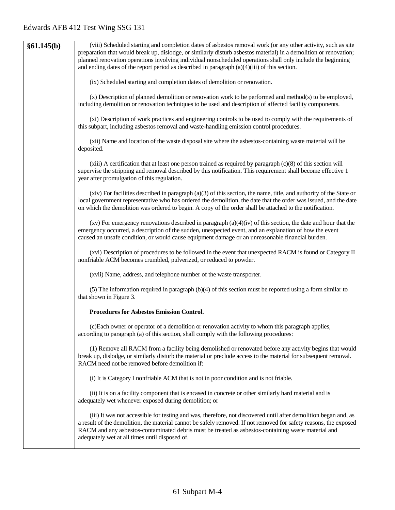| §61.145(b) | (viii) Scheduled starting and completion dates of asbestos removal work (or any other activity, such as site<br>preparation that would break up, dislodge, or similarly disturb asbestos material) in a demolition or renovation;<br>planned renovation operations involving individual nonscheduled operations shall only include the beginning<br>and ending dates of the report period as described in paragraph $(a)(4)(iii)$ of this section. |
|------------|----------------------------------------------------------------------------------------------------------------------------------------------------------------------------------------------------------------------------------------------------------------------------------------------------------------------------------------------------------------------------------------------------------------------------------------------------|
|            | (ix) Scheduled starting and completion dates of demolition or renovation.                                                                                                                                                                                                                                                                                                                                                                          |
|            | (x) Description of planned demolition or renovation work to be performed and method(s) to be employed,<br>including demolition or renovation techniques to be used and description of affected facility components.                                                                                                                                                                                                                                |
|            | (xi) Description of work practices and engineering controls to be used to comply with the requirements of<br>this subpart, including asbestos removal and waste-handling emission control procedures.                                                                                                                                                                                                                                              |
|            | (xii) Name and location of the waste disposal site where the asbestos-containing waste material will be<br>deposited.                                                                                                                                                                                                                                                                                                                              |
|            | $(xiii)$ A certification that at least one person trained as required by paragraph $(c)(8)$ of this section will<br>supervise the stripping and removal described by this notification. This requirement shall become effective 1<br>year after promulgation of this regulation.                                                                                                                                                                   |
|            | $(xiv)$ For facilities described in paragraph $(a)(3)$ of this section, the name, title, and authority of the State or<br>local government representative who has ordered the demolition, the date that the order was issued, and the date<br>on which the demolition was ordered to begin. A copy of the order shall be attached to the notification.                                                                                             |
|            | $(xv)$ For emergency renovations described in paragraph $(a)(4)(iv)$ of this section, the date and hour that the<br>emergency occurred, a description of the sudden, unexpected event, and an explanation of how the event<br>caused an unsafe condition, or would cause equipment damage or an unreasonable financial burden.                                                                                                                     |
|            | (xvi) Description of procedures to be followed in the event that unexpected RACM is found or Category II<br>nonfriable ACM becomes crumbled, pulverized, or reduced to powder.                                                                                                                                                                                                                                                                     |
|            | (xvii) Name, address, and telephone number of the waste transporter.                                                                                                                                                                                                                                                                                                                                                                               |
|            | (5) The information required in paragraph $(b)(4)$ of this section must be reported using a form similar to<br>that shown in Figure 3.                                                                                                                                                                                                                                                                                                             |
|            | Procedures for Asbestos Emission Control.                                                                                                                                                                                                                                                                                                                                                                                                          |
|            | (c)Each owner or operator of a demolition or renovation activity to whom this paragraph applies,<br>according to paragraph (a) of this section, shall comply with the following procedures:                                                                                                                                                                                                                                                        |
|            | (1) Remove all RACM from a facility being demolished or renovated before any activity begins that would<br>break up, dislodge, or similarly disturb the material or preclude access to the material for subsequent removal.<br>RACM need not be removed before demolition if:                                                                                                                                                                      |
|            | (i) It is Category I nonfriable ACM that is not in poor condition and is not friable.                                                                                                                                                                                                                                                                                                                                                              |
|            | (ii) It is on a facility component that is encased in concrete or other similarly hard material and is<br>adequately wet whenever exposed during demolition; or                                                                                                                                                                                                                                                                                    |
|            | (iii) It was not accessible for testing and was, therefore, not discovered until after demolition began and, as<br>a result of the demolition, the material cannot be safely removed. If not removed for safety reasons, the exposed<br>RACM and any asbestos-contaminated debris must be treated as asbestos-containing waste material and<br>adequately wet at all times until disposed of.                                                      |
|            |                                                                                                                                                                                                                                                                                                                                                                                                                                                    |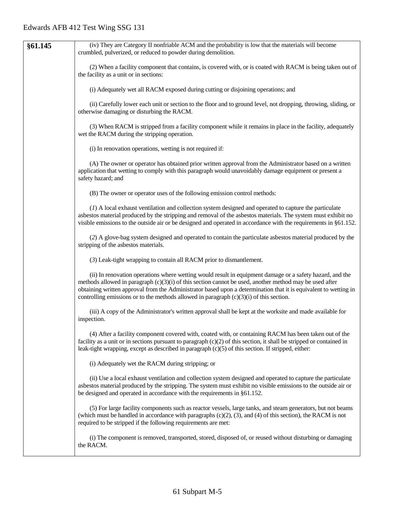| §61.145 | (iv) They are Category II nonfriable ACM and the probability is low that the materials will become<br>crumbled, pulverized, or reduced to powder during demolition.                                                                                                                                                                                                                                                                    |
|---------|----------------------------------------------------------------------------------------------------------------------------------------------------------------------------------------------------------------------------------------------------------------------------------------------------------------------------------------------------------------------------------------------------------------------------------------|
|         |                                                                                                                                                                                                                                                                                                                                                                                                                                        |
|         | (2) When a facility component that contains, is covered with, or is coated with RACM is being taken out of<br>the facility as a unit or in sections:                                                                                                                                                                                                                                                                                   |
|         | (i) Adequately wet all RACM exposed during cutting or disjoining operations; and                                                                                                                                                                                                                                                                                                                                                       |
|         | (ii) Carefully lower each unit or section to the floor and to ground level, not dropping, throwing, sliding, or<br>otherwise damaging or disturbing the RACM.                                                                                                                                                                                                                                                                          |
|         | (3) When RACM is stripped from a facility component while it remains in place in the facility, adequately<br>wet the RACM during the stripping operation.                                                                                                                                                                                                                                                                              |
|         | (i) In renovation operations, wetting is not required if:                                                                                                                                                                                                                                                                                                                                                                              |
|         | (A) The owner or operator has obtained prior written approval from the Administrator based on a written<br>application that wetting to comply with this paragraph would unavoidably damage equipment or present a<br>safety hazard; and                                                                                                                                                                                                |
|         | (B) The owner or operator uses of the following emission control methods:                                                                                                                                                                                                                                                                                                                                                              |
|         | (1) A local exhaust ventilation and collection system designed and operated to capture the particulate<br>asbestos material produced by the stripping and removal of the asbestos materials. The system must exhibit no<br>visible emissions to the outside air or be designed and operated in accordance with the requirements in §61.152.                                                                                            |
|         | (2) A glove-bag system designed and operated to contain the particulate asbestos material produced by the<br>stripping of the asbestos materials.                                                                                                                                                                                                                                                                                      |
|         | (3) Leak-tight wrapping to contain all RACM prior to dismantlement.                                                                                                                                                                                                                                                                                                                                                                    |
|         | (ii) In renovation operations where wetting would result in equipment damage or a safety hazard, and the<br>methods allowed in paragraph $(c)(3)(i)$ of this section cannot be used, another method may be used after<br>obtaining written approval from the Administrator based upon a determination that it is equivalent to wetting in<br>controlling emissions or to the methods allowed in paragraph $(c)(3)(i)$ of this section. |
|         | (iii) A copy of the Administrator's written approval shall be kept at the worksite and made available for<br>inspection.                                                                                                                                                                                                                                                                                                               |
|         | (4) After a facility component covered with, coated with, or containing RACM has been taken out of the<br>facility as a unit or in sections pursuant to paragraph $(c)(2)$ of this section, it shall be stripped or contained in<br>leak-tight wrapping, except as described in paragraph $(c)(5)$ of this section. If stripped, either:                                                                                               |
|         | (i) Adequately wet the RACM during stripping; or                                                                                                                                                                                                                                                                                                                                                                                       |
|         | (ii) Use a local exhaust ventilation and collection system designed and operated to capture the particulate<br>asbestos material produced by the stripping. The system must exhibit no visible emissions to the outside air or<br>be designed and operated in accordance with the requirements in §61.152.                                                                                                                             |
|         | (5) For large facility components such as reactor vessels, large tanks, and steam generators, but not beams<br>(which must be handled in accordance with paragraphs $(c)(2)$ , $(3)$ , and $(4)$ of this section), the RACM is not<br>required to be stripped if the following requirements are met:                                                                                                                                   |
|         | (i) The component is removed, transported, stored, disposed of, or reused without disturbing or damaging<br>the RACM.                                                                                                                                                                                                                                                                                                                  |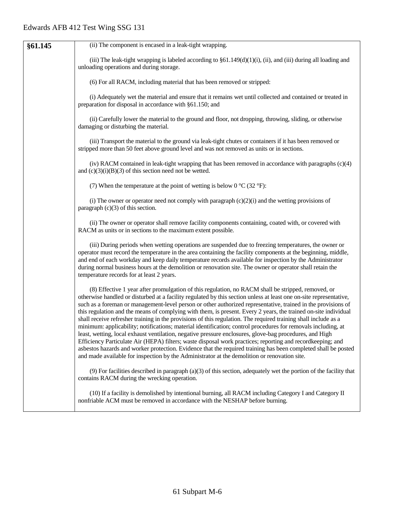| §61.145 | (ii) The component is encased in a leak-tight wrapping.                                                                                                                                                                                                                                                                                                                                                                                                                                                                                                                                                                                                                                                                                                                                                                                                                                                                                                                                                                                                                                                                                     |
|---------|---------------------------------------------------------------------------------------------------------------------------------------------------------------------------------------------------------------------------------------------------------------------------------------------------------------------------------------------------------------------------------------------------------------------------------------------------------------------------------------------------------------------------------------------------------------------------------------------------------------------------------------------------------------------------------------------------------------------------------------------------------------------------------------------------------------------------------------------------------------------------------------------------------------------------------------------------------------------------------------------------------------------------------------------------------------------------------------------------------------------------------------------|
|         | (iii) The leak-tight wrapping is labeled according to $\S61.149(d)(1)(i)$ , (ii), and (iii) during all loading and<br>unloading operations and during storage.                                                                                                                                                                                                                                                                                                                                                                                                                                                                                                                                                                                                                                                                                                                                                                                                                                                                                                                                                                              |
|         | (6) For all RACM, including material that has been removed or stripped:                                                                                                                                                                                                                                                                                                                                                                                                                                                                                                                                                                                                                                                                                                                                                                                                                                                                                                                                                                                                                                                                     |
|         | (i) Adequately wet the material and ensure that it remains wet until collected and contained or treated in<br>preparation for disposal in accordance with §61.150; and                                                                                                                                                                                                                                                                                                                                                                                                                                                                                                                                                                                                                                                                                                                                                                                                                                                                                                                                                                      |
|         | (ii) Carefully lower the material to the ground and floor, not dropping, throwing, sliding, or otherwise<br>damaging or disturbing the material.                                                                                                                                                                                                                                                                                                                                                                                                                                                                                                                                                                                                                                                                                                                                                                                                                                                                                                                                                                                            |
|         | (iii) Transport the material to the ground via leak-tight chutes or containers if it has been removed or<br>stripped more than 50 feet above ground level and was not removed as units or in sections.                                                                                                                                                                                                                                                                                                                                                                                                                                                                                                                                                                                                                                                                                                                                                                                                                                                                                                                                      |
|         | (iv) RACM contained in leak-tight wrapping that has been removed in accordance with paragraphs $(c)(4)$<br>and $(c)(3)(i)(B)(3)$ of this section need not be wetted.                                                                                                                                                                                                                                                                                                                                                                                                                                                                                                                                                                                                                                                                                                                                                                                                                                                                                                                                                                        |
|         | (7) When the temperature at the point of wetting is below $0^{\circ}C(32^{\circ}F)$ :                                                                                                                                                                                                                                                                                                                                                                                                                                                                                                                                                                                                                                                                                                                                                                                                                                                                                                                                                                                                                                                       |
|         | (i) The owner or operator need not comply with paragraph $(c)(2)(i)$ and the wetting provisions of<br>paragraph $(c)(3)$ of this section.                                                                                                                                                                                                                                                                                                                                                                                                                                                                                                                                                                                                                                                                                                                                                                                                                                                                                                                                                                                                   |
|         | (ii) The owner or operator shall remove facility components containing, coated with, or covered with<br>RACM as units or in sections to the maximum extent possible.                                                                                                                                                                                                                                                                                                                                                                                                                                                                                                                                                                                                                                                                                                                                                                                                                                                                                                                                                                        |
|         | (iii) During periods when wetting operations are suspended due to freezing temperatures, the owner or<br>operator must record the temperature in the area containing the facility components at the beginning, middle,<br>and end of each workday and keep daily temperature records available for inspection by the Administrator<br>during normal business hours at the demolition or renovation site. The owner or operator shall retain the<br>temperature records for at least 2 years.                                                                                                                                                                                                                                                                                                                                                                                                                                                                                                                                                                                                                                                |
|         | (8) Effective 1 year after promulgation of this regulation, no RACM shall be stripped, removed, or<br>otherwise handled or disturbed at a facility regulated by this section unless at least one on-site representative,<br>such as a foreman or management-level person or other authorized representative, trained in the provisions of<br>this regulation and the means of complying with them, is present. Every 2 years, the trained on-site individual<br>shall receive refresher training in the provisions of this regulation. The required training shall include as a<br>minimum: applicability; notifications; material identification; control procedures for removals including, at<br>least, wetting, local exhaust ventilation, negative pressure enclosures, glove-bag procedures, and High<br>Efficiency Particulate Air (HEPA) filters; waste disposal work practices; reporting and recordkeeping; and<br>asbestos hazards and worker protection. Evidence that the required training has been completed shall be posted<br>and made available for inspection by the Administrator at the demolition or renovation site. |
|         | $(9)$ For facilities described in paragraph (a)(3) of this section, adequately wet the portion of the facility that<br>contains RACM during the wrecking operation.                                                                                                                                                                                                                                                                                                                                                                                                                                                                                                                                                                                                                                                                                                                                                                                                                                                                                                                                                                         |
|         | (10) If a facility is demolished by intentional burning, all RACM including Category I and Category II<br>nonfriable ACM must be removed in accordance with the NESHAP before burning.                                                                                                                                                                                                                                                                                                                                                                                                                                                                                                                                                                                                                                                                                                                                                                                                                                                                                                                                                      |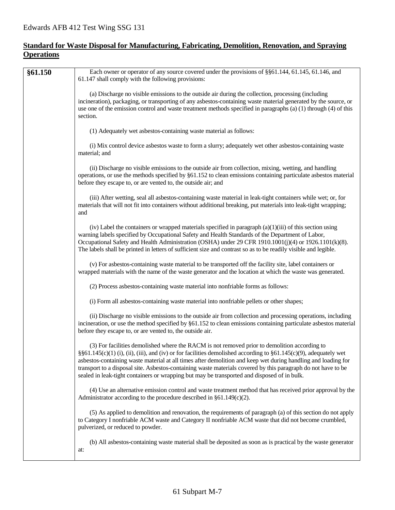## **Standard for Waste Disposal for Manufacturing, Fabricating, Demolition, Renovation, and Spraying Operations**

| §61.150 | Each owner or operator of any source covered under the provisions of §§61.144, 61.145, 61.146, and<br>61.147 shall comply with the following provisions:                                                                                                                                                                                                                                                                                                                                                                                                    |
|---------|-------------------------------------------------------------------------------------------------------------------------------------------------------------------------------------------------------------------------------------------------------------------------------------------------------------------------------------------------------------------------------------------------------------------------------------------------------------------------------------------------------------------------------------------------------------|
|         | (a) Discharge no visible emissions to the outside air during the collection, processing (including<br>incineration), packaging, or transporting of any asbestos-containing waste material generated by the source, or<br>use one of the emission control and waste treatment methods specified in paragraphs $(a)$ (1) through $(4)$ of this<br>section.                                                                                                                                                                                                    |
|         | (1) Adequately wet asbestos-containing waste material as follows:                                                                                                                                                                                                                                                                                                                                                                                                                                                                                           |
|         | (i) Mix control device asbestos waste to form a slurry; adequately wet other asbestos-containing waste<br>material; and                                                                                                                                                                                                                                                                                                                                                                                                                                     |
|         | (ii) Discharge no visible emissions to the outside air from collection, mixing, wetting, and handling<br>operations, or use the methods specified by §61.152 to clean emissions containing particulate asbestos material<br>before they escape to, or are vented to, the outside air; and                                                                                                                                                                                                                                                                   |
|         | (iii) After wetting, seal all asbestos-containing waste material in leak-tight containers while wet; or, for<br>materials that will not fit into containers without additional breaking, put materials into leak-tight wrapping;<br>and                                                                                                                                                                                                                                                                                                                     |
|         | (iv) Label the containers or wrapped materials specified in paragraph $(a)(1)(iii)$ of this section using<br>warning labels specified by Occupational Safety and Health Standards of the Department of Labor,<br>Occupational Safety and Health Administration (OSHA) under 29 CFR 1910.1001(j)(4) or 1926.1101(k)(8).<br>The labels shall be printed in letters of sufficient size and contrast so as to be readily visible and legible.                                                                                                                   |
|         | (v) For asbestos-containing waste material to be transported off the facility site, label containers or<br>wrapped materials with the name of the waste generator and the location at which the waste was generated.                                                                                                                                                                                                                                                                                                                                        |
|         | (2) Process asbestos-containing waste material into nonfriable forms as follows:                                                                                                                                                                                                                                                                                                                                                                                                                                                                            |
|         | (i) Form all asbestos-containing waste material into nonfriable pellets or other shapes;                                                                                                                                                                                                                                                                                                                                                                                                                                                                    |
|         | (ii) Discharge no visible emissions to the outside air from collection and processing operations, including<br>incineration, or use the method specified by §61.152 to clean emissions containing particulate asbestos material<br>before they escape to, or are vented to, the outside air.                                                                                                                                                                                                                                                                |
|         | (3) For facilities demolished where the RACM is not removed prior to demolition according to<br>$\S(61.145(c)(1)$ (i), (ii), (iii), and (iv) or for facilities demolished according to $\S(61.145(c)(9))$ , adequately wet<br>asbestos-containing waste material at all times after demolition and keep wet during handling and loading for<br>transport to a disposal site. Asbestos-containing waste materials covered by this paragraph do not have to be<br>sealed in leak-tight containers or wrapping but may be transported and disposed of in bulk. |
|         | (4) Use an alternative emission control and waste treatment method that has received prior approval by the<br>Administrator according to the procedure described in $\S61.149(c)(2)$ .                                                                                                                                                                                                                                                                                                                                                                      |
|         | (5) As applied to demolition and renovation, the requirements of paragraph (a) of this section do not apply<br>to Category I nonfriable ACM waste and Category II nonfriable ACM waste that did not become crumbled,<br>pulverized, or reduced to powder.                                                                                                                                                                                                                                                                                                   |
|         | (b) All asbestos-containing waste material shall be deposited as soon as is practical by the waste generator<br>at:                                                                                                                                                                                                                                                                                                                                                                                                                                         |
|         |                                                                                                                                                                                                                                                                                                                                                                                                                                                                                                                                                             |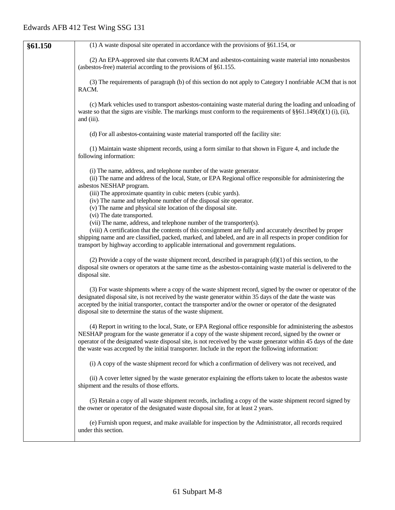| §61.150 | $(1)$ A waste disposal site operated in accordance with the provisions of §61.154, or                                                                                                                                                                                                                                                                                                                                                             |
|---------|---------------------------------------------------------------------------------------------------------------------------------------------------------------------------------------------------------------------------------------------------------------------------------------------------------------------------------------------------------------------------------------------------------------------------------------------------|
|         | (2) An EPA-approved site that converts RACM and asbestos-containing waste material into nonasbestos<br>(asbestos-free) material according to the provisions of §61.155.                                                                                                                                                                                                                                                                           |
|         | (3) The requirements of paragraph (b) of this section do not apply to Category I nonfriable ACM that is not<br>RACM.                                                                                                                                                                                                                                                                                                                              |
|         | (c) Mark vehicles used to transport asbestos-containing waste material during the loading and unloading of<br>waste so that the signs are visible. The markings must conform to the requirements of $\S\$ [61.149(d)(1) (i), (ii),<br>and (iii).                                                                                                                                                                                                  |
|         | (d) For all asbestos-containing waste material transported off the facility site:                                                                                                                                                                                                                                                                                                                                                                 |
|         | (1) Maintain waste shipment records, using a form similar to that shown in Figure 4, and include the<br>following information:                                                                                                                                                                                                                                                                                                                    |
|         | (i) The name, address, and telephone number of the waste generator.<br>(ii) The name and address of the local, State, or EPA Regional office responsible for administering the<br>asbestos NESHAP program.<br>(iii) The approximate quantity in cubic meters (cubic yards).<br>(iv) The name and telephone number of the disposal site operator.<br>(v) The name and physical site location of the disposal site.                                 |
|         | (vi) The date transported.<br>(vii) The name, address, and telephone number of the transporter(s).                                                                                                                                                                                                                                                                                                                                                |
|         | (viii) A certification that the contents of this consignment are fully and accurately described by proper<br>shipping name and are classified, packed, marked, and labeled, and are in all respects in proper condition for<br>transport by highway according to applicable international and government regulations.                                                                                                                             |
|         | (2) Provide a copy of the waste shipment record, described in paragraph $(d)(1)$ of this section, to the<br>disposal site owners or operators at the same time as the asbestos-containing waste material is delivered to the<br>disposal site.                                                                                                                                                                                                    |
|         | (3) For waste shipments where a copy of the waste shipment record, signed by the owner or operator of the<br>designated disposal site, is not received by the waste generator within 35 days of the date the waste was<br>accepted by the initial transporter, contact the transporter and/or the owner or operator of the designated<br>disposal site to determine the status of the waste shipment.                                             |
|         | (4) Report in writing to the local, State, or EPA Regional office responsible for administering the asbestos<br>NESHAP program for the waste generator if a copy of the waste shipment record, signed by the owner or<br>operator of the designated waste disposal site, is not received by the waste generator within 45 days of the date<br>the waste was accepted by the initial transporter. Include in the report the following information: |
|         | (i) A copy of the waste shipment record for which a confirmation of delivery was not received, and                                                                                                                                                                                                                                                                                                                                                |
|         | (ii) A cover letter signed by the waste generator explaining the efforts taken to locate the asbestos waste<br>shipment and the results of those efforts.                                                                                                                                                                                                                                                                                         |
|         | (5) Retain a copy of all waste shipment records, including a copy of the waste shipment record signed by<br>the owner or operator of the designated waste disposal site, for at least 2 years.                                                                                                                                                                                                                                                    |
|         | (e) Furnish upon request, and make available for inspection by the Administrator, all records required<br>under this section.                                                                                                                                                                                                                                                                                                                     |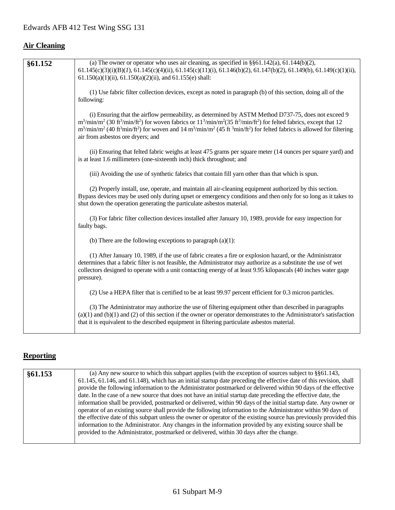## **Air Cleaning**

| §61.152 | (a) The owner or operator who uses air cleaning, as specified in $\S$ §61.142(a), 61.144(b)(2),                                                                                                                                                                                                                                                                                                                                                                                                                                    |
|---------|------------------------------------------------------------------------------------------------------------------------------------------------------------------------------------------------------------------------------------------------------------------------------------------------------------------------------------------------------------------------------------------------------------------------------------------------------------------------------------------------------------------------------------|
|         | $61.145(c)(3)(i)(B)(I), 61.145(c)(4)(ii), 61.145(c)(11)(i), 61.146(b)(2), 61.147(b)(2), 61.149(b), 61.149(c)(1)(ii),$<br>$61.150(a)(1)(ii)$ , $61.150(a)(2)(ii)$ , and $61.155(e)$ shall:                                                                                                                                                                                                                                                                                                                                          |
|         | (1) Use fabric filter collection devices, except as noted in paragraph (b) of this section, doing all of the<br>following:                                                                                                                                                                                                                                                                                                                                                                                                         |
|         | (i) Ensuring that the airflow permeability, as determined by ASTM Method D737-75, does not exceed 9<br>$m^3/min/m^2$ (30 ft <sup>3</sup> /min/ft <sup>2</sup> ) for woven fabrics or $11^3/min/m^2$ (35 ft <sup>3</sup> /min/ft <sup>2</sup> ) for felted fabrics, except that 12<br>$m^3/\text{min/m}^2$ (40 ft <sup>3</sup> min/ft <sup>2</sup> ) for woven and 14 m <sup>3</sup> /min/m <sup>2</sup> (45 ft <sup>3</sup> min/ft <sup>2</sup> ) for felted fabrics is allowed for filtering<br>air from asbestos ore dryers; and |
|         | (ii) Ensuring that felted fabric weighs at least 475 grams per square meter (14 ounces per square yard) and<br>is at least 1.6 millimeters (one-sixteenth inch) thick throughout; and                                                                                                                                                                                                                                                                                                                                              |
|         | (iii) Avoiding the use of synthetic fabrics that contain fill yarn other than that which is spun.                                                                                                                                                                                                                                                                                                                                                                                                                                  |
|         | (2) Properly install, use, operate, and maintain all air-cleaning equipment authorized by this section.<br>Bypass devices may be used only during upset or emergency conditions and then only for so long as it takes to<br>shut down the operation generating the particulate asbestos material.                                                                                                                                                                                                                                  |
|         | (3) For fabric filter collection devices installed after January 10, 1989, provide for easy inspection for<br>faulty bags.                                                                                                                                                                                                                                                                                                                                                                                                         |
|         | (b) There are the following exceptions to paragraph $(a)(1)$ :                                                                                                                                                                                                                                                                                                                                                                                                                                                                     |
|         | (1) After January 10, 1989, if the use of fabric creates a fire or explosion hazard, or the Administrator<br>determines that a fabric filter is not feasible, the Administrator may authorize as a substitute the use of wet<br>collectors designed to operate with a unit contacting energy of at least 9.95 kilopascals (40 inches water gage<br>pressure).                                                                                                                                                                      |
|         | (2) Use a HEPA filter that is certified to be at least 99.97 percent efficient for 0.3 micron particles.                                                                                                                                                                                                                                                                                                                                                                                                                           |
|         | (3) The Administrator may authorize the use of filtering equipment other than described in paragraphs<br>$(a)(1)$ and $(b)(1)$ and $(2)$ of this section if the owner or operator demonstrates to the Administrator's satisfaction<br>that it is equivalent to the described equipment in filtering particulate asbestos material.                                                                                                                                                                                                 |

## **Reporting**

| §61.153 | (a) Any new source to which this subpart applies (with the exception of sources subject to $\S$ §61.143,            |
|---------|---------------------------------------------------------------------------------------------------------------------|
|         | 61.145, 61.146, and 61.148), which has an initial startup date preceding the effective date of this revision, shall |
|         | provide the following information to the Administrator postmarked or delivered within 90 days of the effective      |
|         | date. In the case of a new source that does not have an initial startup date preceding the effective date, the      |
|         | information shall be provided, postmarked or delivered, within 90 days of the initial startup date. Any owner or    |
|         | operator of an existing source shall provide the following information to the Administrator within 90 days of       |
|         | the effective date of this subpart unless the owner or operator of the existing source has previously provided this |
|         | information to the Administrator. Any changes in the information provided by any existing source shall be           |
|         | provided to the Administrator, postmarked or delivered, within 30 days after the change.                            |
|         |                                                                                                                     |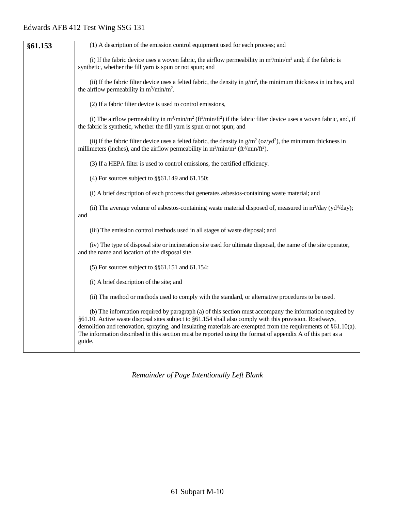| §61.153 | (1) A description of the emission control equipment used for each process; and                                                                                                                                                                                                                                                                                                                                                                                 |
|---------|----------------------------------------------------------------------------------------------------------------------------------------------------------------------------------------------------------------------------------------------------------------------------------------------------------------------------------------------------------------------------------------------------------------------------------------------------------------|
|         | (i) If the fabric device uses a woven fabric, the airflow permeability in $m^3/\text{min}/m^2$ and; if the fabric is<br>synthetic, whether the fill yarn is spun or not spun; and                                                                                                                                                                                                                                                                              |
|         | (ii) If the fabric filter device uses a felted fabric, the density in $g/m^2$ , the minimum thickness in inches, and<br>the airflow permeability in $m^3/\text{min}/m^2$ .                                                                                                                                                                                                                                                                                     |
|         | (2) If a fabric filter device is used to control emissions,                                                                                                                                                                                                                                                                                                                                                                                                    |
|         | (i) The airflow permeability in $m^3/\text{min}/m^2$ ( $ft^3/\text{min}/ft^2$ ) if the fabric filter device uses a woven fabric, and, if<br>the fabric is synthetic, whether the fill yarn is spun or not spun; and                                                                                                                                                                                                                                            |
|         | (ii) If the fabric filter device uses a felted fabric, the density in $g/m^2$ (oz/yd <sup>2</sup> ), the minimum thickness in<br>millimeters (inches), and the airflow permeability in $m^3/\text{min}/m^2$ (ft <sup>3</sup> /min/ft <sup>2</sup> ).                                                                                                                                                                                                           |
|         | (3) If a HEPA filter is used to control emissions, the certified efficiency.                                                                                                                                                                                                                                                                                                                                                                                   |
|         | (4) For sources subject to $\S$ §61.149 and 61.150:                                                                                                                                                                                                                                                                                                                                                                                                            |
|         | (i) A brief description of each process that generates asbestos-containing waste material; and                                                                                                                                                                                                                                                                                                                                                                 |
|         | (ii) The average volume of asbestos-containing waste material disposed of, measured in $m^3$ /day (yd <sup>3</sup> /day);<br>and                                                                                                                                                                                                                                                                                                                               |
|         | (iii) The emission control methods used in all stages of waste disposal; and                                                                                                                                                                                                                                                                                                                                                                                   |
|         | (iv) The type of disposal site or incineration site used for ultimate disposal, the name of the site operator,<br>and the name and location of the disposal site.                                                                                                                                                                                                                                                                                              |
|         | (5) For sources subject to $\S$ §61.151 and 61.154:                                                                                                                                                                                                                                                                                                                                                                                                            |
|         | (i) A brief description of the site; and                                                                                                                                                                                                                                                                                                                                                                                                                       |
|         | (ii) The method or methods used to comply with the standard, or alternative procedures to be used.                                                                                                                                                                                                                                                                                                                                                             |
|         | (b) The information required by paragraph (a) of this section must accompany the information required by<br>§61.10. Active waste disposal sites subject to §61.154 shall also comply with this provision. Roadways,<br>demolition and renovation, spraying, and insulating materials are exempted from the requirements of §61.10(a).<br>The information described in this section must be reported using the format of appendix A of this part as a<br>guide. |
|         |                                                                                                                                                                                                                                                                                                                                                                                                                                                                |

*Remainder of Page Intentionally Left Blank*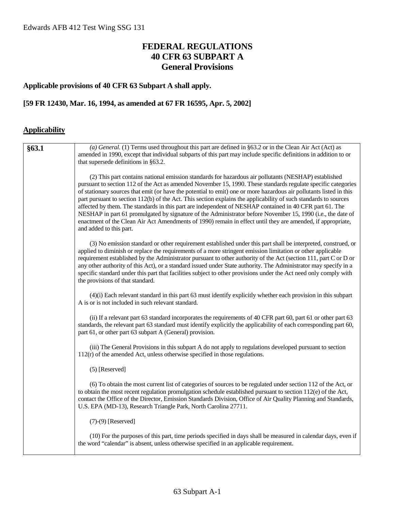## **FEDERAL REGULATIONS 40 CFR 63 SUBPART A General Provisions**

### **Applicable provisions of 40 CFR 63 Subpart A shall apply.**

## **[59 FR 12430, Mar. 16, 1994, as amended at 67 FR 16595, Apr. 5, 2002]**

## **Applicability**

| §63.1 | (a) General. (1) Terms used throughout this part are defined in §63.2 or in the Clean Air Act (Act) as<br>amended in 1990, except that individual subparts of this part may include specific definitions in addition to or<br>that supersede definitions in §63.2.                                                                                                                                                                                                                                                                                                                                                                                                                                                                                                                                                                   |
|-------|--------------------------------------------------------------------------------------------------------------------------------------------------------------------------------------------------------------------------------------------------------------------------------------------------------------------------------------------------------------------------------------------------------------------------------------------------------------------------------------------------------------------------------------------------------------------------------------------------------------------------------------------------------------------------------------------------------------------------------------------------------------------------------------------------------------------------------------|
|       | (2) This part contains national emission standards for hazardous air pollutants (NESHAP) established<br>pursuant to section 112 of the Act as amended November 15, 1990. These standards regulate specific categories<br>of stationary sources that emit (or have the potential to emit) one or more hazardous air pollutants listed in this<br>part pursuant to section 112(b) of the Act. This section explains the applicability of such standards to sources<br>affected by them. The standards in this part are independent of NESHAP contained in 40 CFR part 61. The<br>NESHAP in part 61 promulgated by signature of the Administrator before November 15, 1990 (i.e., the date of<br>enactment of the Clean Air Act Amendments of 1990) remain in effect until they are amended, if appropriate,<br>and added to this part. |
|       | (3) No emission standard or other requirement established under this part shall be interpreted, construed, or<br>applied to diminish or replace the requirements of a more stringent emission limitation or other applicable<br>requirement established by the Administrator pursuant to other authority of the Act (section 111, part C or D or<br>any other authority of this Act), or a standard issued under State authority. The Administrator may specify in a<br>specific standard under this part that facilities subject to other provisions under the Act need only comply with<br>the provisions of that standard.                                                                                                                                                                                                        |
|       | (4)(i) Each relevant standard in this part 63 must identify explicitly whether each provision in this subpart<br>A is or is not included in such relevant standard.                                                                                                                                                                                                                                                                                                                                                                                                                                                                                                                                                                                                                                                                  |
|       | (ii) If a relevant part 63 standard incorporates the requirements of 40 CFR part 60, part 61 or other part 63<br>standards, the relevant part 63 standard must identify explicitly the applicability of each corresponding part 60,<br>part 61, or other part 63 subpart A (General) provision.                                                                                                                                                                                                                                                                                                                                                                                                                                                                                                                                      |
|       | (iii) The General Provisions in this subpart A do not apply to regulations developed pursuant to section<br>$112(r)$ of the amended Act, unless otherwise specified in those regulations.                                                                                                                                                                                                                                                                                                                                                                                                                                                                                                                                                                                                                                            |
|       | $(5)$ [Reserved]                                                                                                                                                                                                                                                                                                                                                                                                                                                                                                                                                                                                                                                                                                                                                                                                                     |
|       | (6) To obtain the most current list of categories of sources to be regulated under section 112 of the Act, or<br>to obtain the most recent regulation promulgation schedule established pursuant to section $112(e)$ of the Act,<br>contact the Office of the Director, Emission Standards Division, Office of Air Quality Planning and Standards,<br>U.S. EPA (MD-13), Research Triangle Park, North Carolina 27711.                                                                                                                                                                                                                                                                                                                                                                                                                |
|       | $(7)-(9)$ [Reserved]                                                                                                                                                                                                                                                                                                                                                                                                                                                                                                                                                                                                                                                                                                                                                                                                                 |
|       | (10) For the purposes of this part, time periods specified in days shall be measured in calendar days, even if<br>the word "calendar" is absent, unless otherwise specified in an applicable requirement.                                                                                                                                                                                                                                                                                                                                                                                                                                                                                                                                                                                                                            |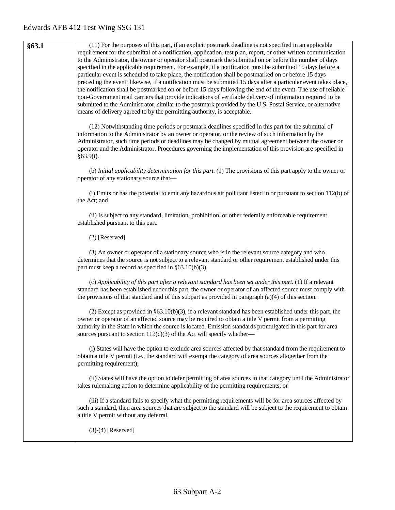**§63.1** (11) For the purposes of this part, if an explicit postmark deadline is not specified in an applicable requirement for the submittal of a notification, application, test plan, report, or other written communication to the Administrator, the owner or operator shall postmark the submittal on or before the number of days specified in the applicable requirement. For example, if a notification must be submitted 15 days before a particular event is scheduled to take place, the notification shall be postmarked on or before 15 days preceding the event; likewise, if a notification must be submitted 15 days after a particular event takes place, the notification shall be postmarked on or before 15 days following the end of the event. The use of reliable non-Government mail carriers that provide indications of verifiable delivery of information required to be submitted to the Administrator, similar to the postmark provided by the U.S. Postal Service, or alternative means of delivery agreed to by the permitting authority, is acceptable. (12) Notwithstanding time periods or postmark deadlines specified in this part for the submittal of information to the Administrator by an owner or operator, or the review of such information by the Administrator, such time periods or deadlines may be changed by mutual agreement between the owner or operator and the Administrator. Procedures governing the implementation of this provision are specified in §63.9(i). (b) *Initial applicability determination for this part.* (1) The provisions of this part apply to the owner or operator of any stationary source that— (i) Emits or has the potential to emit any hazardous air pollutant listed in or pursuant to section 112(b) of the Act; and (ii) Is subject to any standard, limitation, prohibition, or other federally enforceable requirement established pursuant to this part. (2) [Reserved] (3) An owner or operator of a stationary source who is in the relevant source category and who determines that the source is not subject to a relevant standard or other requirement established under this part must keep a record as specified in §63.10(b)(3). (c) *Applicability of this part after a relevant standard has been set under this part.* (1) If a relevant standard has been established under this part, the owner or operator of an affected source must comply with the provisions of that standard and of this subpart as provided in paragraph (a)(4) of this section. (2) Except as provided in §63.10(b)(3), if a relevant standard has been established under this part, the owner or operator of an affected source may be required to obtain a title V permit from a permitting authority in the State in which the source is located. Emission standards promulgated in this part for area sources pursuant to section  $112(c)(3)$  of the Act will specify whether— (i) States will have the option to exclude area sources affected by that standard from the requirement to obtain a title V permit (i.e., the standard will exempt the category of area sources altogether from the permitting requirement); (ii) States will have the option to defer permitting of area sources in that category until the Administrator takes rulemaking action to determine applicability of the permitting requirements; or (iii) If a standard fails to specify what the permitting requirements will be for area sources affected by such a standard, then area sources that are subject to the standard will be subject to the requirement to obtain a title V permit without any deferral. (3)-(4) [Reserved]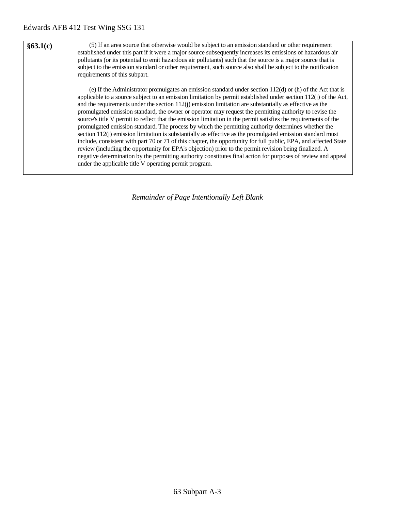| §63.1(c) | (5) If an area source that otherwise would be subject to an emission standard or other requirement<br>established under this part if it were a major source subsequently increases its emissions of hazardous air<br>pollutants (or its potential to emit hazardous air pollutants) such that the source is a major source that is<br>subject to the emission standard or other requirement, such source also shall be subject to the notification<br>requirements of this subpart.                                                                                                                                                                                                                                                                                                                                                                                                                                                                                                                                                                                                                                                                                                                        |
|----------|------------------------------------------------------------------------------------------------------------------------------------------------------------------------------------------------------------------------------------------------------------------------------------------------------------------------------------------------------------------------------------------------------------------------------------------------------------------------------------------------------------------------------------------------------------------------------------------------------------------------------------------------------------------------------------------------------------------------------------------------------------------------------------------------------------------------------------------------------------------------------------------------------------------------------------------------------------------------------------------------------------------------------------------------------------------------------------------------------------------------------------------------------------------------------------------------------------|
|          | (e) If the Administrator promulgates an emission standard under section $112(d)$ or (h) of the Act that is<br>applicable to a source subject to an emission limitation by permit established under section $112(i)$ of the Act,<br>and the requirements under the section $112(i)$ emission limitation are substantially as effective as the<br>promulgated emission standard, the owner or operator may request the permitting authority to revise the<br>source's title V permit to reflect that the emission limitation in the permit satisfies the requirements of the<br>promulgated emission standard. The process by which the permitting authority determines whether the<br>section $112(i)$ emission limitation is substantially as effective as the promulgated emission standard must<br>include, consistent with part 70 or 71 of this chapter, the opportunity for full public, EPA, and affected State<br>review (including the opportunity for EPA's objection) prior to the permit revision being finalized. A<br>negative determination by the permitting authority constitutes final action for purposes of review and appeal<br>under the applicable title V operating permit program. |

*Remainder of Page Intentionally Left Blank*